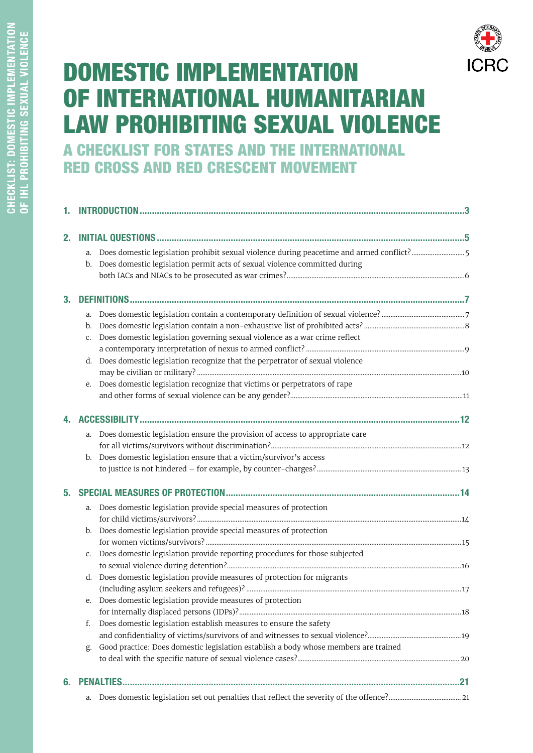# **DOMESTIC IMPLEMENTATION** OF INTERNATIONAL HUMANITARIAN **LAW PROHIBITING SEXUAL VIOLENCE** A CHECKLIST FOR STATES AND THE INTERNATIONAL **RED CROSS AND RED CRESCENT MOVEMENT**

| 2. |    |                                                                                          |    |
|----|----|------------------------------------------------------------------------------------------|----|
|    | a. | Does domestic legislation prohibit sexual violence during peacetime and armed conflict?5 |    |
|    | b. | Does domestic legislation permit acts of sexual violence committed during                |    |
|    |    |                                                                                          |    |
|    |    |                                                                                          |    |
| 3. |    |                                                                                          |    |
|    | a. |                                                                                          |    |
|    | b. |                                                                                          |    |
|    | C. | Does domestic legislation governing sexual violence as a war crime reflect               |    |
|    |    |                                                                                          |    |
|    | d. | Does domestic legislation recognize that the perpetrator of sexual violence              |    |
|    |    |                                                                                          |    |
|    | е. | Does domestic legislation recognize that victims or perpetrators of rape                 |    |
|    |    |                                                                                          |    |
|    |    |                                                                                          |    |
|    |    |                                                                                          |    |
|    | a. | Does domestic legislation ensure the provision of access to appropriate care             |    |
|    |    |                                                                                          |    |
|    | b. | Does domestic legislation ensure that a victim/survivor's access                         |    |
|    |    |                                                                                          |    |
|    |    |                                                                                          |    |
|    | a. | Does domestic legislation provide special measures of protection                         |    |
|    |    |                                                                                          |    |
|    |    | b. Does domestic legislation provide special measures of protection                      |    |
|    |    |                                                                                          |    |
|    | C. | Does domestic legislation provide reporting procedures for those subjected               |    |
|    |    |                                                                                          |    |
|    | d. | Does domestic legislation provide measures of protection for migrants                    |    |
|    |    |                                                                                          |    |
|    |    | e. Does domestic legislation provide measures of protection                              |    |
|    |    |                                                                                          |    |
|    | f. | Does domestic legislation establish measures to ensure the safety                        |    |
|    |    |                                                                                          |    |
|    | g. | Good practice: Does domestic legislation establish a body whose members are trained      |    |
|    |    |                                                                                          |    |
| 6. |    |                                                                                          |    |
|    |    | a Does domestic legislation set out penalties that reflect the severity of the offence?  | 21 |

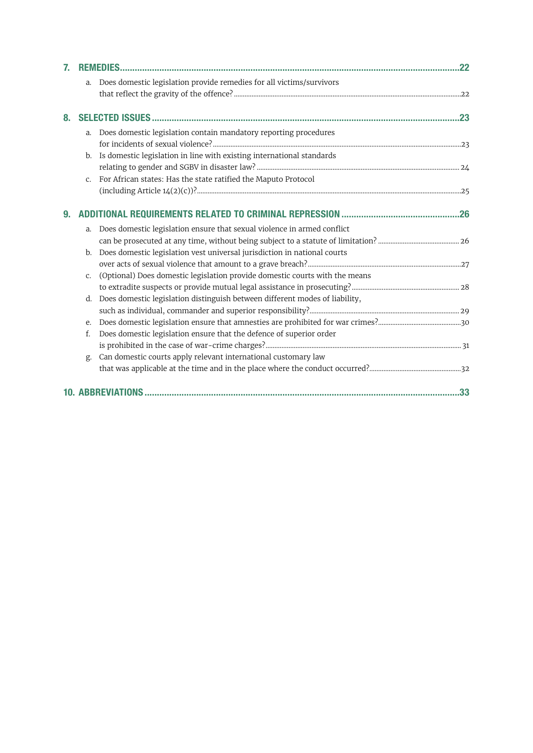| 7. |             |                                                                             |  |
|----|-------------|-----------------------------------------------------------------------------|--|
|    | a.          | Does domestic legislation provide remedies for all victims/survivors        |  |
|    |             |                                                                             |  |
|    |             |                                                                             |  |
| 8. |             |                                                                             |  |
|    | $a_{\cdot}$ | Does domestic legislation contain mandatory reporting procedures            |  |
|    |             |                                                                             |  |
|    | b.          | Is domestic legislation in line with existing international standards       |  |
|    |             |                                                                             |  |
|    | $C_{\star}$ | For African states: Has the state ratified the Maputo Protocol              |  |
|    |             |                                                                             |  |
|    |             |                                                                             |  |
| 9. |             |                                                                             |  |
|    | a.          | Does domestic legislation ensure that sexual violence in armed conflict     |  |
|    |             |                                                                             |  |
|    | b.          | Does domestic legislation vest universal jurisdiction in national courts    |  |
|    |             |                                                                             |  |
|    | $C_{\star}$ | (Optional) Does domestic legislation provide domestic courts with the means |  |
|    |             |                                                                             |  |
|    | d.          | Does domestic legislation distinguish between different modes of liability, |  |
|    |             |                                                                             |  |
|    | e.          |                                                                             |  |
|    | f.          | Does domestic legislation ensure that the defence of superior order         |  |
|    |             |                                                                             |  |
|    | g.          | Can domestic courts apply relevant international customary law              |  |
|    |             |                                                                             |  |
|    |             |                                                                             |  |
|    |             |                                                                             |  |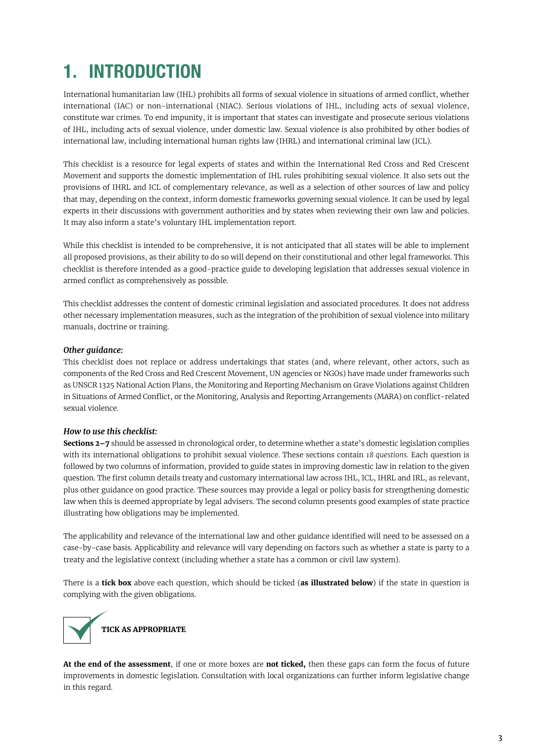# <span id="page-2-0"></span>1. INTRODUCTION

International humanitarian law (IHL) prohibits all forms of sexual violence in situations of armed conflict, whether international (IAC) or non-international (NIAC). Serious violations of IHL, including acts of sexual violence, constitute war crimes. To end impunity, it is important that states can investigate and prosecute serious violations of IHL, including acts of sexual violence, under domestic law. Sexual violence is also prohibited by other bodies of international law, including international human rights law (IHRL) and international criminal law (ICL).

This checklist is a resource for legal experts of states and within the International Red Cross and Red Crescent Movement and supports the domestic implementation of IHL rules prohibiting sexual violence. It also sets out the provisions of IHRL and ICL of complementary relevance, as well as a selection of other sources of law and policy that may, depending on the context, inform domestic frameworks governing sexual violence. It can be used by legal experts in their discussions with government authorities and by states when reviewing their own law and policies. It may also inform a state's voluntary IHL implementation report.

While this checklist is intended to be comprehensive, it is not anticipated that all states will be able to implement all proposed provisions, as their ability to do so will depend on their constitutional and other legal frameworks. This checklist is therefore intended as a good-practice guide to developing legislation that addresses sexual violence in armed conflict as comprehensively as possible.

This checklist addresses the content of domestic criminal legislation and associated procedures. It does not address other necessary implementation measures, such as the integration of the prohibition of sexual violence into military manuals, doctrine or training.

## *Other guidance:*

This checklist does not replace or address undertakings that states (and, where relevant, other actors, such as components of the Red Cross and Red Crescent Movement, UN agencies or NGOs) have made under frameworks such as UNSCR 1325 National Action Plans, the Monitoring and Reporting Mechanism on Grave Violations against Children in Situations of Armed Conflict, or the Monitoring, Analysis and Reporting Arrangements (MARA) on conflict-related sexual violence.

### *How to use this checklist:*

**Sections 2–7** should be assessed in chronological order, to determine whether a state's domestic legislation complies with its international obligations to prohibit sexual violence. These sections contain *18 questions*. Each question is followed by two columns of information, provided to guide states in improving domestic law in relation to the given question. The first column details treaty and customary international law across IHL, ICL, IHRL and IRL, as relevant, plus other guidance on good practice. These sources may provide a legal or policy basis for strengthening domestic law when this is deemed appropriate by legal advisers. The second column presents good examples of state practice illustrating how obligations may be implemented.

The applicability and relevance of the international law and other guidance identified will need to be assessed on a case-by-case basis. Applicability and relevance will vary depending on factors such as whether a state is party to a treaty and the legislative context (including whether a state has a common or civil law system).

There is a **tick box** above each question, which should be ticked (**as illustrated below**) if the state in question is complying with the given obligations.



**At the end of the assessment**, if one or more boxes are **not ticked,** then these gaps can form the focus of future improvements in domestic legislation. Consultation with local organizations can further inform legislative change in this regard.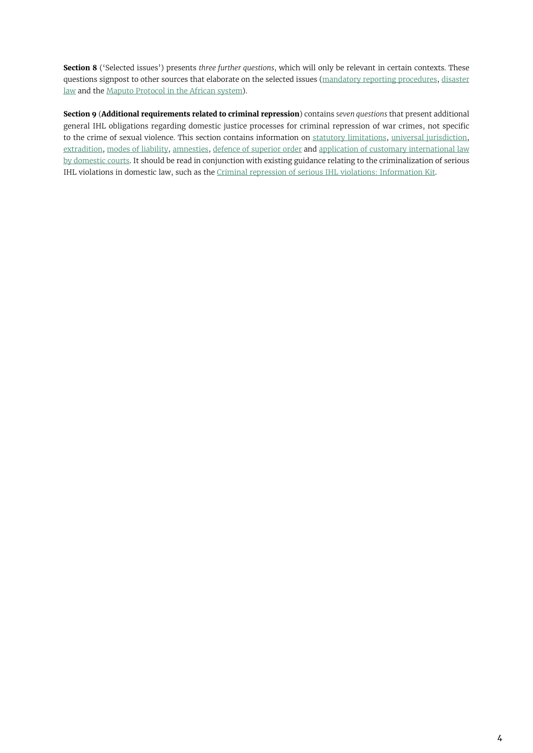**Section 8** ('Selected issues') presents *three further questions*, which will only be relevant in certain contexts. These questions signpost to other sources that elaborate on the selected issues [\(mandatory reporting procedures](#page-22-0), [disaster](#page-23-0) [law](#page-23-0) and the Maputo [Protocol](https://au.int/en/treaties/protocol-african-charter-human-and-peoples-rights-rights-women-africa ) in the African system).

**Section 9** (**[Additional requirements related to criminal repression](#page-25-0)**) contains *seven questions* that present additional general IHL obligations regarding domestic justice processes for criminal repression of war crimes, not specific to the crime of sexual violence. This section contains information on [statutory limitations](#page-25-0), [universal jurisdiction](#page-26-0), [extradition](#page-27-0), [modes of liability](#page-28-0), [amnesties](#page-29-0), [defence of superior order](#page-30-0) and [application of customary international law](#page-31-0) [by domestic courts.](#page-31-0) It should be read in conjunction with existing guidance relating to the criminalization of serious IHL violations in domestic law, such as the [Criminal repression of serious IHL violations: Information Kit](https://www.icrc.org/en/document/criminal-repression-serious-ihl-violations-information-kit).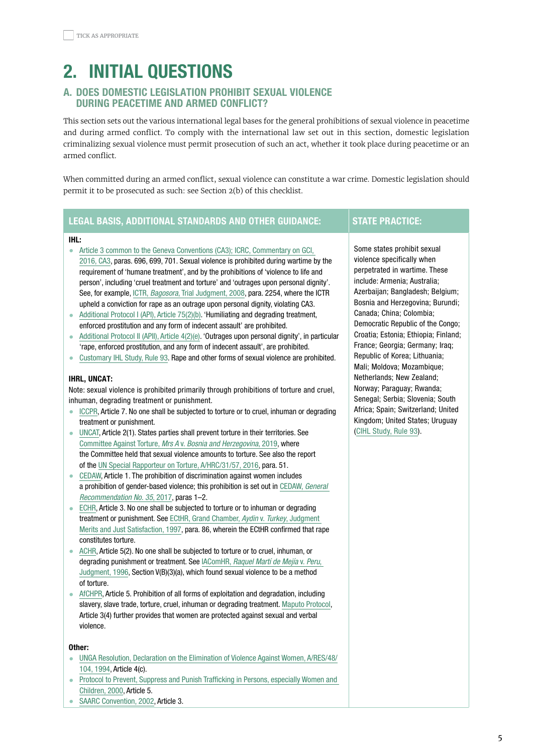# <span id="page-4-0"></span>2. INITIAL QUESTIONS

# A. DOES DOMESTIC LEGISLATION PROHIBIT SEXUAL VIOLENCE DURING PEACETIME AND ARMED CONFLICT?

This section sets out the various international legal bases for the general prohibitions of sexual violence in peacetime and during armed conflict. To comply with the international law set out in this section, domestic legislation criminalizing sexual violence must permit prosecution of such an act, whether it took place during peacetime or an armed conflict.

When committed during an armed conflict, sexual violence can constitute a war crime. Domestic legislation should permit it to be prosecuted as such: see Section 2(b) of this checklist.

# LEGAL BASIS, ADDITIONAL STANDARDS AND OTHER GUIDANCE: STATE PRACTICE:

#### IHL:

- [Article 3 common to the Geneva Conventions \(CA3\); ICRC, Commentary on GCI,](https://ihl-databases.icrc.org/ihl/WebART/375-590006)  [2016, CA3,](https://ihl-databases.icrc.org/ihl/WebART/375-590006) paras. 696, 699, 701. Sexual violence is prohibited during wartime by the requirement of 'humane treatment', and by the prohibitions of 'violence to life and person', including 'cruel treatment and torture' and 'outrages upon personal dignity'. See, for example, ICTR, Bagosora[, Trial Judgment, 2008](https://unictr.irmct.org/sites/unictr.org/files/case-documents/ictr-98-41/trial-judgements/en/081218.pdf), para. 2254, where the ICTR upheld a conviction for rape as an outrage upon personal dignity, violating CA3.
- [Additional Protocol I \(API\), Article 75\(2\)\(b\)](https://ihl-databases.icrc.org/ihl/WebART/470-750096?OpenDocument). 'Humiliating and degrading treatment, enforced prostitution and any form of indecent assault' are prohibited.
- [Additional Protocol II \(APII\), Article 4\(2\)\(e\)](https://ihl-databases.icrc.org/ihl/WebART/475-760008?OpenDocument). 'Outrages upon personal dignity', in particular 'rape, enforced prostitution, and any form of indecent assault', are prohibited.
- [Customary IHL Study, Rule 93](https://ihl-databases.icrc.org/customary-ihl/eng/docs/v1_rul_rule93). Rape and other forms of sexual violence are prohibited.

#### IHRL, UNCAT:

Note: sexual violence is prohibited primarily through prohibitions of torture and cruel, inhuman, degrading treatment or punishment.

- [ICCPR,](https://webcache.googleusercontent.com/search?q=cache:aljKboXsIQ4J:https://www.ohchr.org/en/professionalinterest/pages/ccpr.aspx+&cd=1&hl=en&ct=clnk&gl=fr) Article 7. No one shall be subjected to torture or to cruel, inhuman or degrading treatment or punishment.
- [UNCAT](https://www.ohchr.org/en/professionalinterest/pages/cat.aspx), Article 2(1). States parties shall prevent torture in their territories. See [Committee Against Torture,](https://undocs.org/CAT/C/67/D/854/2017 ) Mrs A v. Bosnia and Herzegovina, 2019, where the Committee held that sexual violence amounts to torture. See also the report of the [UN Special Rapporteur on Torture, A/HRC/31/57, 2016,](https://undocs.org/A/HRC/31/57) para. 51.
- [CEDAW,](https://www.ohchr.org/en/professionalinterest/pages/cedaw.aspx) Article 1. The prohibition of discrimination against women includes a prohibition of gender-based violence; this prohibition is set out in [CEDAW,](https://tbinternet.ohchr.org/_layouts/15/treatybodyexternal/Download.aspx?symbolno=CEDAW/C/GC/35&Lang=en) General [Recommendation No. 35](https://tbinternet.ohchr.org/_layouts/15/treatybodyexternal/Download.aspx?symbolno=CEDAW/C/GC/35&Lang=en), 2017, paras 1–2.
- [ECHR](https://www.echr.coe.int/Documents/Convention_ENG.pdf), Article 3. No one shall be subjected to torture or to inhuman or degrading treatment or punishment. See [ECtHR, Grand Chamber,](https://hudoc.echr.coe.int/eng#{%22itemid%22:[%22001-58371%22]}) Aydin v. Turkey, Judgment [Merits and Just Satisfaction, 1997,](https://hudoc.echr.coe.int/eng#{%22itemid%22:[%22001-58371%22]}) para. 86, wherein the ECtHR confirmed that rape constitutes torture.
- [ACHR](https://www.cidh.oas.org/basicos/english/basic3.american%20convention.htm), Article 5(2). No one shall be subjected to torture or to cruel, inhuman, or degrading punishment or treatment. See IAComHR, [Raquel Martí de Mejía](http://hrlibrary.umn.edu/cases/1996/peru5-96.htm) v. Peru, [Judgment, 1996](http://hrlibrary.umn.edu/cases/1996/peru5-96.htm), Section V(B)(3)(a), which found sexual violence to be a method of torture.
- [AfCHPR](https://www.achpr.org/legalinstruments/detail?id=49), Article 5. Prohibition of all forms of exploitation and degradation, including slavery, slave trade, torture, cruel, inhuman or degrading treatment. [Maputo Protocol](https://www.un.org/en/africa/osaa/pdf/au/protocol_rights_women_africa_2003.pdf), Article 3(4) further provides that women are protected against sexual and verbal violence.

#### Other:

- [UNGA Resolution, Declaration on the Elimination of Violence Against Women, A/RES/48/](https://www.un.org/en/genocideprevention/documents/atrocity-crimes/Doc.21_declaration%20elimination%20vaw.pdf) [104, 1994](https://www.un.org/en/genocideprevention/documents/atrocity-crimes/Doc.21_declaration%20elimination%20vaw.pdf), Article 4(c).
- [Protocol to Prevent, Suppress and Punish Trafficking in Persons, especially Women and](https://www.ohchr.org/en/professionalinterest/pages/protocoltraffickinginpersons.aspx)  [Children, 2000,](https://www.ohchr.org/en/professionalinterest/pages/protocoltraffickinginpersons.aspx) Article 5.
- [SAARC Convention, 2002](https://evaw-global-database.unwomen.org/-/media/files/un%20women/vaw/full%20text/asia/south%20asian%20association%20for%20regional%20cooperation/saarc%20convention%20on%20preventing%20and%20combating%20trafficking%20in%20women%20and%20children%20for%20prostitution.pdf?vs=3229), Article 3.

Some states prohibit sexual violence specifically when perpetrated in wartime. These include: Armenia; Australia; Azerbaijan: Bangladesh: Belgium: Bosnia and Herzegovina; Burundi; Canada; China; Colombia; Democratic Republic of the Congo; Croatia; Estonia; Ethiopia; Finland; France; Georgia; Germany; Iraq; Republic of Korea; Lithuania; Mali; Moldova; Mozambique; Netherlands; New Zealand; Norway; Paraguay; Rwanda; Senegal; Serbia; Slovenia; South Africa; Spain; Switzerland; United Kingdom; United States; Uruguay ([CIHL Study, Rule 93\)](https://ihl-databases.icrc.org/customary-ihl/eng/docs/v2_rul_rule93).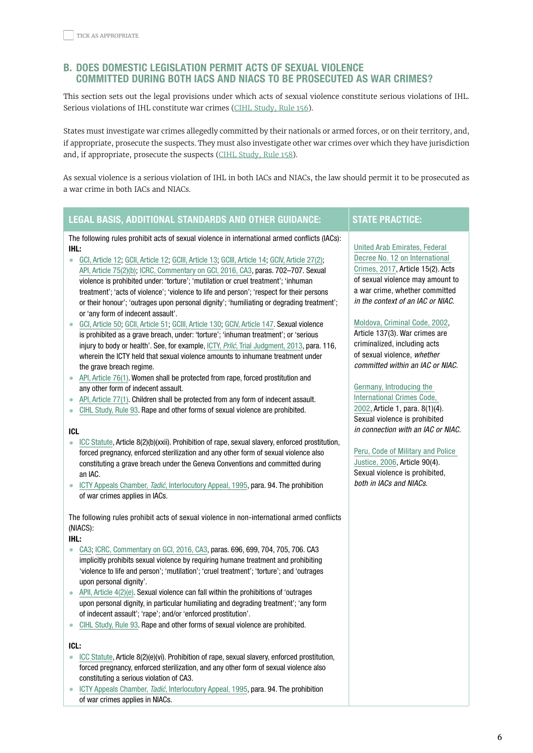# <span id="page-5-0"></span>B. DOES DOMESTIC LEGISLATION PERMIT ACTS OF SEXUAL VIOLENCE COMMITTED DURING BOTH IACS AND NIACS TO BE PROSECUTED AS WAR CRIMES?

This section sets out the legal provisions under which acts of sexual violence constitute serious violations of IHL. Serious violations of IHL constitute war crimes (CIHL [Study,](https://ihl-databases.icrc.org/customary-ihl/eng/docs/v1_rul_rule156) Rule 156).

States must investigate war crimes allegedly committed by their nationals or armed forces, or on their territory, and, if appropriate, prosecute the suspects. They must also investigate other war crimes over which they have jurisdiction and, if appropriate, prosecute the suspects (CIHL [Study,](https://ihl-databases.icrc.org/customary-ihl/eng/docs/v1_rul_rule158) Rule 158).

As sexual violence is a serious violation of IHL in both IACs and NIACs, the law should permit it to be prosecuted as a war crime in both IACs and NIACs.

# LEGAL BASIS, ADDITIONAL STANDARDS AND OTHER GUIDANCE: STATE PRACTICE:

The following rules prohibit acts of sexual violence in international armed conflicts (IACs): IHL:

- [GCI, Article 12](https://ihl-databases.icrc.org/applic/ihl/ihl.nsf/ART/365-570016?OpenDocument); [GCII, Article 12](https://ihl-databases.icrc.org/applic/ihl/ihl.nsf/Article.xsp?action=openDocument&documentId=A30C39F7F85D71CDC12563CD0051A5CF); [GCIII, Article 13;](https://ihl-databases.icrc.org/applic/ihl/ihl.nsf/ART/375-590017?OpenDocument) [GCIII, Article 14](https://ihl-databases.icrc.org/applic/ihl/ihl.nsf/ART/375-590018?OpenDocument); [GCIV, Article 27\(2\);](https://ihl-databases.icrc.org/ihl/b0d5f4c1f4b8102041256739003e6366/ffcb180d4e99cb26c12563cd0051bbd9) [API, Article 75\(2\)\(b\);](https://ihl-databases.icrc.org/ihl/WebART/470-750096?OpenDocument) [ICRC, Commentary on GCI, 2016, CA3](https://ihl-databases.icrc.org/applic/ihl/ihl.nsf/Comment.xsp?action=openDocument&documentId=59F6CDFA490736C1C1257F7D004BA0EC#620_B), paras. 702–707. Sexual violence is prohibited under: 'torture'; 'mutilation or cruel treatment'; 'inhuman treatment'; 'acts of violence'; 'violence to life and person'; 'respect for their persons or their honour'; 'outrages upon personal dignity'; 'humiliating or degrading treatment'; or 'any form of indecent assault'.
- [GCI, Article 50](https://ihl-databases.icrc.org/applic/ihl/ihl.nsf/ART/365-570061?OpenDocument); [GCII, Article 51](https://ihl-databases.icrc.org/applic/ihl/ihl.nsf/Article.xsp?action=openDocument&documentId=14F60F779A9C29F2C12563CD0051A8FF ); [GCIII, Article 130](https://ihl-databases.icrc.org/ihl/WebART/375-590156); [GCIV, Article 147.](https://ihl-databases.icrc.org/ihl/WebART/380-600169) Sexual violence is prohibited as a grave breach, under: 'torture'; 'inhuman treatment'; or 'serious injury to body or health'. See, for example, ICTY, Prlić, [Trial Judgment, 2013,](https://www.icty.org/x/cases/prlic/tjug/en/130529-1.pdf) para. 116, wherein the ICTY held that sexual violence amounts to inhumane treatment under the grave breach regime.
- [API, Article 76\(1\)](https://ihl-databases.icrc.org/applic/ihl/ihl.nsf/ART/470-750098?OpenDocument). Women shall be protected from rape, forced prostitution and any other form of indecent assault.
- [API, Article 77\(1\)](https://ihl-databases.icrc.org/applic/ihl/ihl.nsf/Article.xsp?action=openDocument&documentId=8F7D6B2DEE119FBAC12563CD0051E0A2). Children shall be protected from any form of indecent assault.
- [CIHL Study, Rule 93](https://ihl-databases.icrc.org/customary-ihl/eng/docs/v1_rul_rule93). Rape and other forms of sexual violence are prohibited.

#### ICL

- [ICC Sta](https://www.icc-cpi.int/resource-library/documents/rs-eng.pdf)tute, Article 8(2)(b)(xxii). Prohibition of rape, sexual slavery, enforced prostitution, forced pregnancy, enforced sterilization and any other form of sexual violence also constituting a grave breach under the Geneva Conventions and committed during an IAC.
- ICTY Appeals Chamber, *Tadić*[, Interlocutory Appeal, 1995](https://www.icty.org/x/cases/tadic/acdec/en/51002.htm), para. 94. The prohibition of war crimes applies in IACs.

The following rules prohibit acts of sexual violence in non-international armed conflicts (NIACS):

IHL:

- [CA3](https://ihl-databases.icrc.org/ihl/WebART/375-590006); [ICRC, Commentary on GCI, 2016, CA3,](https://ihl-databases.icrc.org/applic/ihl/ihl.nsf/Comment.xsp?action=openDocument&documentId=59F6CDFA490736C1C1257F7D004BA0EC#620_B) paras. 696, 699, 704, 705, 706. CA3 implicitly prohibits sexual violence by requiring humane treatment and prohibiting 'violence to life and person'; 'mutilation'; 'cruel treatment'; 'torture'; and 'outrages upon personal dignity'.
- APII, Article  $4(2)(e)$ . Sexual violence can fall within the prohibitions of 'outrages' upon personal dignity, in particular humiliating and degrading treatment'; 'any form of indecent assault'; 'rape'; and/or 'enforced prostitution'.
- [CIHL Study, Rule 93](https://ihl-databases.icrc.org/customary-ihl/eng/docs/v1_rul_rule93). Rape and other forms of sexual violence are prohibited.

#### ICL:

- [ICC Sta](https://www.icc-cpi.int/resource-library/documents/rs-eng.pdf)tute, Article 8(2)(e)(vi). Prohibition of rape, sexual slavery, enforced prostitution, forced pregnancy, enforced sterilization, and any other form of sexual violence also constituting a serious violation of CA3.
- ICTY Appeals Chamber, Tadić[, Interlocutory Appeal, 1995](https://www.icty.org/x/cases/tadic/acdec/en/51002.htm), para. 94. The prohibition of war crimes applies in NIACs.

[United Arab Emirates, Federal](https://ihl-databases.icrc.org/applic/ihl/ihl-nat.nsf/implementingLaws.xsp?documentId=437D8ED5B96C8D49C1258248005021AD&action=OpenDocument)  [Decree No. 12 on International](https://ihl-databases.icrc.org/applic/ihl/ihl-nat.nsf/implementingLaws.xsp?documentId=437D8ED5B96C8D49C1258248005021AD&action=OpenDocument)  [Crimes, 2017](https://ihl-databases.icrc.org/applic/ihl/ihl-nat.nsf/implementingLaws.xsp?documentId=437D8ED5B96C8D49C1258248005021AD&action=OpenDocument), Article 15(2). Acts of sexual violence may amount to a war crime, whether committed in the context of an IAC or NIAC.

[Moldova, Criminal Code, 2002](http://continent-online.com/Document/?doc_id=30394923#pos=1554;-35&sdoc_params=text%3D%25D1%2581%25D0%25B5%25D0%25BA%25D1%2581%26mode%3Dindoc%26topic_id%3D30394923%26spos%3D1%26tSynonym%3D1%26tShort%3D1%26tSuffix%3D1&sdoc_pos=5),

Article 137(3). War crimes are criminalized, including acts of sexual violence, whether committed within an IAC or NIAC.

[Germany, Introducing the](https://ihl-databases.icrc.org/applic/ihl/ihl-nat.nsf/implementingLaws.xsp?documentId=8789D6CFA5AFE9C941256C77003319DA&action=openDocument&xp_countrySelected=DE&xp_topicSelected=GVAL-992BU6&from=state) 

[International Crimes Code,](https://ihl-databases.icrc.org/applic/ihl/ihl-nat.nsf/implementingLaws.xsp?documentId=8789D6CFA5AFE9C941256C77003319DA&action=openDocument&xp_countrySelected=DE&xp_topicSelected=GVAL-992BU6&from=state)  [2002,](https://ihl-databases.icrc.org/applic/ihl/ihl-nat.nsf/implementingLaws.xsp?documentId=8789D6CFA5AFE9C941256C77003319DA&action=openDocument&xp_countrySelected=DE&xp_topicSelected=GVAL-992BU6&from=state) Article 1, para. 8(1)(4). Sexual violence is prohibited in connection with an IAC or NIAC.

# [Peru, Code of Military and Police](https://ihl-databases.icrc.org/applic/ihl/ihl-nat.nsf/implementingLaws.xsp?documentId=0089BA452F34EBF9C12572E5002E0A7E&action=openDocument&xp_countrySelected=PE&xp_topicSelected=GVAL-992BU6&from=state)

[Justice, 2006,](https://ihl-databases.icrc.org/applic/ihl/ihl-nat.nsf/implementingLaws.xsp?documentId=0089BA452F34EBF9C12572E5002E0A7E&action=openDocument&xp_countrySelected=PE&xp_topicSelected=GVAL-992BU6&from=state) Article 90(4). Sexual violence is prohibited, both in IACs and NIACs.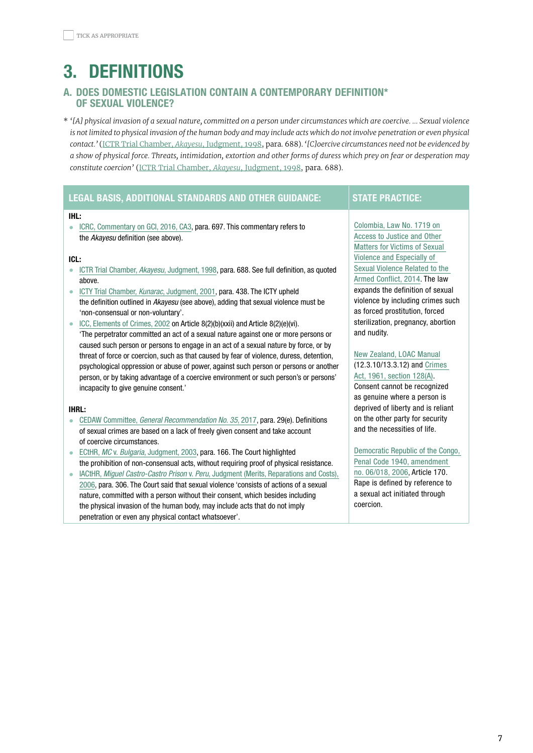# <span id="page-6-0"></span>3. DEFINITIONS

# A. DOES DOMESTIC LEGISLATION CONTAIN A CONTEMPORARY DEFINITION\* OF SEXUAL VIOLENCE?

\* *'[A] physical invasion of a sexual nature, committed on a person under circumstances which are coercive. … Sexual violence*  is not limited to physical invasion of the human body and may include acts which do not involve penetration or even physical *contact.'* (ICTR Trial Chamber, *Akayesu*, [Judgment,](https://unictr.irmct.org/sites/unictr.org/files/case-documents/ictr-96-4/trial-judgements/en/980902.pdf) 1998, para. 688). *'[C]oercive circumstances need not be evidenced by a show of physical force. Threats, intimidation, extortion and other forms of duress which prey on fear or desperation may constitute coercion'* (ICTR Trial Chamber, *Akayesu*, [Judgment,](https://unictr.irmct.org/sites/unictr.org/files/case-documents/ictr-96-4/trial-judgements/en/980902.pdf) 1998, para. 688).

|                        | <b>LEGAL BASIS, ADDITIONAL STANDARDS AND OTHER GUIDANCE:</b>                                                                                                                                                                                                                            | <b>STATE PRACTICE:</b>                                                                                                            |
|------------------------|-----------------------------------------------------------------------------------------------------------------------------------------------------------------------------------------------------------------------------------------------------------------------------------------|-----------------------------------------------------------------------------------------------------------------------------------|
| IHL:<br>$\bullet$      | ICRC, Commentary on GCI, 2016, CA3, para. 697. This commentary refers to<br>the Akayesu definition (see above).                                                                                                                                                                         | Colombia, Law No. 1719 on<br>Access to Justice and Other<br><b>Matters for Victims of Sexual</b>                                  |
| ICL:<br>$\bullet$      | ICTR Trial Chamber, Akayesu, Judgment, 1998, para. 688. See full definition, as quoted<br>above.                                                                                                                                                                                        | Violence and Especially of<br>Sexual Violence Related to the<br>Armed Conflict, 2014. The law<br>expands the definition of sexual |
| $\bullet$              | ICTY Trial Chamber, Kunarac, Judgment, 2001, para. 438. The ICTY upheld<br>the definition outlined in Akayesu (see above), adding that sexual violence must be<br>'non-consensual or non-voluntary'.<br>ICC, Elements of Crimes, 2002 on Article 8(2)(b)(xxii) and Article 8(2)(e)(vi). | violence by including crimes such<br>as forced prostitution, forced<br>sterilization, pregnancy, abortion                         |
|                        | 'The perpetrator committed an act of a sexual nature against one or more persons or<br>caused such person or persons to engage in an act of a sexual nature by force, or by<br>threat of force or coercion, such as that caused by fear of violence, duress, detention,                 | and nudity.<br>New Zealand, LOAC Manual                                                                                           |
|                        | psychological oppression or abuse of power, against such person or persons or another<br>person, or by taking advantage of a coercive environment or such person's or persons'<br>incapacity to give genuine consent.'                                                                  | (12.3.10/13.3.12) and Crimes<br>Act, 1961, section 128(A).<br>Consent cannot be recognized                                        |
| <b>IHRL:</b>           |                                                                                                                                                                                                                                                                                         | as genuine where a person is<br>deprived of liberty and is reliant                                                                |
|                        | CEDAW Committee, General Recommendation No. 35, 2017, para. 29(e). Definitions<br>of sexual crimes are based on a lack of freely given consent and take account<br>of coercive circumstances.                                                                                           | on the other party for security<br>and the necessities of life.                                                                   |
| $\bullet$<br>$\bullet$ | ECtHR, MC v. Bulgaria, Judgment, 2003, para. 166. The Court highlighted<br>the prohibition of non-consensual acts, without requiring proof of physical resistance.<br>IACtHR, Miguel Castro-Castro Prison v. Peru, Judgment (Merits, Reparations and Costs),                            | Democratic Republic of the Congo,<br>Penal Code 1940, amendment<br>no. 06/018, 2006, Article 170.                                 |
|                        | 2006, para. 306. The Court said that sexual violence 'consists of actions of a sexual<br>nature, committed with a person without their consent, which besides including<br>the physical invasion of the human body, may include acts that do not imply                                  | Rape is defined by reference to<br>a sexual act initiated through<br>coercion.                                                    |

penetration or even any physical contact whatsoever'.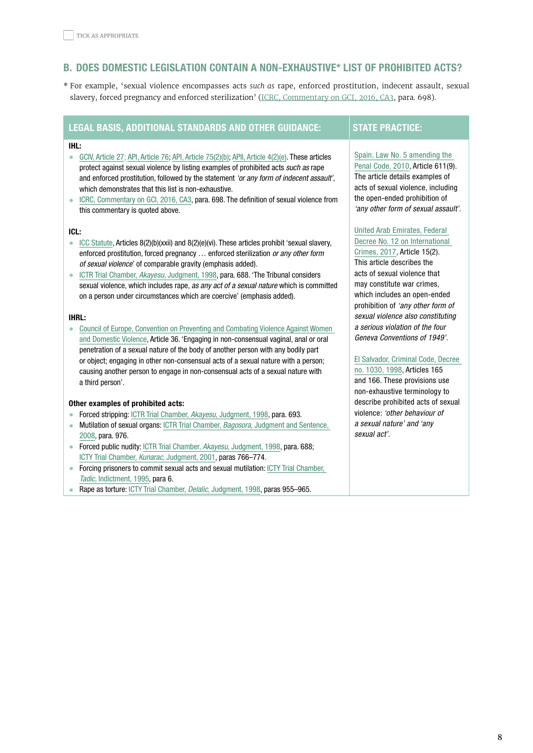# <span id="page-7-0"></span>b. DOES DOMESTIC LEGISLATION CONTAIN A NON-EXHAUSTIVE\* LIST OF PROHIBITED ACTS?

\* For example, 'sexual violence encompasses acts *such as* rape, enforced prostitution, indecent assault, sexual slavery, forced pregnancy and enforced sterilization' (ICRC, [Commentary](https://ihl-databases.icrc.org/applic/ihl/ihl.nsf/Comment.xsp?action=openDocument&documentId=59F6CDFA490736C1C1257F7D004BA0EC#610_B) on GCI, 2016, CA3, para. 698).

# LEGAL BASIS, ADDITIONAL STANDARDS AND OTHER GUIDANCE: STATE PRACTICE:

#### IHL:

- [GCIV, Article 27;](https://ihl-databases.icrc.org/ihl/b0d5f4c1f4b8102041256739003e6366/ffcb180d4e99cb26c12563cd0051bbd9) [API, Article 76;](https://ihl-databases.icrc.org/ihl/WebART/470-750098?OpenDocument) [API, Article 75\(2\)\(b\);](https://ihl-databases.icrc.org/ihl/WebART/470-750096?OpenDocument) [APII, Article 4\(2\)\(e\)](https://ihl-databases.icrc.org/applic/ihl/ihl.nsf/Article.xsp?action=openDocument&documentId=F9CBD575D47CA6C8C12563CD0051E783). These articles protect against sexual violence by listing examples of prohibited acts such as rape and enforced prostitution, followed by the statement 'or any form of indecent assault', which demonstrates that this list is non-exhaustive.
- [ICRC, Commentary on GCI, 2016, CA3,](https://ihl-databases.icrc.org/applic/ihl/ihl.nsf/Comment.xsp?action=openDocument&documentId=59F6CDFA490736C1C1257F7D004BA0EC#610_B) para. 698. The definition of sexual violence from this commentary is quoted above.

#### ICL:

- [ICC Statute,](https://www.icc-cpi.int/resource-library/documents/rs-eng.pdf) Articles  $8(2)(b)(xxii)$  and  $8(2)(e)(vi)$ . These articles prohibit 'sexual slavery, enforced prostitution, forced pregnancy … enforced sterilization or any other form of sexual violence' of comparable gravity (emphasis added).
- [ICTR Trial Chamber,](https://unictr.irmct.org/sites/unictr.org/files/case-documents/ictr-96-4/trial-judgements/en/980902.pdf) Akayesu, Judgment, 1998, para. 688. 'The Tribunal considers sexual violence, which includes rape, as any act of a sexual nature which is committed on a person under circumstances which are coercive' (emphasis added).

#### IHRL:

• [Council of Europe, Convention on Preventing and Combating Violence Against Women](https://www.coe.int/en/web/conventions/full-list/-/conventions/rms/090000168008482e)  [and Domestic Violence](https://www.coe.int/en/web/conventions/full-list/-/conventions/rms/090000168008482e), Article 36. 'Engaging in non-consensual vaginal, anal or oral penetration of a sexual nature of the body of another person with any bodily part or object; engaging in other non-consensual acts of a sexual nature with a person; causing another person to engage in non-consensual acts of a sexual nature with a third person'.

#### Other examples of prohibited acts:

- Forced stripping: [ICTR Trial Chamber,](https://unictr.irmct.org/sites/unictr.org/files/case-documents/ictr-96-4/trial-judgements/en/980902.pdf) Akayesu, Judgment, 1998, para, 693.
- Mutilation of sexual organs: ICTR Trial Chamber, Bagosora, Judgment and Sentence, [2008](https://unictr.irmct.org/sites/unictr.org/files/case-documents/ictr-98-41/trial-judgements/en/081218.pdf), para. 976.
- Forced public nudity: [ICTR Trial Chamber,](https://unictr.irmct.org/sites/unictr.org/files/case-documents/ictr-96-4/trial-judgements/en/980902.pdf) Akayesu, Judgment, 1998, para, 688; [ICTY Trial Chamber,](https://www.icty.org/x/cases/kunarac/tjug/en/kun-tj010222e.pdf) Kunarac, Judgment, 2001, paras 766–774.
- Forcing prisoners to commit sexual acts and sexual mutilation: ICTY Trial Chamber, Tadic[, Indictment, 1995,](https://www.icty.org/x/cases/tadic/ind/en/tad-2ai951214e.pdf) para 6.
- Rape as torture: [ICTY Trial Chamber,](https://www.icty.org/x/cases/mucic/tjug/en/981116_judg_en.pdf) *Delalic*, Judgment, 1998, paras 955–965.

# [Spain, Law No. 5 amending the](https://boe.es/buscar/act.php?id=BOE-A-1995-25444)

[Penal Code, 2010](https://boe.es/buscar/act.php?id=BOE-A-1995-25444), Article 611(9). The article details examples of acts of sexual violence, including the open-ended prohibition of 'any other form of sexual assault'.

[United Arab Emirates, Federal](https://ihl-databases.icrc.org/applic/ihl/ihl-nat.nsf/implementingLaws.xsp?documentId=437D8ED5B96C8D49C1258248005021AD&action=OpenDocument) 

[Decree No. 12 on International](https://ihl-databases.icrc.org/applic/ihl/ihl-nat.nsf/implementingLaws.xsp?documentId=437D8ED5B96C8D49C1258248005021AD&action=OpenDocument)  [Crimes, 2017,](https://ihl-databases.icrc.org/applic/ihl/ihl-nat.nsf/implementingLaws.xsp?documentId=437D8ED5B96C8D49C1258248005021AD&action=OpenDocument) Article 15(2). This article describes the acts of sexual violence that may constitute war crimes, which includes an open-ended prohibition of 'any other form of sexual violence also constituting a serious violation of the four Geneva Conventions of 1949'.

[El Salvador, Criminal Code, Decree](https://webcache.googleusercontent.com/search?q=cache:UT1EoFtb5-gJ:https://www.asamblea.gob.sv/sites/default/files/documents/decretos/83069FF9-4728-4EF5-87BB-F4771B293A92.pdf+&cd=1&hl=en&ct=clnk&gl=fr) 

[no. 1030, 1998](https://webcache.googleusercontent.com/search?q=cache:UT1EoFtb5-gJ:https://www.asamblea.gob.sv/sites/default/files/documents/decretos/83069FF9-4728-4EF5-87BB-F4771B293A92.pdf+&cd=1&hl=en&ct=clnk&gl=fr), Articles 165 and 166. These provisions use non-exhaustive terminology to describe prohibited acts of sexual violence: 'other behaviour of a sexual nature' and 'any sexual act'.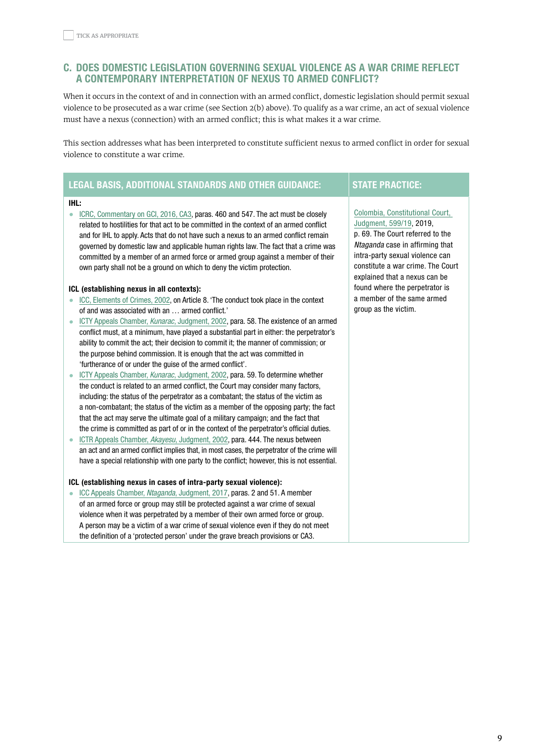# <span id="page-8-0"></span>c. DOES DOMESTIC LEGISLATION GOVERNING SEXUAL VIOLENCE AS A WAR CRIME REFLECT A CONTEMPORARY INTERPRETATION OF NEXUS TO ARMED CONFLICT?

When it occurs in the context of and in connection with an armed conflict, domestic legislation should permit sexual violence to be prosecuted as a war crime (see Section 2(b) above). To qualify as a war crime, an act of sexual violence must have a nexus (connection) with an armed conflict; this is what makes it a war crime.

This section addresses what has been interpreted to constitute sufficient nexus to armed conflict in order for sexual violence to constitute a war crime.

# LEGAL BASIS, ADDITIONAL STANDARDS AND OTHER GUIDANCE: STATE PRACTICE:

#### IHL:

• [ICRC, Commentary on GCI, 2016, CA3,](https://ihl-databases.icrc.org/applic/ihl/ihl.nsf/Comment.xsp?action=openDocument&documentId=59F6CDFA490736C1C1257F7D004BA0EC) paras, 460 and 547. The act must be closely related to hostilities for that act to be committed in the context of an armed conflict and for IHL to apply. Acts that do not have such a nexus to an armed conflict remain governed by domestic law and applicable human rights law. The fact that a crime was committed by a member of an armed force or armed group against a member of their own party shall not be a ground on which to deny the victim protection.

#### ICL (establishing nexus in all contexts):

- [ICC, Elements of Crimes, 2002,](https://www.icc-cpi.int/NR/rdonlyres/336923D8-A6AD-40EC-AD7B-45BF9DE73D56/0/ElementsOfCrimesEng.pdf) on Article 8. 'The conduct took place in the context of and was associated with an … armed conflict.'
- [ICTY Appeals Chamber,](https://www.icty.org/x/cases/kunarac/acjug/en/kun-aj020612e.pdf) Kunarac, Judgment, 2002, para. 58. The existence of an armed conflict must, at a minimum, have played a substantial part in either: the perpetrator's ability to commit the act; their decision to commit it; the manner of commission; or the purpose behind commission. It is enough that the act was committed in 'furtherance of or under the guise of the armed conflict'.
- [ICTY Appeals Chamber,](https://www.icty.org/x/cases/kunarac/acjug/en/kun-aj020612e.pdf) Kunarac, Judgment, 2002, para. 59. To determine whether the conduct is related to an armed conflict, the Court may consider many factors, including: the status of the perpetrator as a combatant; the status of the victim as a non-combatant; the status of the victim as a member of the opposing party; the fact that the act may serve the ultimate goal of a military campaign; and the fact that the crime is committed as part of or in the context of the perpetrator's official duties.
- [ICTR Appeals Chamber,](https://www.refworld.org/cases,ICTR,4084f42f4.html) Akayesu, Judgment, 2002, para. 444. The nexus between an act and an armed conflict implies that, in most cases, the perpetrator of the crime will have a special relationship with one party to the conflict; however, this is not essential.

## ICL (establishing nexus in cases of intra-party sexual violence):

• [ICC Appeals Chamber,](https://www.icc-cpi.int/CourtRecords/CR2017_03920.PDF) Ntaganda, Judgment, 2017, paras. 2 and 51. A member of an armed force or group may still be protected against a war crime of sexual violence when it was perpetrated by a member of their own armed force or group. A person may be a victim of a war crime of sexual violence even if they do not meet the definition of a 'protected person' under the grave breach provisions or CA3.

# [Colombia, Constitutional Court,](https://ihl-databases.icrc.org/applic/ihl/ihl-nat.nsf/caseLaw.xsp?documentId=528C5233113A87D5C12584EB004D647C&action=OpenDocument)  [Judgment, 599/19,](https://ihl-databases.icrc.org/applic/ihl/ihl-nat.nsf/caseLaw.xsp?documentId=528C5233113A87D5C12584EB004D647C&action=OpenDocument) 2019, p. 69. The Court referred to the Ntaganda case in affirming that intra-party sexual violence can constitute a war crime. The Court explained that a nexus can be

found where the perpetrator is a member of the same armed

group as the victim.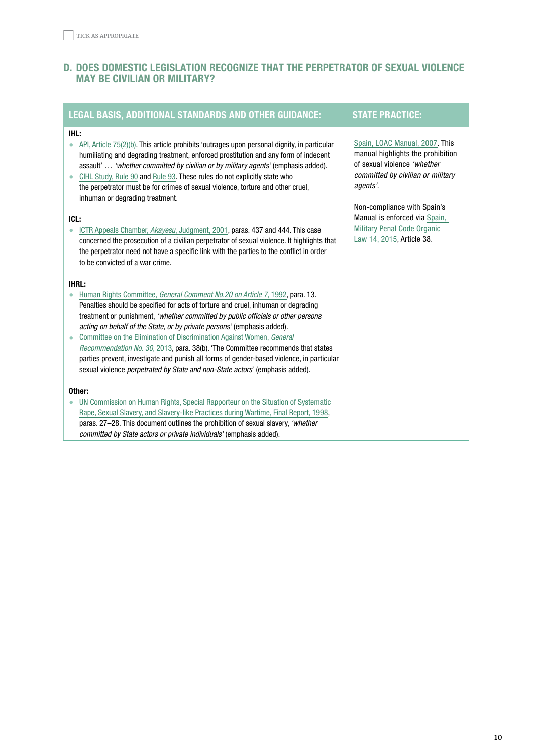# <span id="page-9-0"></span>D. DOES DOMESTIC LEGISLATION RECOGNIZE THAT THE PERPETRATOR OF SEXUAL VIOLENCE MAY BE CIVILIAN OR MILITARY?

| <b>LEGAL BASIS, ADDITIONAL STANDARDS AND OTHER GUIDANCE:</b>                                                                                                                                                                                                                                                                                                                                                                                                                                    | <b>STATE PRACTICE:</b>                                                                                                                                                                                              |
|-------------------------------------------------------------------------------------------------------------------------------------------------------------------------------------------------------------------------------------------------------------------------------------------------------------------------------------------------------------------------------------------------------------------------------------------------------------------------------------------------|---------------------------------------------------------------------------------------------------------------------------------------------------------------------------------------------------------------------|
| IHL:<br>API, Article 75(2)(b). This article prohibits 'outrages upon personal dignity, in particular<br>۰<br>humiliating and degrading treatment, enforced prostitution and any form of indecent<br>assault'  'whether committed by civilian or by military agents' (emphasis added).<br>CIHL Study, Rule 90 and Rule 93. These rules do not explicitly state who<br>the perpetrator must be for crimes of sexual violence, torture and other cruel,<br>inhuman or degrading treatment.<br>ICL: | Spain, LOAC Manual, 2007. This<br>manual highlights the prohibition<br>of sexual violence 'whether<br>committed by civilian or military<br>agents'.<br>Non-compliance with Spain's<br>Manual is enforced via Spain, |
| ICTR Appeals Chamber, Akayesu, Judgment, 2001, paras. 437 and 444. This case<br>$\bullet$<br>concerned the prosecution of a civilian perpetrator of sexual violence. It highlights that<br>the perpetrator need not have a specific link with the parties to the conflict in order<br>to be convicted of a war crime.                                                                                                                                                                           | <b>Military Penal Code Organic</b><br>Law 14, 2015, Article 38.                                                                                                                                                     |
| <b>IHRL:</b>                                                                                                                                                                                                                                                                                                                                                                                                                                                                                    |                                                                                                                                                                                                                     |
| Human Rights Committee, General Comment No.20 on Article 7, 1992, para. 13.                                                                                                                                                                                                                                                                                                                                                                                                                     |                                                                                                                                                                                                                     |
| Penalties should be specified for acts of torture and cruel, inhuman or degrading                                                                                                                                                                                                                                                                                                                                                                                                               |                                                                                                                                                                                                                     |
| treatment or punishment, 'whether committed by public officials or other persons                                                                                                                                                                                                                                                                                                                                                                                                                |                                                                                                                                                                                                                     |
| acting on behalf of the State, or by private persons' (emphasis added).<br>Committee on the Elimination of Discrimination Against Women, General                                                                                                                                                                                                                                                                                                                                                |                                                                                                                                                                                                                     |
| Recommendation No. 30, 2013, para. 38(b). 'The Committee recommends that states                                                                                                                                                                                                                                                                                                                                                                                                                 |                                                                                                                                                                                                                     |
| parties prevent, investigate and punish all forms of gender-based violence, in particular                                                                                                                                                                                                                                                                                                                                                                                                       |                                                                                                                                                                                                                     |
| sexual violence perpetrated by State and non-State actors' (emphasis added).                                                                                                                                                                                                                                                                                                                                                                                                                    |                                                                                                                                                                                                                     |
| Other:                                                                                                                                                                                                                                                                                                                                                                                                                                                                                          |                                                                                                                                                                                                                     |
| UN Commission on Human Rights, Special Rapporteur on the Situation of Systematic                                                                                                                                                                                                                                                                                                                                                                                                                |                                                                                                                                                                                                                     |
| Rape, Sexual Slavery, and Slavery-like Practices during Wartime, Final Report, 1998,                                                                                                                                                                                                                                                                                                                                                                                                            |                                                                                                                                                                                                                     |
| paras. 27-28. This document outlines the prohibition of sexual slavery, 'whether                                                                                                                                                                                                                                                                                                                                                                                                                |                                                                                                                                                                                                                     |
| committed by State actors or private individuals' (emphasis added).                                                                                                                                                                                                                                                                                                                                                                                                                             |                                                                                                                                                                                                                     |
|                                                                                                                                                                                                                                                                                                                                                                                                                                                                                                 |                                                                                                                                                                                                                     |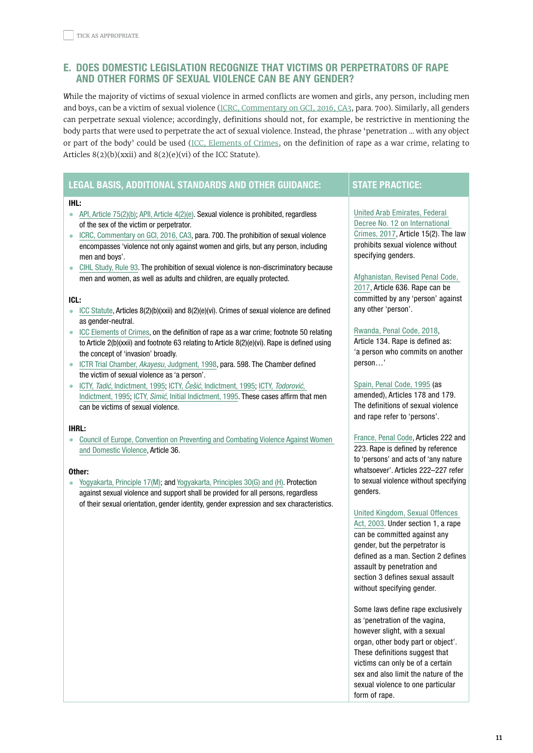# <span id="page-10-0"></span>e. DOES DOMESTIC LEGISLATION RECOGNIZE THAT VICTIMS OR PERPETRATORS OF RAPE AND OTHER FORMS OF SEXUAL VIOLENCE CAN BE ANY GENDER?

*W*hile the majority of victims of sexual violence in armed conflicts are women and girls, any person, including men and boys, can be a victim of sexual violence (ICRC, [Commentary](https://ihl-databases.icrc.org/applic/ihl/ihl.nsf/Comment.xsp?action=openDocument&documentId=59F6CDFA490736C1C1257F7D004BA0EC#610_B) on GCI, 2016, CA3, para. 700). Similarly, all genders can perpetrate sexual violence; accordingly, definitions should not, for example, be restrictive in mentioning the body parts that were used to perpetrate the act of sexual violence. Instead, the phrase 'penetration … with any object or part of the body' could be used (ICC, [Elements](https://www.icc-cpi.int/NR/rdonlyres/336923D8-A6AD-40EC-AD7B-45BF9DE73D56/0/ElementsOfCrimesEng.pdf) of Crimes, on the definition of rape as a war crime, relating to Articles  $8(2)(b)(xxii)$  and  $8(2)(e)(vi)$  of the ICC Statute).

# LEGAL BASIS, ADDITIONAL STANDARDS AND OTHER GUIDANCE: STATE PRACTICE:

#### IHL:

- [API, Article 75\(2\)\(b\);](https://ihl-databases.icrc.org/ihl/WebART/470-750096?OpenDocument) [APII, Article 4\(2\)\(e\)](https://ihl-databases.icrc.org/ihl/WebART/475-760008?OpenDocument). Sexual violence is prohibited, regardless of the sex of the victim or perpetrator.
- [ICRC, Commentary on GCI, 2016, CA3,](https://ihl-databases.icrc.org/applic/ihl/ihl.nsf/Comment.xsp?action=openDocument&documentId=59F6CDFA490736C1C1257F7D004BA0EC#610_B) para. 700. The prohibition of sexual violence encompasses 'violence not only against women and girls, but any person, including men and boys'.
- [CIHL Study, Rule 93](https://ihl-databases.icrc.org/customary-ihl/eng/docs/v1_rul_rule93). The prohibition of sexual violence is non-discriminatory because men and women, as well as adults and children, are equally protected.

#### ICL:

- [ICC Statute,](https://www.icc-cpi.int/resource-library/documents/rs-eng.pdf) Articles  $8(2)(b)(xxii)$  and  $8(2)(e)(vi)$ . Crimes of sexual violence are defined as gender-neutral.
- [ICC Elements of Crimes,](https://www.icc-cpi.int/NR/rdonlyres/336923D8-A6AD-40EC-AD7B-45BF9DE73D56/0/ElementsOfCrimesEng.pdf) on the definition of rape as a war crime; footnote 50 relating to Article 2(b)(xxii) and footnote 63 relating to Article 8(2)(e)(vi). Rape is defined using the concept of 'invasion' broadly.
- [ICTR Trial Chamber,](https://unictr.irmct.org/sites/unictr.org/files/case-documents/ictr-96-4/trial-judgements/en/980902.pdf) Akayesu, Judgment, 1998, para. 598. The Chamber defined the victim of sexual violence as 'a person'.
- ICTY, Tadić[, Indictment, 1995](https://www.icty.org/x/cases/tadic/ind/en/tad-ii950213e.pdf); ICTY, Češić[, Indictment, 1995;](https://www.icty.org/x/cases/cesic/ind/en/cesic_ranko_950721_indictment_eng.pdf) ICTY, [Todorović](https://www.icty.org/x/cases/simic/ind/en/sim-ii950721e.pdf), [Indictment, 1995](https://www.icty.org/x/cases/simic/ind/en/sim-ii950721e.pdf); ICTY, Simić[, Initial Indictment, 1995](https://www.icty.org/x/cases/simic/ind/en/sim-ii950721e.pdf). These cases affirm that men can be victims of sexual violence.

#### IHRL:

• [Council of Europe, Convention on Preventing and Combating Violence Against Women](https://www.coe.int/en/web/conventions/full-list/-/conventions/rms/090000168008482e)  [and Domestic Violence](https://www.coe.int/en/web/conventions/full-list/-/conventions/rms/090000168008482e), Article 36.

#### Other:

• [Yogyakarta, Principle 17\(M\)](https://yogyakartaprinciples.org/relating-to-the-right-to-the-highest-attainable-standard-of-health-principle-17/); and [Yogyakarta, Principles 30\(G\) and \(H\)](https://yogyakartaprinciples.org/principle-30-yp10/). Protection against sexual violence and support shall be provided for all persons, regardless of their sexual orientation, gender identity, gender expression and sex characteristics.

[United Arab Emirates, Federal](https://ihl-databases.icrc.org/applic/ihl/ihl-nat.nsf/implementingLaws.xsp?documentId=437D8ED5B96C8D49C1258248005021AD&action=OpenDocument)  [Decree No. 12 on International](https://ihl-databases.icrc.org/applic/ihl/ihl-nat.nsf/implementingLaws.xsp?documentId=437D8ED5B96C8D49C1258248005021AD&action=OpenDocument)  [Crimes, 2017](https://ihl-databases.icrc.org/applic/ihl/ihl-nat.nsf/implementingLaws.xsp?documentId=437D8ED5B96C8D49C1258248005021AD&action=OpenDocument), Article 15(2). The law prohibits sexual violence without specifying genders.

# [Afghanistan, Revised Penal Code,](https://ihl-databases.icrc.org/applic/ihl/ihl-nat.nsf/implementingLaws.xsp?documentId=598034855221CE85C12582480054D831&action=openDocument&xp_countrySelected=AF&xp_topicSelected=GVAL-992BU6&from=state)

[2017,](https://ihl-databases.icrc.org/applic/ihl/ihl-nat.nsf/implementingLaws.xsp?documentId=598034855221CE85C12582480054D831&action=openDocument&xp_countrySelected=AF&xp_topicSelected=GVAL-992BU6&from=state) Article 636. Rape can be committed by any 'person' against any other 'person'.

#### [Rwanda, Penal Code, 2018](https://reliefweb.int/sites/reliefweb.int/files/resources/Checklist%20English.pdf),

Article 134. Rape is defined as: 'a person who commits on another person…'

[Spain, Penal Code, 1995](https://boe.es/buscar/act.php?id=BOE-A-1995-25444) (as amended), Articles 178 and 179. The definitions of sexual violence and rape refer to 'persons'.

[France, Penal Code,](https://www.legifrance.gouv.fr/affichCode.do?idSectionTA=LEGISCTA000006181753&cidTexte=LEGITEXT000006070719&dateTexte=20200602) Articles 222 and 223. Rape is defined by reference to 'persons' and acts of 'any nature whatsoever'. Articles 222–227 refer to sexual violence without specifying genders.

## [United Kingdom, Sexual Offences](http://www.legislation.gov.uk/ukpga/2003/42/part/1)

[Act, 2003](http://www.legislation.gov.uk/ukpga/2003/42/part/1). Under section 1, a rape can be committed against any gender, but the perpetrator is defined as a man. Section 2 defines assault by penetration and section 3 defines sexual assault without specifying gender.

Some laws define rape exclusively as 'penetration of the vagina, however slight, with a sexual organ, other body part or object'. These definitions suggest that victims can only be of a certain sex and also limit the nature of the sexual violence to one particular form of rape.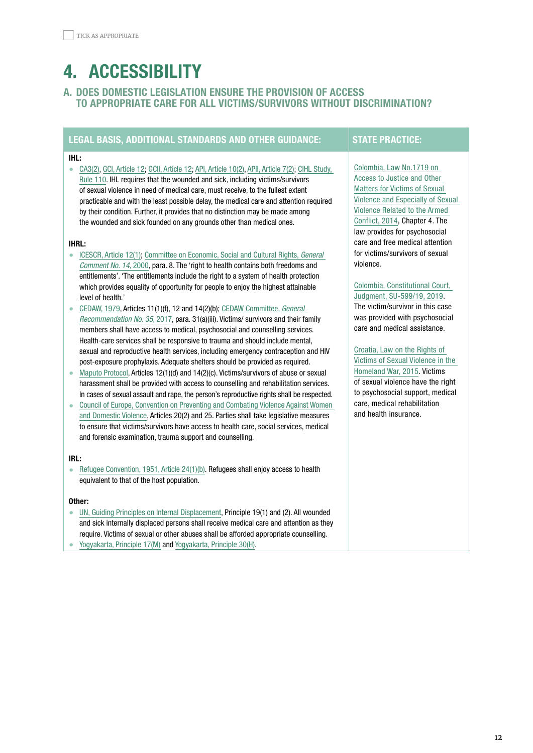# <span id="page-11-0"></span>4. ACCESSIBILITY

# A. DOES DOMESTIC LEGISLATION ENSURE THE PROVISION OF ACCESS TO APPROPRIATE CARE FOR ALL VICTIMS/SURVIVORS WITHOUT DISCRIMINATION?

# LEGAL BASIS, ADDITIONAL STANDARDS AND OTHER GUIDANCE: STATE PRACTICE:

#### IHL:

• [CA3\(2\),](https://ihl-databases.icrc.org/ihl/WebART/375-590006) [GCI, Article 12;](https://ihl-databases.icrc.org/applic/ihl/ihl.nsf/Article.xsp?action=openDocument&documentId=B97B83DC12AC4998C12563CD00519F56) [GCII, Article 12](https://ihl-databases.icrc.org/applic/ihl/ihl.nsf/Article.xsp?action=openDocument&documentId=A30C39F7F85D71CDC12563CD0051A5CF); [API, Article 10\(2\),](https://ihl-databases.icrc.org/applic/ihl/ihl.nsf/Article.xsp?action=openDocument&documentId=6EAD04662456DA32C12563CD0051D78D) [APII, Article 7\(2\);](https://ihl-databases.icrc.org/applic/ihl/ihl.nsf/Article.xsp?action=openDocument&documentId=19B84A81B450AA6EC12563CD0051E826) [CIHL Study,](https://ihl-databases.icrc.org/customary-ihl/eng/docs/v1_rul_rule110)  [Rule 110.](https://ihl-databases.icrc.org/customary-ihl/eng/docs/v1_rul_rule110) IHL requires that the wounded and sick, including victims/survivors of sexual violence in need of medical care, must receive, to the fullest extent practicable and with the least possible delay, the medical care and attention required by their condition. Further, it provides that no distinction may be made among the wounded and sick founded on any grounds other than medical ones.

#### IHRL:

- [ICESCR, Article 12\(1\)](https://www.ohchr.org/en/professionalinterest/pages/cescr.aspx); [Committee on Economic, Social and Cultural Rights,](https://www.refworld.org/pdfid/4538838d0.pdf) General [Comment No. 14](https://www.refworld.org/pdfid/4538838d0.pdf), 2000, para. 8. The 'right to health contains both freedoms and entitlements'. 'The entitlements include the right to a system of health protection which provides equality of opportunity for people to enjoy the highest attainable level of health.'
- [CEDAW, 1979](https://www.ohchr.org/en/professionalinterest/pages/cedaw.aspx), Articles 11(1)(f), 12 and 14(2)(b); [CEDAW Committee,](https://tbinternet.ohchr.org/_layouts/15/treatybodyexternal/Download.aspx?symbolno=CEDAW/C/GC/35&Lang=en) General [Recommendation No. 35](https://tbinternet.ohchr.org/_layouts/15/treatybodyexternal/Download.aspx?symbolno=CEDAW/C/GC/35&Lang=en), 2017, para. 31(a)(iii). Victims/ survivors and their family members shall have access to medical, psychosocial and counselling services. Health-care services shall be responsive to trauma and should include mental, sexual and reproductive health services, including emergency contraception and HIV post-exposure prophylaxis. Adequate shelters should be provided as required.
- [Maputo Protocol](https://www.un.org/en/africa/osaa/pdf/au/protocol_rights_women_africa_2003.pdf), Articles 12(1)(d) and 14(2)(c). Victims/survivors of abuse or sexual harassment shall be provided with access to counselling and rehabilitation services. In cases of sexual assault and rape, the person's reproductive rights shall be respected.
- [Council of Europe, Convention on Preventing and Combating Violence Against Women](https://www.coe.int/en/web/conventions/full-list/-/conventions/rms/090000168008482e)  [and Domestic Violence](https://www.coe.int/en/web/conventions/full-list/-/conventions/rms/090000168008482e), Articles 20(2) and 25. Parties shall take legislative measures to ensure that victims/survivors have access to health care, social services, medical and forensic examination, trauma support and counselling.

#### IRL:

• [Refugee Convention, 1951, Article 24\(1\)\(b\).](https://www.unhcr.org/3b66c2aa10) Refugees shall enjoy access to health equivalent to that of the host population.

#### Other:

- [UN, Guiding Principles on Internal Displacement](https://www.unhcr.org/protection/idps/43ce1cff2/guiding-principles-internal-displacement.html), Principle 19(1) and (2). All wounded and sick internally displaced persons shall receive medical care and attention as they require. Victims of sexual or other abuses shall be afforded appropriate counselling.
- [Yogyakarta, Principle 17\(M\)](https://yogyakartaprinciples.org/relating-to-the-right-to-the-highest-attainable-standard-of-health-principle-17/) and [Yogyakarta, Principle 30\(H\).](https://yogyakartaprinciples.org/principle-30-yp10/)

[Colombia, Law No.1719 on](https://ihl-databases.icrc.org/applic/ihl/ihl-nat.nsf/implementingLaws.xsp?documentId=574056545A066035C1257E620053D05C&action=OpenDocument)  [Access to Justice and Other](https://ihl-databases.icrc.org/applic/ihl/ihl-nat.nsf/implementingLaws.xsp?documentId=574056545A066035C1257E620053D05C&action=OpenDocument)  [Matters for Victims of Sexual](https://ihl-databases.icrc.org/applic/ihl/ihl-nat.nsf/implementingLaws.xsp?documentId=574056545A066035C1257E620053D05C&action=OpenDocument)  [Violence and Especially of Sexual](https://ihl-databases.icrc.org/applic/ihl/ihl-nat.nsf/implementingLaws.xsp?documentId=574056545A066035C1257E620053D05C&action=OpenDocument)  [Violence Related to the Armed](https://ihl-databases.icrc.org/applic/ihl/ihl-nat.nsf/implementingLaws.xsp?documentId=574056545A066035C1257E620053D05C&action=OpenDocument)  [Conflict, 2014](https://ihl-databases.icrc.org/applic/ihl/ihl-nat.nsf/implementingLaws.xsp?documentId=574056545A066035C1257E620053D05C&action=OpenDocument), Chapter 4. The law provides for psychosocial care and free medical attention for victims/survivors of sexual violence.

## [Colombia, Constitutional Court,](https://www.womenslinkworldwide.org/files/3105/decision-corte-constitucional-caso-helena.pdf)  [Judgment, SU-599/19, 2019](https://www.womenslinkworldwide.org/files/3105/decision-corte-constitucional-caso-helena.pdf). The victim/survivor in this case was provided with psychosocial

care and medical assistance.

[Croatia, Law on the Rights of](https://ihl-databases.icrc.org/applic/ihl/ihl-nat.nsf/implementingLaws.xsp?documentId=E7CFB467BEAE9444C1257F18004AA23F&action=openDocument&xp_countrySelected=HR&xp_topicSelected=GVAL-992BUG&from=state)  [Victims of Sexual Violence in the](https://ihl-databases.icrc.org/applic/ihl/ihl-nat.nsf/implementingLaws.xsp?documentId=E7CFB467BEAE9444C1257F18004AA23F&action=openDocument&xp_countrySelected=HR&xp_topicSelected=GVAL-992BUG&from=state)  [Homeland War, 2015.](https://ihl-databases.icrc.org/applic/ihl/ihl-nat.nsf/implementingLaws.xsp?documentId=E7CFB467BEAE9444C1257F18004AA23F&action=openDocument&xp_countrySelected=HR&xp_topicSelected=GVAL-992BUG&from=state) Victims of sexual violence have the right to psychosocial support, medical care, medical rehabilitation and health insurance.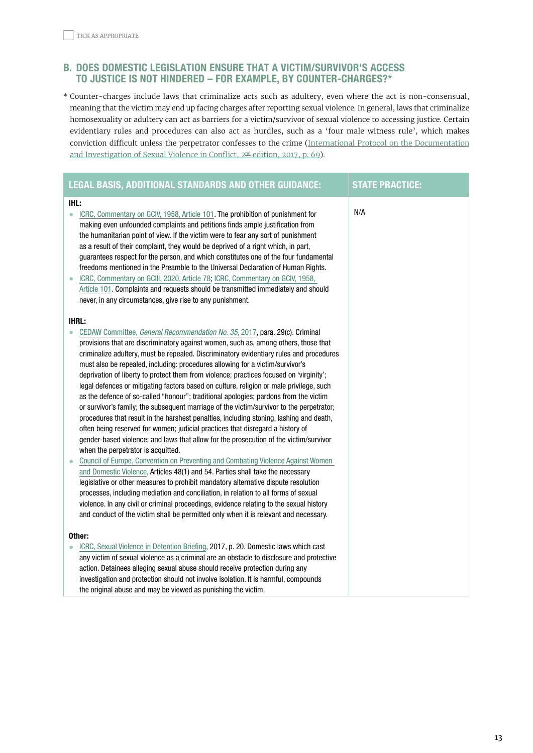# <span id="page-12-0"></span>**B. DOES DOMESTIC LEGISLATION ENSURE THAT A VICTIM/SURVIVOR'S ACCESS** TO JUSTICE IS NOT HINDERED – FOR EXAMPLE, BY COUNTER-CHARGES?\*

\* Counter-charges include laws that criminalize acts such as adultery, even where the act is non-consensual, meaning that the victim may end up facing charges after reporting sexual violence. In general, laws that criminalize homosexuality or adultery can act as barriers for a victim/survivor of sexual violence to accessing justice. Certain evidentiary rules and procedures can also act as hurdles, such as a 'four male witness rule', which makes conviction difficult unless the perpetrator confesses to the crime ([International Protocol on the Documentation](https://assets.publishing.service.gov.uk/government/uploads/system/uploads/attachment_data/file/598335/International_Protocol_2017_2nd_Edition.pdf) and [Investigation](https://assets.publishing.service.gov.uk/government/uploads/system/uploads/attachment_data/file/598335/International_Protocol_2017_2nd_Edition.pdf) of Sexual Violence in Conflict, 2<sup>nd</sup> edition, 2017, p. 69).

|           | <b>LEGAL BASIS, ADDITIONAL STANDARDS AND OTHER GUIDANCE:</b>                                                                                                                       | <b>STATE PRACTICE:</b> |
|-----------|------------------------------------------------------------------------------------------------------------------------------------------------------------------------------------|------------------------|
| IHL:      |                                                                                                                                                                                    |                        |
| $\bullet$ | ICRC, Commentary on GCIV, 1958, Article 101. The prohibition of punishment for                                                                                                     | N/A                    |
|           | making even unfounded complaints and petitions finds ample justification from<br>the humanitarian point of view. If the victim were to fear any sort of punishment                 |                        |
|           | as a result of their complaint, they would be deprived of a right which, in part,                                                                                                  |                        |
|           | guarantees respect for the person, and which constitutes one of the four fundamental                                                                                               |                        |
|           | freedoms mentioned in the Preamble to the Universal Declaration of Human Rights.                                                                                                   |                        |
|           | ICRC, Commentary on GCIII, 2020, Article 78; ICRC, Commentary on GCIV, 1958,                                                                                                       |                        |
|           | Article 101. Complaints and requests should be transmitted immediately and should                                                                                                  |                        |
|           | never, in any circumstances, give rise to any punishment.                                                                                                                          |                        |
|           | <b>IHRL:</b>                                                                                                                                                                       |                        |
| $\bullet$ | CEDAW Committee, General Recommendation No. 35, 2017, para. 29(c). Criminal                                                                                                        |                        |
|           | provisions that are discriminatory against women, such as, among others, those that                                                                                                |                        |
|           | criminalize adultery, must be repealed. Discriminatory evidentiary rules and procedures                                                                                            |                        |
|           | must also be repealed, including: procedures allowing for a victim/survivor's                                                                                                      |                        |
|           | deprivation of liberty to protect them from violence; practices focused on 'virginity';<br>legal defences or mitigating factors based on culture, religion or male privilege, such |                        |
|           | as the defence of so-called "honour"; traditional apologies; pardons from the victim                                                                                               |                        |
|           | or survivor's family; the subsequent marriage of the victim/survivor to the perpetrator;                                                                                           |                        |
|           | procedures that result in the harshest penalties, including stoning, lashing and death,                                                                                            |                        |
|           | often being reserved for women; judicial practices that disregard a history of                                                                                                     |                        |
|           | gender-based violence; and laws that allow for the prosecution of the victim/survivor                                                                                              |                        |
|           | when the perpetrator is acquitted.                                                                                                                                                 |                        |
|           | Council of Europe, Convention on Preventing and Combating Violence Against Women                                                                                                   |                        |
|           | and Domestic Violence, Articles 48(1) and 54. Parties shall take the necessary                                                                                                     |                        |
|           | legislative or other measures to prohibit mandatory alternative dispute resolution<br>processes, including mediation and conciliation, in relation to all forms of sexual          |                        |
|           | violence. In any civil or criminal proceedings, evidence relating to the sexual history                                                                                            |                        |
|           | and conduct of the victim shall be permitted only when it is relevant and necessary.                                                                                               |                        |
|           |                                                                                                                                                                                    |                        |
|           | Other:                                                                                                                                                                             |                        |
|           | ICRC, Sexual Violence in Detention Briefing, 2017, p. 20. Domestic laws which cast                                                                                                 |                        |
|           | any victim of sexual violence as a criminal are an obstacle to disclosure and protective                                                                                           |                        |
|           | action. Detainees alleging sexual abuse should receive protection during any                                                                                                       |                        |
|           | investigation and protection should not involve isolation. It is harmful, compounds                                                                                                |                        |
|           | the original abuse and may be viewed as punishing the victim.                                                                                                                      |                        |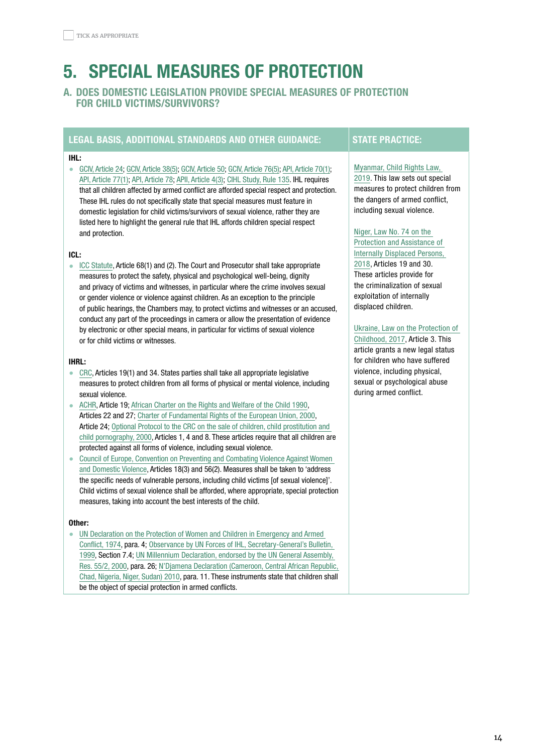# <span id="page-13-0"></span>5. SPECIAL MEASURES OF PROTECTION

# A. DOES DOMESTIC LEGISLATION PROVIDE SPECIAL MEASURES OF PROTECTION FOR CHILD VICTIMS/SURVIVORS?

# LEGAL BASIS, ADDITIONAL STANDARDS AND OTHER GUIDANCE: STATE PRACTICE:

#### IHL:

• [GCIV, Article 24](https://ihl-databases.icrc.org/applic/ihl/ihl.nsf/Article.xsp?action=openDocument&documentId=EF34C9694E5DC085C12563CD0051BB98); [GCIV, Article 38\(5\)](https://ihl-databases.icrc.org/applic/ihl/ihl.nsf/Article.xsp?action=openDocument&documentId=0044556606FFA2D1C12563CD0051BCA7); [GCIV, Article 50;](https://ihl-databases.icrc.org/applic/ihl/ihl.nsf/Article.xsp?action=openDocument&documentId=E09D15BDEC76F8D9C12563CD0051BDCC) [GCIV, Article 76\(5\);](https://ihl-databases.icrc.org/applic/ihl/ihl.nsf/Article.xsp?action=openDocument&documentId=076982CDB0849904C12563CD0051BFFD) [API, Article 70\(1\);](https://ihl-databases.icrc.org/applic/ihl/ihl.nsf/Article.xsp?action=openDocument&documentId=609876DAFD3EEEACC12563CD0051DF9A) [API, Article 77\(1\)](https://ihl-databases.icrc.org/applic/ihl/ihl.nsf/Article.xsp?action=openDocument&documentId=8F7D6B2DEE119FBAC12563CD0051E0A2); [API, Article 78](https://ihl-databases.icrc.org/applic/ihl/ihl.nsf/Article.xsp?action=openDocument&documentId=AF6D036649078A20C12563CD0051E0C4); [APII, Article 4\(3\)](https://ihl-databases.icrc.org/applic/ihl/ihl.nsf/Article.xsp?action=openDocument&documentId=F9CBD575D47CA6C8C12563CD0051E783); [CIHL Study, Rule 135](https://ihl-databases.icrc.org/customary-ihl/eng/docs/v1_rul_rule135). IHL requires that all children affected by armed conflict are afforded special respect and protection. These IHL rules do not specifically state that special measures must feature in domestic legislation for child victims/survivors of sexual violence, rather they are listed here to highlight the general rule that IHL affords children special respect and protection.

#### ICL:

• [ICC Statute,](https://www.icc-cpi.int/resource-library/documents/rs-eng.pdf) Article 68(1) and (2). The Court and Prosecutor shall take appropriate measures to protect the safety, physical and psychological well-being, dignity and privacy of victims and witnesses, in particular where the crime involves sexual or gender violence or violence against children. As an exception to the principle of public hearings, the Chambers may, to protect victims and witnesses or an accused, conduct any part of the proceedings in camera or allow the presentation of evidence by electronic or other special means, in particular for victims of sexual violence or for child victims or witnesses.

#### IHRL:

- [CRC,](https://www.ohchr.org/en/professionalinterest/pages/crc.aspx) Articles 19(1) and 34. States parties shall take all appropriate legislative measures to protect children from all forms of physical or mental violence, including sexual violence.
- [ACHR](https://www.cidh.oas.org/basicos/english/basic3.american%20convention.htm), Article 19: African Charter on the Rights and Welfare of the Child 1990. Articles 22 and 27; [Charter of Fundamental Rights of the European Union, 2000](https://www.europarl.europa.eu/charter/pdf/text_en.pdf), Article 24; [Optional Protocol to the CRC on the sale of children, child prostitution and](https://www.ohchr.org/EN/ProfessionalInterest/Pages/OPSCCRC.aspx)  [child pornography, 2000](https://www.ohchr.org/EN/ProfessionalInterest/Pages/OPSCCRC.aspx), Articles 1, 4 and 8. These articles require that all children are protected against all forms of violence, including sexual violence.
- [Council of Europe, Convention on Preventing and Combating Violence Against Women](https://www.coe.int/en/web/conventions/full-list/-/conventions/rms/090000168008482e)  [and Domestic Violence](https://www.coe.int/en/web/conventions/full-list/-/conventions/rms/090000168008482e), Articles 18(3) and 56(2). Measures shall be taken to 'address the specific needs of vulnerable persons, including child victims [of sexual violence]'. Child victims of sexual violence shall be afforded, where appropriate, special protection measures, taking into account the best interests of the child.

#### Other:

• [UN Declaration on the Protection of Women and Children in Emergency and Armed](https://www.ohchr.org/Documents/ProfessionalInterest/protectionwomen.pdf)  [Conflict, 1974](https://www.ohchr.org/Documents/ProfessionalInterest/protectionwomen.pdf), para. 4; [Observance by UN Forces of IHL, Secretary-General's Bulletin,](https://conduct.unmissions.org/secretary-general%E2%80%99s-bulletin-observance-united-nations-forces-international-humanitarian-law)  [1999](https://conduct.unmissions.org/secretary-general%E2%80%99s-bulletin-observance-united-nations-forces-international-humanitarian-law), Section 7.4; [UN Millennium Declaration, endorsed by the UN General Assembly,](https://undocs.org/A/RES/55/2)  [Res. 55/2, 2000,](https://undocs.org/A/RES/55/2) para. 26; [N'Djamena Declaration \(Cameroon, Central African Republic,](https://ihl-databases.icrc.org/customary-ihl/eng/docs/v2_rul_rule93)  [Chad, Nigeria, Niger, Sudan\) 2010,](https://ihl-databases.icrc.org/customary-ihl/eng/docs/v2_rul_rule93) para. 11. These instruments state that children shall be the object of special protection in armed conflicts.

### [Myanmar, Child Rights Law,](https://ihl-databases.icrc.org/applic/ihl/ihl-nat.nsf/implementingLaws.xsp?documentId=BFBAB7AD3A65FEF6C12584AE007B3FDC&action=OpenDocument)

[2019.](https://ihl-databases.icrc.org/applic/ihl/ihl-nat.nsf/implementingLaws.xsp?documentId=BFBAB7AD3A65FEF6C12584AE007B3FDC&action=OpenDocument) This law sets out special measures to protect children from the dangers of armed conflict, including sexual violence.

## [Niger, Law No. 74 on the](https://ihl-databases.icrc.org/applic/ihl/ihl-nat.nsf/implementingLaws.xsp?documentId=01DB4310DFA646B2C12584AE004E441C&action=OpenDocument)

[Protection and Assistance of](https://ihl-databases.icrc.org/applic/ihl/ihl-nat.nsf/implementingLaws.xsp?documentId=01DB4310DFA646B2C12584AE004E441C&action=OpenDocument)  [Internally Displaced Persons,](https://ihl-databases.icrc.org/applic/ihl/ihl-nat.nsf/implementingLaws.xsp?documentId=01DB4310DFA646B2C12584AE004E441C&action=OpenDocument)  [2018,](https://ihl-databases.icrc.org/applic/ihl/ihl-nat.nsf/implementingLaws.xsp?documentId=01DB4310DFA646B2C12584AE004E441C&action=OpenDocument) Articles 19 and 30. These articles provide for the criminalization of sexual exploitation of internally displaced children.

### [Ukraine, Law on the Protection of](https://ihl-databases.icrc.org/applic/ihl/ihl-nat.nsf/implementingLaws.xsp?documentId=37729C3BCAE3B038C12584A2005353E9&action=OpenDocument)

[Childhood, 2017,](https://ihl-databases.icrc.org/applic/ihl/ihl-nat.nsf/implementingLaws.xsp?documentId=37729C3BCAE3B038C12584A2005353E9&action=OpenDocument) Article 3. This article grants a new legal status for children who have suffered violence, including physical, sexual or psychological abuse during armed conflict.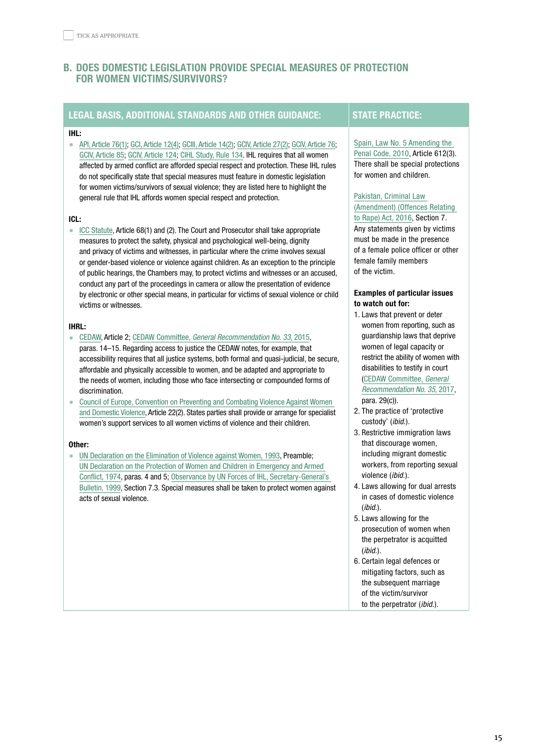# <span id="page-14-0"></span>b. DOES DOMESTIC LEGISLATION PROVIDE SPECIAL MEASURES OF PROTECTION FOR WOMEN VICTIMS/SURVIVORS?

# LEGAL BASIS, ADDITIONAL STANDARDS AND OTHER GUIDANCE: STATE PRACTICE:

## IHL:

• [API, Article 76\(1\);](https://ihl-databases.icrc.org/ihl/WebART/470-750098?OpenDocument) [GCI, Article 12\(4\);](https://ihl-databases.icrc.org/applic/ihl/ihl.nsf/ART/365-570016?OpenDocument) [GCIII, Article 14\(2\);](https://ihl-databases.icrc.org/applic/ihl/ihl.nsf/9861b8c2f0e83ed3c1256403003fb8c5/f0e25f9f56372523c12563cd0051ab8f) [GCIV, Article 27\(2\);](https://ihl-databases.icrc.org/ihl/b0d5f4c1f4b8102041256739003e6366/ffcb180d4e99cb26c12563cd0051bbd9) [GCIV, Article 76](https://ihl-databases.icrc.org/applic/ihl/ihl.nsf/ART/380-600083?OpenDocument); [GCIV, Article 85;](https://ihl-databases.icrc.org/applic/ihl/ihl.nsf/Article.xsp?action=openDocument&documentId=96B5BA81516E8562C12563CD0051C0A6) [GCIV, Article 124](https://ihl-databases.icrc.org/applic/ihl/ihl.nsf/Article.xsp?action=openDocument&documentId=07ECAC424C01F44EC12563CD0051C467); [CIHL Study, Rule 134](https://ihl-databases.icrc.org/customary-ihl/eng/docs/v1_cha_chapter39_rule134). IHL requires that all women affected by armed conflict are afforded special respect and protection. These IHL rules do not specifically state that special measures must feature in domestic legislation for women victims/survivors of sexual violence; they are listed here to highlight the general rule that IHL affords women special respect and protection.

#### ICL:

• [ICC Statute,](https://www.icc-cpi.int/resource-library/documents/rs-eng.pdf) Article 68(1) and (2). The Court and Prosecutor shall take appropriate measures to protect the safety, physical and psychological well-being, dignity and privacy of victims and witnesses, in particular where the crime involves sexual or gender-based violence or violence against children. As an exception to the principle of public hearings, the Chambers may, to protect victims and witnesses or an accused, conduct any part of the proceedings in camera or allow the presentation of evidence by electronic or other special means, in particular for victims of sexual violence or child victims or witnesses.

#### IHRL:

- [CEDAW,](https://www.ohchr.org/Documents/ProfessionalInterest/cedaw.pdf) Article 2; CEDAW Committee, [General Recommendation No. 33](https://tbinternet.ohchr.org/_layouts/15/treatybodyexternal/Download.aspx?symbolno=CEDAW/C/GC/33&Lang=en), 2015, paras. 14–15. Regarding access to justice the CEDAW notes, for example, that accessibility requires that all justice systems, both formal and quasi-judicial, be secure, affordable and physically accessible to women, and be adapted and appropriate to the needs of women, including those who face intersecting or compounded forms of
- discrimination. • [Council of Europe, Convention on Preventing and Combating Violence Against Women](https://www.coe.int/en/web/conventions/full-list/-/conventions/rms/090000168008482e)  [and Domestic Violence](https://www.coe.int/en/web/conventions/full-list/-/conventions/rms/090000168008482e), Article 22(2). States parties shall provide or arrange for specialist women's support services to all women victims of violence and their children.

#### Other:

• [UN Declaration on the Elimination of Violence against Women, 1993,](https://www.un.org/en/genocideprevention/documents/atrocity-crimes/Doc.21_declaration%20elimination%20vaw.pdf) Preamble; UN [Declaration on the Protection of Women and Children in Emergency and Armed](https://www.ohchr.org/Documents/ProfessionalInterest/protectionwomen.pdf)  [Conflict, 1974](https://www.ohchr.org/Documents/ProfessionalInterest/protectionwomen.pdf), paras. 4 and 5; [Observance by UN Forces of IHL, Secretary-General's](https://conduct.unmissions.org/secretary-general%E2%80%99s-bulletin-observance-united-nations-forces-international-humanitarian-law)  [Bulletin, 1999,](https://conduct.unmissions.org/secretary-general%E2%80%99s-bulletin-observance-united-nations-forces-international-humanitarian-law) Section 7.3. Special measures shall be taken to protect women against acts of sexual violence.

[Spain, Law No. 5 Amending the](https://www.boe.es/boe/dias/2010/06/23/pdfs/BOE-A-2010-9953.pdf)  [Penal Code, 2010,](https://www.boe.es/boe/dias/2010/06/23/pdfs/BOE-A-2010-9953.pdf) Article 612(3). There shall be special protections for women and children.

# [Pakistan, Criminal Law](https://ihl-databases.icrc.org/applic/ihl/ihl-nat.nsf/implementingLaws.xsp?documentId=A0A955863B305378C12581A7003263A5&action=OpenDocument)  [\(Amendment\) \(Offences Relating](https://ihl-databases.icrc.org/applic/ihl/ihl-nat.nsf/implementingLaws.xsp?documentId=A0A955863B305378C12581A7003263A5&action=OpenDocument)

[to Rape\) Act, 2016](https://ihl-databases.icrc.org/applic/ihl/ihl-nat.nsf/implementingLaws.xsp?documentId=A0A955863B305378C12581A7003263A5&action=OpenDocument), Section 7. Any statements given by victims must be made in the presence of a female police officer or other female family members of the victim.

#### Examples of particular issues to watch out for:

- 1. Laws that prevent or deter women from reporting, such as guardianship laws that deprive women of legal capacity or restrict the ability of women with disabilities to testify in court [\(CEDAW Committee,](https://tbinternet.ohchr.org/_layouts/15/treatybodyexternal/Download.aspx?symbolno=CEDAW/C/GC/35&Lang=en) General [Recommendation No.](https://tbinternet.ohchr.org/_layouts/15/treatybodyexternal/Download.aspx?symbolno=CEDAW/C/GC/35&Lang=en) 35, 2017, para. 29(c)).
- 2. The practice of 'protective custody' (ibid.).
- 3. Restrictive immigration laws that discourage women, including migrant domestic workers, from reporting sexual violence (ibid.).
- 4. Laws allowing for dual arrests in cases of domestic violence  $(ibid.)$ .
- 5. Laws allowing for the prosecution of women when the perpetrator is acquitted (ibid.).
- 6. Certain legal defences or mitigating factors, such as the subsequent marriage of the victim/survivor to the perpetrator (*ibid.*).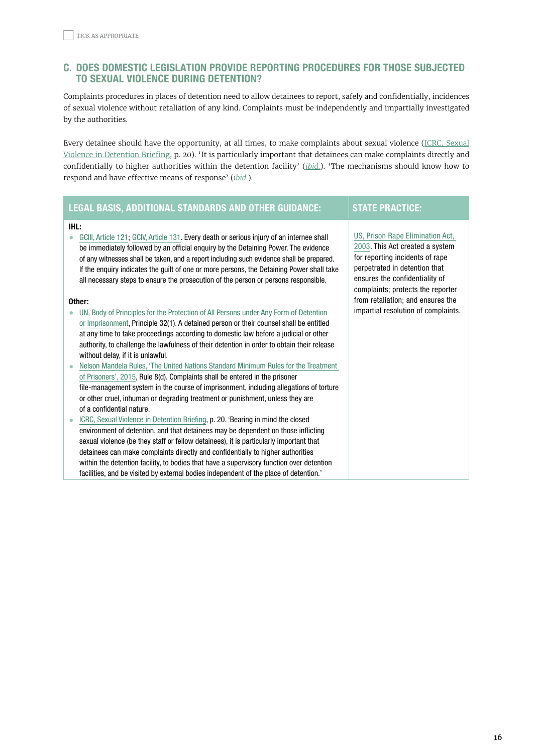# <span id="page-15-0"></span>c. DOES DOMESTIC LEGISLATION PROVIDE REPORTING PROCEDURES FOR THOSE SUBJECTED TO SEXUAL VIOLENCE DURING DETENTION?

Complaints procedures in places of detention need to allow detainees to report, safely and confidentially, incidences of sexual violence without retaliation of any kind. Complaints must be independently and impartially investigated by the authorities.

Every detainee should have the opportunity, at all times, to make complaints about sexual violence (ICRC, [Sexual](https://www.icrc.org/en/publication/4293-sexual-violence-detention) Violence in [Detention](https://www.icrc.org/en/publication/4293-sexual-violence-detention) Briefing, p. 20). 'It is particularly important that detainees can make complaints directly and confidentially to higher authorities within the detention facility' (*[ibid.](https://www.icrc.org/en/publication/4293-sexual-violence-detention)*). 'The mechanisms should know how to respond and have effective means of response' (*[ibid.](https://www.icrc.org/en/publication/4293-sexual-violence-detention)*).

# LEGAL BASIS, ADDITIONAL STANDARDS AND OTHER GUIDANCE: STATE PRACTICE:

#### IHL:

• [GCIII, Article 121](https://ihl-databases.icrc.org/applic/ihl/ihl.nsf/Article.xsp?action=openDocument&documentId=343A776AFC5D068CC12563CD0051B502); [GCIV, Article 131.](https://ihl-databases.icrc.org/applic/ihl/ihl.nsf/Article.xsp?action=openDocument&documentId=608F302D3CA40960C12563CD0051C504) Every death or serious injury of an internee shall be immediately followed by an official enquiry by the Detaining Power. The evidence of any witnesses shall be taken, and a report including such evidence shall be prepared. If the enquiry indicates the guilt of one or more persons, the Detaining Power shall take all necessary steps to ensure the prosecution of the person or persons responsible.

#### Other:

- [UN, Body of Principles for the Protection of All Persons under Any Form of Detention](https://www.ohchr.org/Documents/ProfessionalInterest/bodyprinciples.pdf)  [or Imprisonment](https://www.ohchr.org/Documents/ProfessionalInterest/bodyprinciples.pdf), Principle 32(1). A detained person or their counsel shall be entitled at any time to take proceedings according to domestic law before a judicial or other authority, to challenge the lawfulness of their detention in order to obtain their release without delay, if it is unlawful.
- [Nelson Mandela Rules, 'The United Nations Standard Minimum Rules for the Treatment](https://www.unodc.org/documents/justice-and-prison-reform/Nelson_Mandela_Rules-E-ebook.pdf)  [of Prisoners', 2015,](https://www.unodc.org/documents/justice-and-prison-reform/Nelson_Mandela_Rules-E-ebook.pdf) Rule 8(d). Complaints shall be entered in the prisoner file-management system in the course of imprisonment, including allegations of torture or other cruel, inhuman or degrading treatment or punishment, unless they are of a confidential nature.
- [ICRC, Sexual Violence in Detention Briefing](https://www.icrc.org/en/publication/4293-sexual-violence-detention), p. 20. 'Bearing in mind the closed environment of detention, and that detainees may be dependent on those inflicting sexual violence (be they staff or fellow detainees), it is particularly important that detainees can make complaints directly and confidentially to higher authorities within the detention facility, to bodies that have a supervisory function over detention facilities, and be visited by external bodies independent of the place of detention.'

#### [US, Prison Rape Elimination Act,](https://www.govinfo.gov/content/pkg/PLAW-108publ79/pdf/PLAW-108publ79.pdf)  [2003.](https://www.govinfo.gov/content/pkg/PLAW-108publ79/pdf/PLAW-108publ79.pdf) This Act created a system

for reporting incidents of rape perpetrated in detention that ensures the confidentiality of complaints; protects the reporter from retaliation; and ensures the impartial resolution of complaints.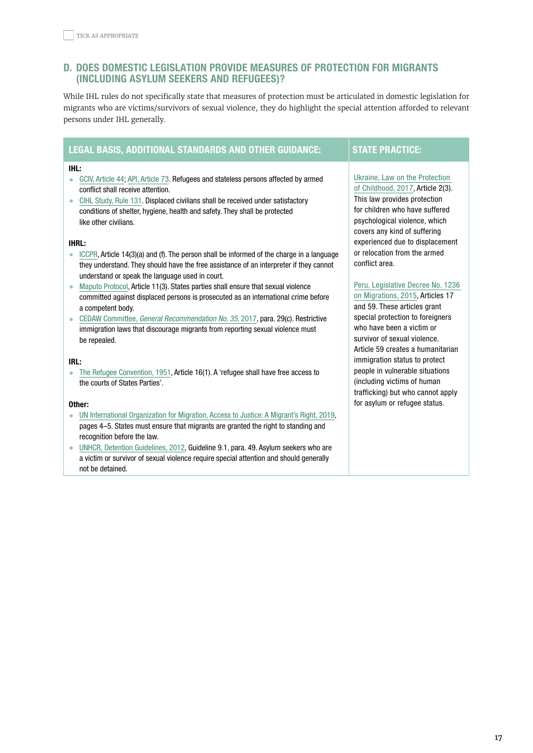# <span id="page-16-0"></span>d. DOES DOMESTIC LEGISLATION PROVIDE MEASURES OF PROTECTION FOR MIGRANTS (INCLUDING ASYLUM SEEKERS AND REFUGEES)?

While IHL rules do not specifically state that measures of protection must be articulated in domestic legislation for migrants who are victims/survivors of sexual violence, they do highlight the special attention afforded to relevant persons under IHL generally.

# LEGAL BASIS, ADDITIONAL STANDARDS AND OTHER GUIDANCE: STATE PRACTICE:

#### IHL:

- [GCIV, Article 44;](https://ihl-databases.icrc.org/applic/ihl/ihl.nsf/Article.xsp?action=openDocument&documentId=9F16FC090F0199F0C12563CD0051BD44) [API, Article 73.](https://ihl-databases.icrc.org/applic/ihl/ihl.nsf/Article.xsp?action=openDocument&documentId=319C8D02127ADAD2C12563CD0051E004) Refugees and stateless persons affected by armed conflict shall receive attention.
- [CIHL Study, Rule 131](https://ihl-databases.icrc.org/customary-ihl/eng/docs/v1_rul_rule131). Displaced civilians shall be received under satisfactory conditions of shelter, hygiene, health and safety. They shall be protected like other civilians.

#### IHRL:

- [ICCPR,](https://www.ohchr.org/en/professionalinterest/pages/ccpr.aspx) Article 14(3)(a) and (f). The person shall be informed of the charge in a language they understand. They should have the free assistance of an interpreter if they cannot understand or speak the language used in court.
- [Maputo Protocol](https://www.un.org/en/africa/osaa/pdf/au/protocol_rights_women_africa_2003.pdf), Article 11(3). States parties shall ensure that sexual violence committed against displaced persons is prosecuted as an international crime before a competent body.
- CEDAW Committee, [General Recommendation No. 35](https://tbinternet.ohchr.org/_layouts/15/treatybodyexternal/Download.aspx?symbolno=CEDAW/C/GC/35&Lang=en), 2017, para. 29(c). Restrictive immigration laws that discourage migrants from reporting sexual violence must be repealed.

#### IRL:

• [The Refugee Convention, 1951](https://www.unhcr.org/4ca34be29.pdf), Article 16(1). A 'refugee shall have free access to the courts of States Parties'.

#### Other:

- [UN International Organization for Migration, Access to Justice: A Migrant's Right, 2019,](https://www.iom.int/sites/default/files/our_work/ICP/IML/iml-infonote-access-to-justice.pdf) pages 4–5. States must ensure that migrants are granted the right to standing and recognition before the law.
- [UNHCR, Detention Guidelines, 2012](https://www.unhcr.org/publications/legal/505b10ee9/unhcr-detention-guidelines.html), Guideline 9.1, para. 49. Asylum seekers who are a victim or survivor of sexual violence require special attention and should generally not be detained.

conflict area.

[Ukraine, Law on the Protection](https://ihl-databases.icrc.org/applic/ihl/ihl-nat.nsf/implementingLaws.xsp?documentId=37729C3BCAE3B038C12584A2005353E9&action=OpenDocument)  [of Childhood, 2017,](https://ihl-databases.icrc.org/applic/ihl/ihl-nat.nsf/implementingLaws.xsp?documentId=37729C3BCAE3B038C12584A2005353E9&action=OpenDocument) Article 2(3). This law provides protection for children who have suffered psychological violence, which covers any kind of suffering experienced due to displacement or relocation from the armed

[Peru, Legislative Decree No. 1236](https://ihl-databases.icrc.org/applic/ihl/ihl-nat.nsf/implementingLaws.xsp?documentId=2358E768ECB99816C1257FA7004DDBD6&action=OpenDocument) 

[on Migrations, 2015,](https://ihl-databases.icrc.org/applic/ihl/ihl-nat.nsf/implementingLaws.xsp?documentId=2358E768ECB99816C1257FA7004DDBD6&action=OpenDocument) Articles 17 and 59. These articles grant special protection to foreigners who have been a victim or survivor of sexual violence. Article 59 creates a humanitarian immigration status to protect people in vulnerable situations (including victims of human trafficking) but who cannot apply for asylum or refugee status.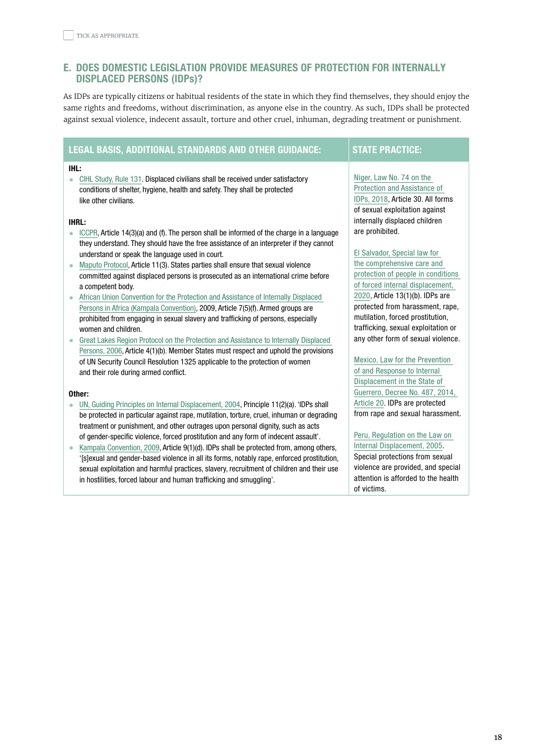# <span id="page-17-0"></span>E. DOES DOMESTIC LEGISLATION PROVIDE MEASURES OF PROTECTION FOR INTERNALLY DISPLACED PERSONS (IDPs)?

As IDPs are typically citizens or habitual residents of the state in which they find themselves, they should enjoy the same rights and freedoms, without discrimination, as anyone else in the country. As such, IDPs shall be protected against sexual violence, indecent assault, torture and other cruel, inhuman, degrading treatment or punishment.

# LEGAL BASIS, ADDITIONAL STANDARDS AND OTHER GUIDANCE: STATE PRACTICE:

#### IHL:

• [CIHL Study, Rule 131](https://ihl-databases.icrc.org/customary-ihl/eng/docs/v1_rul_rule131). Displaced civilians shall be received under satisfactory conditions of shelter, hygiene, health and safety. They shall be protected like other civilians.

#### IHRL:

- [ICCPR,](https://www.ohchr.org/en/professionalinterest/pages/ccpr.aspx) Article 14(3)(a) and (f). The person shall be informed of the charge in a language they understand. They should have the free assistance of an interpreter if they cannot understand or speak the language used in court.
- [Maputo Protocol](https://www.un.org/en/africa/osaa/pdf/au/protocol_rights_women_africa_2003.pdf), Article 11(3). States parties shall ensure that sexual violence committed against displaced persons is prosecuted as an international crime before a competent body.
- [African Union Convention for the Protection and Assistance of Internally Displaced](https://www.unhcr.org/about-us/background/4ae9bede9/african-union-convention-protection-assistance-internally-displaced-persons.html)  [Persons in Africa \(Kampala Convention\),](https://www.unhcr.org/about-us/background/4ae9bede9/african-union-convention-protection-assistance-internally-displaced-persons.html) 2009, Article 7(5)(f). Armed groups are prohibited from engaging in sexual slavery and trafficking of persons, especially women and children.
- [Great Lakes Region Protocol on the Protection and Assistance to Internally Displaced](https://www.refworld.org/pdfid/52384fe44.pdf)  [Persons, 2006](https://www.refworld.org/pdfid/52384fe44.pdf), Article 4(1)(b). Member States must respect and uphold the provisions of UN Security Council Resolution 1325 applicable to the protection of women and their role during armed conflict.

#### Other:

- [UN, Guiding Principles on Internal Displacement, 2004](https://www.unhcr.org/protection/idps/43ce1cff2/guiding-principles-internal-displacement.html), Principle 11(2)(a). 'IDPs shall be protected in particular against rape, mutilation, torture, cruel, inhuman or degrading treatment or punishment, and other outrages upon personal dignity, such as acts of gender-specific violence, forced prostitution and any form of indecent assault'.
- [Kampala Convention, 2009](https://www.unhcr.org/about-us/background/4ae9bede9/african-union-convention-protection-assistance-internally-displaced-persons.html), Article 9(1)(d). IDPs shall be protected from, among others, '[s]exual and gender-based violence in all its forms, notably rape, enforced prostitution, sexual exploitation and harmful practices, slavery, recruitment of children and their use in hostilities, forced labour and human trafficking and smuggling'.

[Niger, Law No. 74 on the](https://ihl-databases.icrc.org/applic/ihl/ihl-nat.nsf/implementingLaws.xsp?documentId=01DB4310DFA646B2C12584AE004E441C&action=OpenDocument)  [Protection and Assistance of](https://ihl-databases.icrc.org/applic/ihl/ihl-nat.nsf/implementingLaws.xsp?documentId=01DB4310DFA646B2C12584AE004E441C&action=OpenDocument)  [IDPs, 2018,](https://ihl-databases.icrc.org/applic/ihl/ihl-nat.nsf/implementingLaws.xsp?documentId=01DB4310DFA646B2C12584AE004E441C&action=OpenDocument) Article 30. All forms of sexual exploitation against internally displaced children are prohibited.

[El Salvador, Special law for](https://www.refworld.org.es/docid/5e691b974.html)  [the comprehensive care and](https://www.refworld.org.es/docid/5e691b974.html)  [protection of people in conditions](https://www.refworld.org.es/docid/5e691b974.html)  [of forced internal displacement,](https://www.refworld.org.es/docid/5e691b974.html)  [2020,](https://www.refworld.org.es/docid/5e691b974.html) Article 13(1)(b). IDPs are protected from harassment, rape, mutilation, forced prostitution, trafficking, sexual exploitation or any other form of sexual violence.

[Mexico, Law for the Prevention](https://www.internal-displacement.org/sites/law-and-policy/files/mexico/Mexico_Guerrero_2014.pdf)  [of and Response to Internal](https://www.internal-displacement.org/sites/law-and-policy/files/mexico/Mexico_Guerrero_2014.pdf)  [Displacement in the State of](https://www.internal-displacement.org/sites/law-and-policy/files/mexico/Mexico_Guerrero_2014.pdf)  [Guerrero, Decree No. 487, 2014,](https://www.internal-displacement.org/sites/law-and-policy/files/mexico/Mexico_Guerrero_2014.pdf)  [Article 20](https://www.internal-displacement.org/sites/law-and-policy/files/mexico/Mexico_Guerrero_2014.pdf). IDPs are protected from rape and sexual harassment.

# [Peru, Regulation on the Law on](https://ihl-databases.icrc.org/applic/ihl/ihl-nat.nsf/implementingLaws.xsp?documentId=6BDBCA91356B0ED9C125848100429BD0&action=OpenDocument)

[Internal Displacement, 2005](https://ihl-databases.icrc.org/applic/ihl/ihl-nat.nsf/implementingLaws.xsp?documentId=6BDBCA91356B0ED9C125848100429BD0&action=OpenDocument). Special protections from sexual violence are provided, and special attention is afforded to the health of victims.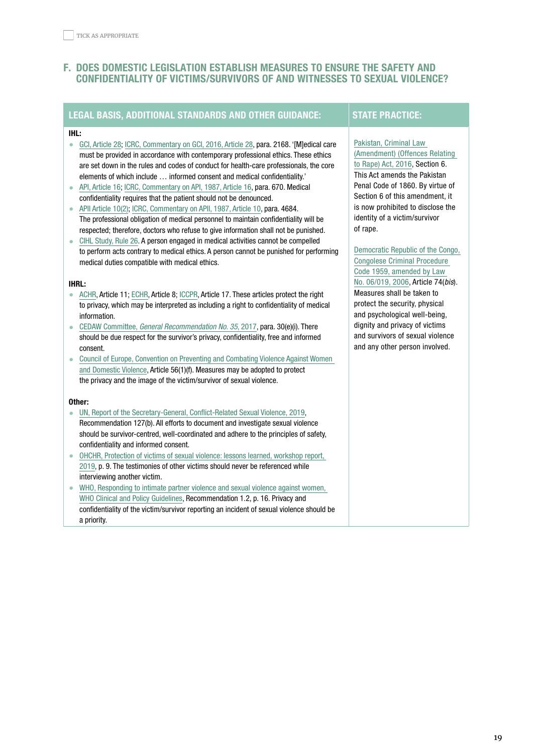# <span id="page-18-0"></span>**F. DOES DOMESTIC LEGISLATION ESTABLISH MEASURES TO ENSURE THE SAFETY AND** CONFIDENTIALITY OF VICTIMS/SURVIVORS OF AND WITNESSES TO SEXUAL VIOLENCE?

# LEGAL BASIS, ADDITIONAL STANDARDS AND OTHER GUIDANCE: STATE PRACTICE:

## IHL:

- [GCI, Article 28](https://ihl-databases.icrc.org/applic/ihl/ihl.nsf/Article.xsp?action=openDocument&documentId=CB85078F0644B873C12563CD0051A0E4); [ICRC, Commentary on GCI, 2016, Article 28,](https://ihl-databases.icrc.org/applic/ihl/ihl.nsf/Comment.xsp?action=openDocument&documentId=047CC844E1EA1E35C1257F7A005585AF#36_B) para. 2168. '[M]edical care must be provided in accordance with contemporary professional ethics. These ethics are set down in the rules and codes of conduct for health-care professionals, the core elements of which include … informed consent and medical confidentiality.'
- [API, Article 16;](https://ihl-databases.icrc.org/applic/ihl/ihl.nsf/Article.xsp?action=openDocument&documentId=B0BF1D4A2800D97FC12563CD0051D841) [ICRC, Commentary on API, 1987, Article 16,](https://ihl-databases.icrc.org/applic/ihl/ihl.nsf/Comment.xsp?action=openDocument&documentId=C63B87837232A165C12563CD00430C81) para. 670. Medical confidentiality requires that the patient should not be denounced.
- [APII Article 10\(2\)](https://ihl-databases.icrc.org/applic/ihl/ihl.nsf/Article.xsp?action=openDocument&documentId=D321BEBD8192C5E0C12563CD0051E85A); [ICRC, Commentary on APII, 1987, Article 10](https://ihl-databases.icrc.org/applic/ihl/ihl.nsf/Comment.xsp?action=openDocument&documentId=1E86B663DA082F6AC12563CD0043A78E), para. 4684. The professional obligation of medical personnel to maintain confidentiality will be respected; therefore, doctors who refuse to give information shall not be punished.
- [CIHL Study, Rule 26](https://ihl-databases.icrc.org/customary-ihl/eng/docs/v1_rul_rule26). A person engaged in medical activities cannot be compelled to perform acts contrary to medical ethics. A person cannot be punished for performing medical duties compatible with medical ethics.

#### IHRL:

- [ACHR](https://www.cidh.oas.org/basicos/english/basic3.american%20convention.htm), Article 11; [ECHR](https://www.echr.coe.int/Documents/Convention_ENG.pdf), Article 8; [ICCPR,](https://www.ohchr.org/EN/ProfessionalInterest/Pages/CCPR.aspx) Article 17. These articles protect the right to privacy, which may be interpreted as including a right to confidentiality of medical information.
- CEDAW Committee, [General Recommendation No. 35](https://tbinternet.ohchr.org/_layouts/15/treatybodyexternal/Download.aspx?symbolno=CEDAW/C/GC/35&Lang=en), 2017, para. 30(e)(i). There should be due respect for the survivor's privacy, confidentiality, free and informed consent.
- [Council of Europe, Convention on Preventing and Combating Violence Against Women](https://www.coe.int/en/web/conventions/full-list/-/conventions/rms/090000168008482e)  [and Domestic Violence](https://www.coe.int/en/web/conventions/full-list/-/conventions/rms/090000168008482e), Article 56(1)(f). Measures may be adopted to protect the privacy and the image of the victim/survivor of sexual violence.

#### Other:

- [UN, Report of the Secretary-General, Conflict-Related Sexual Violence, 2019](https://www.un.org/sexualviolenceinconflict/wp-content/uploads/2019/04/report/s-2019-280/Annual-report-2018.pdf), Recommendation 127(b). All efforts to document and investigate sexual violence should be survivor-centred, well-coordinated and adhere to the principles of safety, confidentiality and informed consent.
- [OHCHR, Protection of victims of sexual violence: lessons learned, workshop report,](https://www.un.org/sexualviolenceinconflict/wp-content/uploads/2019/06/report/protection-of-victims-of-sexual-violence-lessons-learned/ReportLessonsLearned.pdf)  [2019](https://www.un.org/sexualviolenceinconflict/wp-content/uploads/2019/06/report/protection-of-victims-of-sexual-violence-lessons-learned/ReportLessonsLearned.pdf), p. 9. The testimonies of other victims should never be referenced while interviewing another victim.
- [WHO, Responding to intimate partner violence and sexual violence against women,](https://apps.who.int/iris/bitstream/handle/10665/85240/9789241548595_eng.pdf?sequence=1)  [WHO Clinical and Policy Guidelines,](https://apps.who.int/iris/bitstream/handle/10665/85240/9789241548595_eng.pdf?sequence=1) Recommendation 1.2, p. 16. Privacy and confidentiality of the victim/survivor reporting an incident of sexual violence should be a priority.

[Pakistan, Criminal Law](https://ihl-databases.icrc.org/applic/ihl/ihl-nat.nsf/implementingLaws.xsp?documentId=A0A955863B305378C12581A7003263A5&action=OpenDocument)  [\(Amendment\) \(Offences Relating](https://ihl-databases.icrc.org/applic/ihl/ihl-nat.nsf/implementingLaws.xsp?documentId=A0A955863B305378C12581A7003263A5&action=OpenDocument)  [to Rape\) Act, 2016](https://ihl-databases.icrc.org/applic/ihl/ihl-nat.nsf/implementingLaws.xsp?documentId=A0A955863B305378C12581A7003263A5&action=OpenDocument), Section 6. This Act amends the Pakistan Penal Code of 1860. By virtue of Section 6 of this amendment, it is now prohibited to disclose the identity of a victim/survivor of rape.

[Democratic Republic of the Congo,](http://www.leganet.cd/Legislation/DroitPenal/L.06.019.20.07.2006.htm)  [Congolese Criminal Procedure](http://www.leganet.cd/Legislation/DroitPenal/L.06.019.20.07.2006.htm)  [Code 1959, amended by Law](http://www.leganet.cd/Legislation/DroitPenal/L.06.019.20.07.2006.htm)  [No. 06/019, 2006,](http://www.leganet.cd/Legislation/DroitPenal/L.06.019.20.07.2006.htm) Article 74(bis). Measures shall be taken to protect the security, physical and psychological well-being, dignity and privacy of victims and survivors of sexual violence and any other person involved.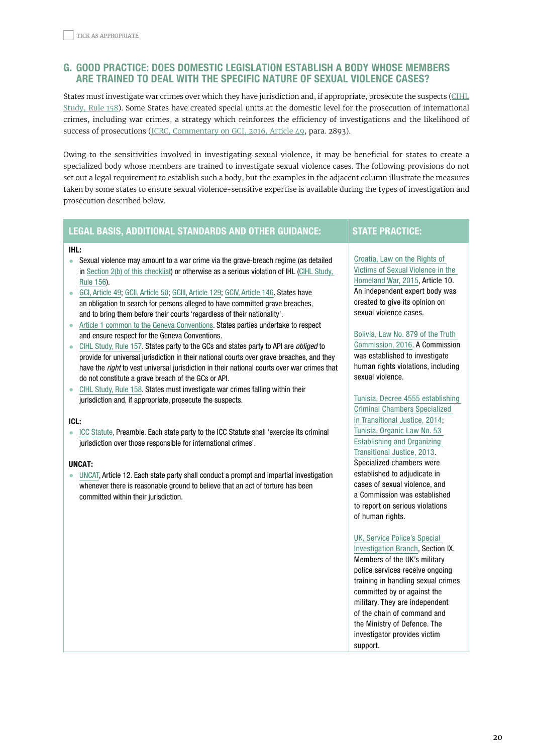# <span id="page-19-0"></span>g. GOOD PRACTICE: DOES DOMESTIC LEGISLATION ESTABLISH A BODY WHOSE MEMBERS ARE TRAINED TO DEAL WITH THE SPECIFIC NATURE OF SEXUAL VIOLENCE CASES?

States must investigate war crimes over which they have jurisdiction and, if appropriate, prosecute the suspects ([CIHL](https://ihl-databases.icrc.org/customary-ihl/eng/docs/v1_rul_rule158) [Study,](https://ihl-databases.icrc.org/customary-ihl/eng/docs/v1_rul_rule158) Rule 158). Some States have created special units at the domestic level for the prosecution of international crimes, including war crimes, a strategy which reinforces the efficiency of investigations and the likelihood of success of prosecutions (ICRC, [Commentary](https://ihl-databases.icrc.org/applic/ihl/ihl.nsf/Comment.xsp?action=openDocument&documentId=3ED0B7D33BF425F3C1257F7D00589C84) on GCI, 2016, Article 49, para. 2893).

Owing to the sensitivities involved in investigating sexual violence, it may be beneficial for states to create a specialized body whose members are trained to investigate sexual violence cases. The following provisions do not set out a legal requirement to establish such a body, but the examples in the adjacent column illustrate the measures taken by some states to ensure sexual violence-sensitive expertise is available during the types of investigation and prosecution described below.

# LEGAL BASIS, ADDITIONAL STANDARDS AND OTHER GUIDANCE: STATE PRACTICE:

#### IHL:

- Sexual violence may amount to a war crime via the grave-breach regime (as detailed in [Section 2\(b\) of this checklist\)](#page-5-0) or otherwise as a serious violation of IHL [\(CIHL Study,](https://ihl-databases.icrc.org/customary-ihl/eng/docs/v1_rul_rule156)  [Rule 156\)](https://ihl-databases.icrc.org/customary-ihl/eng/docs/v1_rul_rule156).
- [GCI, Article 49](https://ihl-databases.icrc.org/applic/ihl/ihl.nsf/Article.xsp?action=openDocument&documentId=3F6C2B8B20272F58C12563CD0051A2BB); [GCII, Article 50](https://ihl-databases.icrc.org/applic/ihl/ihl.nsf/ART/370-580059?OpenDocument); [GCIII, Article 129](https://ihl-databases.icrc.org/applic/ihl/ihl.nsf/Article.xsp?action=openDocument&documentId=C083F579BD003884C12563CD0051B5D3); [GCIV, Article 146.](https://ihl-databases.icrc.org/applic/ihl/ihl.nsf/ART/380-600168?OpenDocument) States have an obligation to search for persons alleged to have committed grave breaches, and to bring them before their courts 'regardless of their nationality'.
- [Article 1 common to the Geneva Conventions.](https://ihl-databases.icrc.org/applic/ihl/ihl.nsf/WebART/365-570004) States parties undertake to respect and ensure respect for the Geneva Conventions.
- [CIHL Study, Rule 157](https://ihl-databases.icrc.org/customary-ihl/eng/docs/v1_rul_rule157). States party to the GCs and states party to API are *obliged* to provide for universal jurisdiction in their national courts over grave breaches, and they have the *right* to vest universal jurisdiction in their national courts over war crimes that do not constitute a grave breach of the GCs or API.
- [CIHL Study, Rule 158](https://ihl-databases.icrc.org/customary-ihl/eng/docs/v1_rul_rule158#refFn_499E7213_00002). States must investigate war crimes falling within their jurisdiction and, if appropriate, prosecute the suspects.

#### ICL:

• [ICC Statute,](https://www.icc-cpi.int/resource-library/documents/rs-eng.pdf) Preamble. Each state party to the ICC Statute shall 'exercise its criminal jurisdiction over those responsible for international crimes'.

### UNCAT:

• [UNCAT](https://www.ohchr.org/EN/ProfessionalInterest/Pages/CAT.aspx), Article 12. Each state party shall conduct a prompt and impartial investigation whenever there is reasonable ground to believe that an act of torture has been committed within their jurisdiction.

[Croatia, Law on the Rights of](https://ihl-databases.icrc.org/applic/ihl/ihl-nat.nsf/implementingLaws.xsp?documentId=E7CFB467BEAE9444C1257F18004AA23F&action=openDocument&xp_countrySelected=HR&xp_topicSelected=GVAL-992BUG&from=state)  [Victims of Sexual Violence in the](https://ihl-databases.icrc.org/applic/ihl/ihl-nat.nsf/implementingLaws.xsp?documentId=E7CFB467BEAE9444C1257F18004AA23F&action=openDocument&xp_countrySelected=HR&xp_topicSelected=GVAL-992BUG&from=state)  [Homeland War, 2015,](https://ihl-databases.icrc.org/applic/ihl/ihl-nat.nsf/implementingLaws.xsp?documentId=E7CFB467BEAE9444C1257F18004AA23F&action=openDocument&xp_countrySelected=HR&xp_topicSelected=GVAL-992BUG&from=state) Article 10. An independent expert body was created to give its opinion on sexual violence cases.

[Bolivia, Law No. 879 of the Truth](https://ihl-databases.icrc.org/applic/ihl/ihl-nat.nsf/implementingLaws.xsp?documentId=A445633E89049238C12582CC004B3954&action=OpenDocument)  [Commission, 2016.](https://ihl-databases.icrc.org/applic/ihl/ihl-nat.nsf/implementingLaws.xsp?documentId=A445633E89049238C12582CC004B3954&action=OpenDocument) A Commission was established to investigate human rights violations, including sexual violence.

[Tunisia, Decree 4555 establishing](https://ihl-databases.icrc.org/applic/ihl/ihl-nat.nsf/implementingLaws.xsp?documentId=CADD922EF4026E2AC1257EB90033CC5A&action=OpenDocument)  [Criminal Chambers Specialized](https://ihl-databases.icrc.org/applic/ihl/ihl-nat.nsf/implementingLaws.xsp?documentId=CADD922EF4026E2AC1257EB90033CC5A&action=OpenDocument)  [in Transitional Justice, 2014;](https://ihl-databases.icrc.org/applic/ihl/ihl-nat.nsf/implementingLaws.xsp?documentId=CADD922EF4026E2AC1257EB90033CC5A&action=OpenDocument) [Tunisia, Organic Law No. 53](https://ihl-databases.icrc.org/applic/ihl/ihl-nat.nsf/implementingLaws.xsp?documentId=E65641E6572650FAC1257D2D0056813E&action=OpenDocument)  [Establishing and Organizing](https://ihl-databases.icrc.org/applic/ihl/ihl-nat.nsf/implementingLaws.xsp?documentId=E65641E6572650FAC1257D2D0056813E&action=OpenDocument)  [Transitional Justice, 2013](https://ihl-databases.icrc.org/applic/ihl/ihl-nat.nsf/implementingLaws.xsp?documentId=E65641E6572650FAC1257D2D0056813E&action=OpenDocument). Specialized chambers were established to adjudicate in cases of sexual violence, and a Commission was established to report on serious violations of human rights.

#### [UK, Service Police's Special](https://www.loc.gov/law/help/militaryjustice/unitedkingdom.php#_ftnref44)

[Investigation Branch,](https://www.loc.gov/law/help/militaryjustice/unitedkingdom.php#_ftnref44) Section IX. Members of the UK's military police services receive ongoing training in handling sexual crimes committed by or against the military. They are independent of the chain of command and the Ministry of Defence. The investigator provides victim support.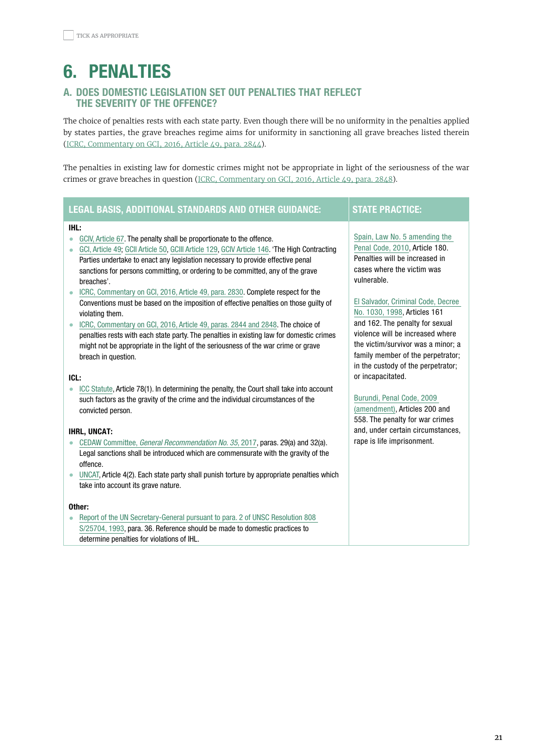# <span id="page-20-0"></span>6. PENALTIES

# A. DOES DOMESTIC LEGISLATION SET OUT PENALTIES THAT REFLECT THE SEVERITY OF THE OFFENCE?

The choice of penalties rests with each state party. Even though there will be no uniformity in the penalties applied by states parties, the grave breaches regime aims for uniformity in sanctioning all grave breaches listed therein (ICRC, [Commentary](https://ihl-databases.icrc.org/applic/ihl/ihl.nsf/Comment.xsp?action=openDocument&documentId=3ED0B7D33BF425F3C1257F7D00589C84#39_B) on GCI, 2016, Article 49, para. 2844).

The penalties in existing law for domestic crimes might not be appropriate in light of the seriousness of the war crimes or grave breaches in question (ICRC, [Commentary](https://ihl-databases.icrc.org/applic/ihl/ihl.nsf/Comment.xsp?action=openDocument&documentId=3ED0B7D33BF425F3C1257F7D00589C84#74_B) on GCI, 2016, Article 49, para. 2848).

# LEGAL BASIS, ADDITIONAL STANDARDS AND OTHER GUIDANCE: STATE PRACTICE:

#### IHL:

- [GCIV, Article 67.](https://ihl-databases.icrc.org/applic/ihl/ihl.nsf/ART/380-600074?OpenDocument) The penalty shall be proportionate to the offence.
- [GCI, Article 49](https://ihl-databases.icrc.org/applic/ihl/ihl.nsf/Article.xsp?action=openDocument&documentId=3F6C2B8B20272F58C12563CD0051A2BB); [GCII Article 50](https://ihl-databases.icrc.org/applic/ihl/ihl.nsf/ART/370-580059?OpenDocument), [GCIII Article 129](https://ihl-databases.icrc.org/applic/ihl/ihl.nsf/ART/375-590155?OpenDocument), [GCIV Article 146](https://ihl-databases.icrc.org/applic/ihl/ihl.nsf/ART/380-600168?OpenDocument). 'The High Contracting Parties undertake to enact any legislation necessary to provide effective penal sanctions for persons committing, or ordering to be committed, any of the grave breaches'.
- [ICRC, Commentary on GCI, 2016, Article 49, para. 2830.](https://ihl-databases.icrc.org/applic/ihl/ihl.nsf/Comment.xsp?action=openDocument&documentId=3ED0B7D33BF425F3C1257F7D00589C84#39_B) Complete respect for the Conventions must be based on the imposition of effective penalties on those guilty of violating them.
- [ICRC, Commentary on GCI, 2016, Article 49, paras. 2844 and 2848](https://ihl-databases.icrc.org/applic/ihl/ihl.nsf/Comment.xsp?action=openDocument&documentId=3ED0B7D33BF425F3C1257F7D00589C84#39_B). The choice of penalties rests with each state party. The penalties in existing law for domestic crimes might not be appropriate in the light of the seriousness of the war crime or grave breach in question.

#### ICL:

• [ICC Statute,](https://www.icc-cpi.int/resource-library/documents/rs-eng.pdf) Article 78(1). In determining the penalty, the Court shall take into account such factors as the gravity of the crime and the individual circumstances of the convicted person.

#### IHRL, UNCAT:

- CEDAW Committee, [General Recommendation No. 35](https://tbinternet.ohchr.org/_layouts/15/treatybodyexternal/Download.aspx?symbolno=CEDAW/C/GC/35&Lang=en), 2017, paras. 29(a) and 32(a). Legal sanctions shall be introduced which are commensurate with the gravity of the offence.
- [UNCAT](https://www.ohchr.org/en/professionalinterest/pages/cat.aspx), Article 4(2). Each state party shall punish torture by appropriate penalties which take into account its grave nature.

#### Other:

• [Report of the UN Secretary-General pursuant to para. 2 of UNSC Resolution 808](https://www.securitycouncilreport.org/atf/cf/%7B65BFCF9B-6D27-4E9C-8CD3-CF6E4FF96FF9%7D/ICTY%20S%2025704%20statute_re808_1993_en.pdf)  [S/25704, 1993,](https://www.securitycouncilreport.org/atf/cf/%7B65BFCF9B-6D27-4E9C-8CD3-CF6E4FF96FF9%7D/ICTY%20S%2025704%20statute_re808_1993_en.pdf) para. 36. Reference should be made to domestic practices to determine penalties for violations of IHL.

[Spain, Law No. 5 amending the](https://boe.es/buscar/act.php?id=BOE-A-1995-25444)  [Penal Code, 2010,](https://boe.es/buscar/act.php?id=BOE-A-1995-25444) Article 180. Penalties will be increased in cases where the victim was vulnerable.

[El Salvador, Criminal Code, Decree](https://webcache.googleusercontent.com/search?q=cache:pl7HXnTXWm4J:https://www.unodc.org/res/cld/document/slv/Codigo_penal.pdf+&cd=1&hl=en&ct=clnk&gl=fr)  [No. 1030, 1998,](https://webcache.googleusercontent.com/search?q=cache:pl7HXnTXWm4J:https://www.unodc.org/res/cld/document/slv/Codigo_penal.pdf+&cd=1&hl=en&ct=clnk&gl=fr) Articles 161 and 162. The penalty for sexual violence will be increased where the victim/survivor was a minor; a family member of the perpetrator; in the custody of the perpetrator; or incapacitated.

[Burundi, Penal Code, 2009](https://webcache.googleusercontent.com/search?q=cache:200KfiFfASgJ:https://www.wipo.int/edocs/lexdocs/laws/fr/bi/bi009fr.pdf+&cd=1&hl=en&ct=clnk&gl=fr) 

[\(amendment\),](https://webcache.googleusercontent.com/search?q=cache:200KfiFfASgJ:https://www.wipo.int/edocs/lexdocs/laws/fr/bi/bi009fr.pdf+&cd=1&hl=en&ct=clnk&gl=fr) Articles 200 and 558. The penalty for war crimes and, under certain circumstances, rape is life imprisonment.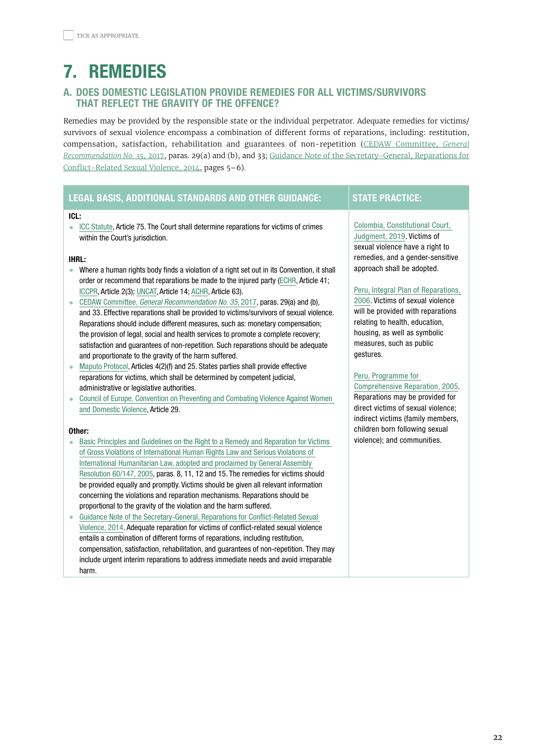# <span id="page-21-0"></span>7. REMEDIES

# A. DOES DOMESTIC LEGISLATION PROVIDE REMEDIES FOR ALL VICTIMS/SURVIVORS THAT REFLECT THE GRAVITY OF THE OFFENCE?

Remedies may be provided by the responsible state or the individual perpetrator. Adequate remedies for victims/ survivors of sexual violence encompass a combination of different forms of reparations, including: restitution, compensation, satisfaction, rehabilitation and guarantees of non-repetition (CEDAW [Committee,](https://tbinternet.ohchr.org/_layouts/15/treatybodyexternal/Download.aspx?symbolno=CEDAW/C/GC/35&Lang=en) *General [Recommendation No. 35](https://tbinternet.ohchr.org/_layouts/15/treatybodyexternal/Download.aspx?symbolno=CEDAW/C/GC/35&Lang=en)*, 2017, paras. 29(a) and (b), and 33; Guidance Note of the [Secretary-General,](https://www.ohchr.org/Documents/Press/GuidanceNoteReparationsJune-2014.pdf) Reparations for [Conflict-Related](https://www.ohchr.org/Documents/Press/GuidanceNoteReparationsJune-2014.pdf) Sexual Violence, 2014, pages 5–6).

| <b>LEGAL BASIS, ADDITIONAL STANDARDS AND OTHER GUIDANCE:</b>                                                                                                                                                                                                                                                                                                                                                                                                                                                                                                                                                                                                                                                                                                                                                                                                                                                                                                                                                                                                                                                 | <b>STATE PRACTICE:</b>                                                                                                                                                                                                                                                                                                                                                                 |
|--------------------------------------------------------------------------------------------------------------------------------------------------------------------------------------------------------------------------------------------------------------------------------------------------------------------------------------------------------------------------------------------------------------------------------------------------------------------------------------------------------------------------------------------------------------------------------------------------------------------------------------------------------------------------------------------------------------------------------------------------------------------------------------------------------------------------------------------------------------------------------------------------------------------------------------------------------------------------------------------------------------------------------------------------------------------------------------------------------------|----------------------------------------------------------------------------------------------------------------------------------------------------------------------------------------------------------------------------------------------------------------------------------------------------------------------------------------------------------------------------------------|
| ICL:<br>ICC Statute, Article 75. The Court shall determine reparations for victims of crimes<br>$\bullet$<br>within the Court's jurisdiction.                                                                                                                                                                                                                                                                                                                                                                                                                                                                                                                                                                                                                                                                                                                                                                                                                                                                                                                                                                | Colombia, Constitutional Court,<br>Judgment, 2019. Victims of<br>sexual violence have a right to                                                                                                                                                                                                                                                                                       |
| <b>IHRL:</b><br>Where a human rights body finds a violation of a right set out in its Convention, it shall<br>$\bullet$<br>order or recommend that reparations be made to the injured party (ECHR, Article 41;<br>ICCPR, Article 2(3); UNCAT, Article 14; ACHR, Article 63).<br>CEDAW Committee, General Recommendation No. 35, 2017, paras. 29(a) and (b),<br>and 33. Effective reparations shall be provided to victims/survivors of sexual violence.<br>Reparations should include different measures, such as: monetary compensation;<br>the provision of legal, social and health services to promote a complete recovery;<br>satisfaction and guarantees of non-repetition. Such reparations should be adequate<br>and proportionate to the gravity of the harm suffered.<br>Maputo Protocol, Articles 4(2)(f) and 25. States parties shall provide effective<br>$\bullet$<br>reparations for victims, which shall be determined by competent judicial,<br>administrative or legislative authorities.<br>Council of Europe, Convention on Preventing and Combating Violence Against Women<br>$\bullet$ | remedies, and a gender-sensitive<br>approach shall be adopted.<br>Peru, Integral Plan of Reparations,<br>2006. Victims of sexual violence<br>will be provided with reparations<br>relating to health, education,<br>housing, as well as symbolic<br>measures, such as public<br>gestures.<br>Peru, Programme for<br>Comprehensive Reparation, 2005.<br>Reparations may be provided for |
| and Domestic Violence, Article 29.<br>Other:<br>Basic Principles and Guidelines on the Right to a Remedy and Reparation for Victims<br>of Gross Violations of International Human Rights Law and Serious Violations of<br>International Humanitarian Law, adopted and proclaimed by General Assembly                                                                                                                                                                                                                                                                                                                                                                                                                                                                                                                                                                                                                                                                                                                                                                                                         | direct victims of sexual violence;<br>indirect victims (family members,<br>children born following sexual<br>violence); and communities.                                                                                                                                                                                                                                               |
| Resolution 60/147, 2005, paras. 8, 11, 12 and 15. The remedies for victims should<br>be provided equally and promptly. Victims should be given all relevant information<br>concerning the violations and reparation mechanisms. Reparations should be<br>proportional to the gravity of the violation and the harm suffered.<br>Guidance Note of the Secretary-General, Reparations for Conflict-Related Sexual<br>$\bullet$<br>Violence, 2014. Adequate reparation for victims of conflict-related sexual violence<br>entails a combination of different forms of reparations, including restitution,<br>compensation, satisfaction, rehabilitation, and guarantees of non-repetition. They may<br>include urgent interim reparations to address immediate needs and avoid irreparable<br>harm.                                                                                                                                                                                                                                                                                                             |                                                                                                                                                                                                                                                                                                                                                                                        |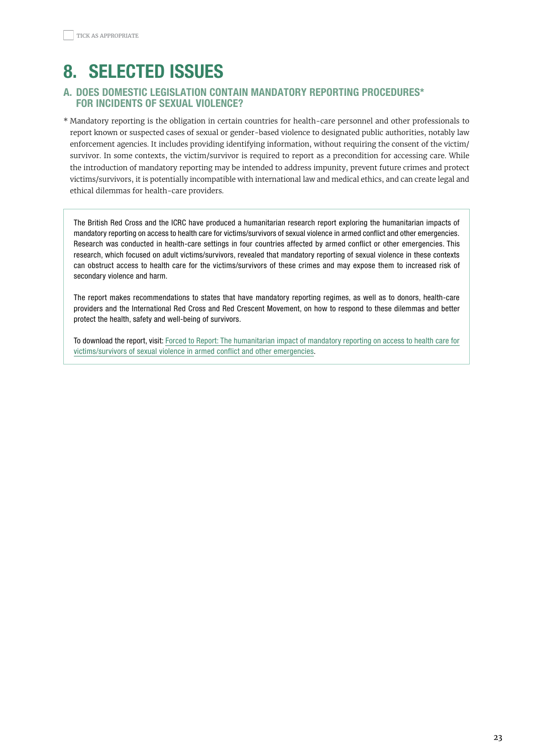# <span id="page-22-0"></span>8. SELECTED ISSUES

# A. DOES DOMESTIC LEGISLATION CONTAIN MANDATORY REPORTING PROCEDURES\* FOR INCIDENTS OF SEXUAL VIOLENCE?

\* Mandatory reporting is the obligation in certain countries for health-care personnel and other professionals to report known or suspected cases of sexual or gender-based violence to designated public authorities, notably law enforcement agencies. It includes providing identifying information, without requiring the consent of the victim/ survivor. In some contexts, the victim/survivor is required to report as a precondition for accessing care. While the introduction of mandatory reporting may be intended to address impunity, prevent future crimes and protect victims/survivors, it is potentially incompatible with international law and medical ethics, and can create legal and ethical dilemmas for health-care providers.

The British Red Cross and the ICRC have produced a humanitarian research report exploring the humanitarian impacts of mandatory reporting on access to health care for victims/survivors of sexual violence in armed conflict and other emergencies. Research was conducted in health-care settings in four countries affected by armed conflict or other emergencies. This research, which focused on adult victims/survivors, revealed that mandatory reporting of sexual violence in these contexts can obstruct access to health care for the victims/survivors of these crimes and may expose them to increased risk of secondary violence and harm.

The report makes recommendations to states that have mandatory reporting regimes, as well as to donors, health-care providers and the International Red Cross and Red Crescent Movement, on how to respond to these dilemmas and better protect the health, safety and well-being of survivors.

To download the report, visit: [Forced to Report: The humanitarian impact of mandatory reporting on access to health care for](https://www.redcross.org.uk/-/media/documents/about-us/international/forced-to-report-sexual-violence-final-policy-paper.pdf) [victims/survivors of sexual violence in armed conflict and other emergencies.](https://www.redcross.org.uk/-/media/documents/about-us/international/forced-to-report-sexual-violence-final-policy-paper.pdf)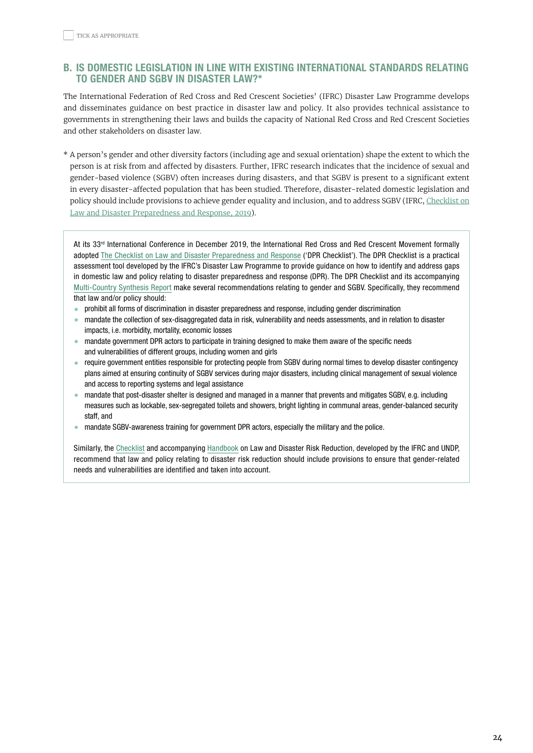# <span id="page-23-0"></span>b. IS DOMESTIC LEGISLATION IN LINE WITH EXISTING INTERNATIONAL STANDARDS RELATING TO GENDER AND SGBV IN DISASTER LAW?\*

The International Federation of Red Cross and Red Crescent Societies' (IFRC) Disaster Law Programme develops and disseminates guidance on best practice in disaster law and policy. It also provides technical assistance to governments in strengthening their laws and builds the capacity of National Red Cross and Red Crescent Societies and other stakeholders on disaster law.

\* A person's gender and other diversity factors (including age and sexual orientation) shape the extent to which the person is at risk from and affected by disasters. Further, IFRC research indicates that the incidence of sexual and gender-based violence (SGBV) often increases during disasters, and that SGBV is present to a significant extent in every disaster-affected population that has been studied. Therefore, disaster-related domestic legislation and policy should include provisions to achieve gender equality and inclusion, and to address SGBV (IFRC, [Checklist on](https://media.ifrc.org/ifrc/wp-content/uploads/sites/5/2019/11/DPR_Checklist_Final_EN_Screen.pdf) Law and Disaster [Preparedness](https://media.ifrc.org/ifrc/wp-content/uploads/sites/5/2019/11/DPR_Checklist_Final_EN_Screen.pdf) and Response, 2019).

At its 33rd International Conference in December 2019, the International Red Cross and Red Crescent Movement formally adopted [The Checklist on Law and Disaster Preparedness and Response](https://media.ifrc.org/ifrc/wp-content/uploads/sites/5/2019/11/DPR_Checklist_Final_EN_Screen.pdf) ('DPR Checklist'). The DPR Checklist is a practical assessment tool developed by the IFRC's Disaster Law Programme to provide guidance on how to identify and address gaps in domestic law and policy relating to disaster preparedness and response (DPR). The DPR Checklist and its accompanying [Multi-Country Synthesis Report](https://media.ifrc.org/ifrc/wp-content/uploads/sites/5/2019/11/DPR_Synthesis-Report_EN_Screen.pdf) make several recommendations relating to gender and SGBV. Specifically, they recommend that law and/or policy should:

- prohibit all forms of discrimination in disaster preparedness and response, including gender discrimination
- mandate the collection of sex-disaggregated data in risk, vulnerability and needs assessments, and in relation to disaster impacts, i.e. morbidity, mortality, economic losses
- mandate government DPR actors to participate in training designed to make them aware of the specific needs and vulnerabilities of different groups, including women and girls
- require government entities responsible for protecting people from SGBV during normal times to develop disaster contingency plans aimed at ensuring continuity of SGBV services during major disasters, including clinical management of sexual violence and access to reporting systems and legal assistance
- mandate that post-disaster shelter is designed and managed in a manner that prevents and mitigates SGBV, e.g. including measures such as lockable, sex-segregated toilets and showers, bright lighting in communal areas, gender-balanced security staff, and
- mandate SGBV-awareness training for government DPR actors, especially the military and the police.

Similarly, the [Checklist](https://media.ifrc.org/ifrc/document/checklist-law-disaster-preparedness-response/#:~:text=The%20Checklist%20on%20Law%20and%20Disaster%20Preparedness%20and,DPR%2C%20which%20were%20not%20covered%20in%20previous%20tools.) and accompanying [Handbook](https://www.ifrc.org/Global/Photos/Secretariat/201511/Handbook%20on%20law%20and%20DRR%20LR.pdf) on Law and Disaster Risk Reduction, developed by the IFRC and UNDP, recommend that law and policy relating to disaster risk reduction should include provisions to ensure that gender-related needs and vulnerabilities are identified and taken into account.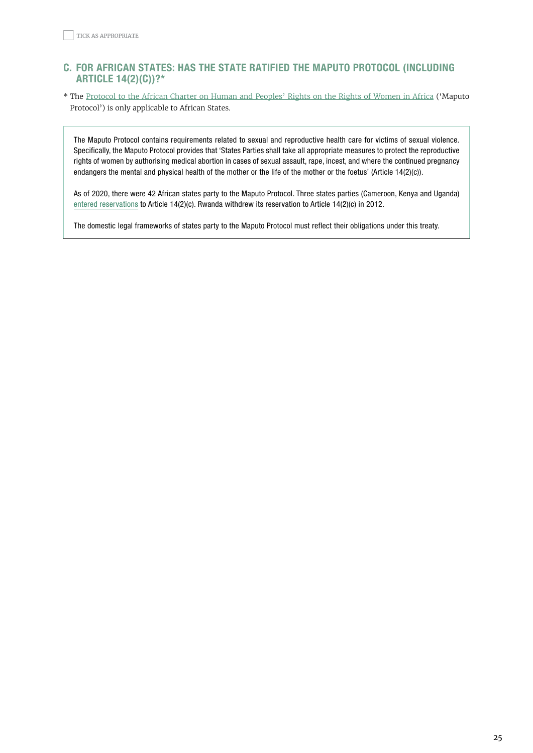# <span id="page-24-0"></span>C. FOR AFRICAN STATES: HAS THE STATE RATIFIED THE MAPUTO PROTOCOL (INCLUDING ARTICLE 14(2)(C))?\*

\* The Protocol to the African Charter on Human and [Peoples'](https://www.un.org/en/africa/osaa/pdf/au/protocol_rights_women_africa_2003.pdf) Rights on the Rights of Women in Africa ('Maputo Protocol') is only applicable to African States.

The Maputo Protocol contains requirements related to sexual and reproductive health care for victims of sexual violence. Specifically, the Maputo Protocol provides that 'States Parties shall take all appropriate measures to protect the reproductive rights of women by authorising medical abortion in cases of sexual assault, rape, incest, and where the continued pregnancy endangers the mental and physical health of the mother or the life of the mother or the foetus' (Article 14(2)(c)).

As of 2020, there were 42 African states party to the Maputo Protocol. Three states parties (Cameroon, Kenya and Uganda) [entered reservations](http://www.peaceau.org/uploads/special-rapporteur-on-rights-of-women-in-africa-presentation-for-csw-implementation.pdf) to Article 14(2)(c). Rwanda withdrew its reservation to Article 14(2)(c) in 2012.

The domestic legal frameworks of states party to the Maputo Protocol must reflect their obligations under this treaty.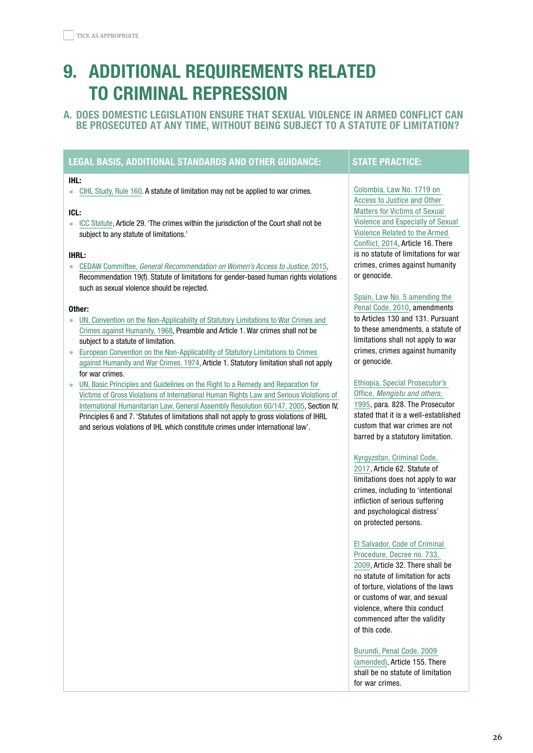# <span id="page-25-0"></span>9. ADDITIONAL REQUIREMENTS RELATED TO CRIMINAL REPRESSION

# A. DOES DOMESTIC LEGISLATION ENSURE THAT SEXUAL VIOLENCE IN ARMED CONFLICT CAN BE PROSECUTED AT ANY TIME, WITHOUT BEING SUBJECT TO A STATUTE OF LIMITATION?

# LEGAL BASIS, ADDITIONAL STANDARDS AND OTHER GUIDANCE: STATE PRACTICE:

## IHL:

• [CIHL Study, Rule 160](https://ihl-databases.icrc.org/customary-ihl/eng/docs/v1_rul_rule160). A statute of limitation may not be applied to war crimes.

## ICL:

• [ICC Statute,](https://www.icc-cpi.int/resource-library/documents/rs-eng.pdf) Article 29. 'The crimes within the jurisdiction of the Court shall not be subject to any statute of limitations.'

#### IHRL:

• CEDAW Committee, [General Recommendation on Women's Access to Justice](https://tbinternet.ohchr.org/Treaties/CEDAW/Shared%20Documents/1_Global/CEDAW_C_GC_33_7767_E.pdf), 2015, Recommendation 19(f). Statute of limitations for gender-based human rights violations such as sexual violence should be rejected.

#### Other:

- [UN, Convention on the Non-Applicability of Statutory Limitations to War Crimes and](https://www.un.org/en/genocideprevention/documents/atrocity-crimes/Doc.27_convention%20statutory%20limitations%20warcrimes.pdf)  [Crimes against Humanity, 1968,](https://www.un.org/en/genocideprevention/documents/atrocity-crimes/Doc.27_convention%20statutory%20limitations%20warcrimes.pdf) Preamble and Article 1. War crimes shall not be subject to a statute of limitation.
- [European Convention on the Non-Applicability of Statutory Limitations to Crimes](https://rm.coe.int/CoERMPublicCommonSearchServices/DisplayDCTMContent?documentId=090000168007617f)  [against Humanity and War Crimes, 1974,](https://rm.coe.int/CoERMPublicCommonSearchServices/DisplayDCTMContent?documentId=090000168007617f) Article 1. Statutory limitation shall not apply for war crimes.
- [UN, Basic Principles and Guidelines on the Right to a Remedy and Reparation for](https://www.ohchr.org/en/professionalinterest/pages/remedyandreparation.aspx)  [Victims of Gross Violations of International Human Rights Law and Serious Violations of](https://www.ohchr.org/en/professionalinterest/pages/remedyandreparation.aspx)  [International Humanitarian Law, General Assembly Resolution 60/147, 2005](https://www.ohchr.org/en/professionalinterest/pages/remedyandreparation.aspx), Section IV, Principles 6 and 7. 'Statutes of limitations shall not apply to gross violations of IHRL and serious violations of IHL which constitute crimes under international law'.

[Colombia, Law No. 1719 on](https://ihl-databases.icrc.org/applic/ihl/ihl-nat.nsf/implementingLaws.xsp?documentId=574056545A066035C1257E620053D05C&action=OpenDocument)  [Access to Justice and Other](https://ihl-databases.icrc.org/applic/ihl/ihl-nat.nsf/implementingLaws.xsp?documentId=574056545A066035C1257E620053D05C&action=OpenDocument)  [Matters for Victims of Sexual](https://ihl-databases.icrc.org/applic/ihl/ihl-nat.nsf/implementingLaws.xsp?documentId=574056545A066035C1257E620053D05C&action=OpenDocument)  [Violence and Especially of Sexual](https://ihl-databases.icrc.org/applic/ihl/ihl-nat.nsf/implementingLaws.xsp?documentId=574056545A066035C1257E620053D05C&action=OpenDocument)  [Violence Related to the Armed](https://ihl-databases.icrc.org/applic/ihl/ihl-nat.nsf/implementingLaws.xsp?documentId=574056545A066035C1257E620053D05C&action=OpenDocument)  [Conflict, 2014](https://ihl-databases.icrc.org/applic/ihl/ihl-nat.nsf/implementingLaws.xsp?documentId=574056545A066035C1257E620053D05C&action=OpenDocument), Article 16. There is no statute of limitations for war crimes, crimes against humanity or genocide.

#### [Spain, Law No. 5 amending the](https://boe.es/buscar/act.php?id=BOE-A-1995-25444)

[Penal Code, 2010,](https://boe.es/buscar/act.php?id=BOE-A-1995-25444) amendments to Articles 130 and 131. Pursuant to these amendments, a statute of limitations shall not apply to war crimes, crimes against humanity or genocide.

#### [Ethiopia, Special Prosecutor's](https://ihl-databases.icrc.org/applic/ihl/ihl-nat.nsf/39a82e2ca42b52974125673e00508144/caf1304c84be2565c125765c002e24b4?openDocument)  Office, [Mengistu and others](https://ihl-databases.icrc.org/applic/ihl/ihl-nat.nsf/39a82e2ca42b52974125673e00508144/caf1304c84be2565c125765c002e24b4?openDocument),

[1995,](https://ihl-databases.icrc.org/applic/ihl/ihl-nat.nsf/39a82e2ca42b52974125673e00508144/caf1304c84be2565c125765c002e24b4?openDocument) para. 828. The Prosecutor stated that it is a well-established custom that war crimes are not barred by a statutory limitation.

#### [Kyrgyzstan, Criminal Code,](http://cbd.minjust.gov.kg/act/view/ru-ru/111527)

[2017,](http://cbd.minjust.gov.kg/act/view/ru-ru/111527) Article 62. Statute of limitations does not apply to war crimes, including to 'intentional infliction of serious suffering and psychological distress' on protected persons.

## [El Salvador, Code of Criminal](https://www.unodc.org/res/cld/document/slv/2010/codigo_procesal_penal_html/Codigo_Procesal_Penal.pdf)  [Procedure, Decree no. 733,](https://www.unodc.org/res/cld/document/slv/2010/codigo_procesal_penal_html/Codigo_Procesal_Penal.pdf)

[2009,](https://www.unodc.org/res/cld/document/slv/2010/codigo_procesal_penal_html/Codigo_Procesal_Penal.pdf) Article 32. There shall be no statute of limitation for acts of torture, violations of the laws or customs of war, and sexual violence, where this conduct commenced after the validity of this code.

#### [Burundi, Penal Code, 2009](https://webcache.googleusercontent.com/search?q=cache:200KfiFfASgJ:https://www.wipo.int/edocs/lexdocs/laws/fr/bi/bi009fr.pdf+&cd=1&hl=en&ct=clnk&gl=fr)

[\(amended\),](https://webcache.googleusercontent.com/search?q=cache:200KfiFfASgJ:https://www.wipo.int/edocs/lexdocs/laws/fr/bi/bi009fr.pdf+&cd=1&hl=en&ct=clnk&gl=fr) Article 155. There shall be no statute of limitation for war crimes.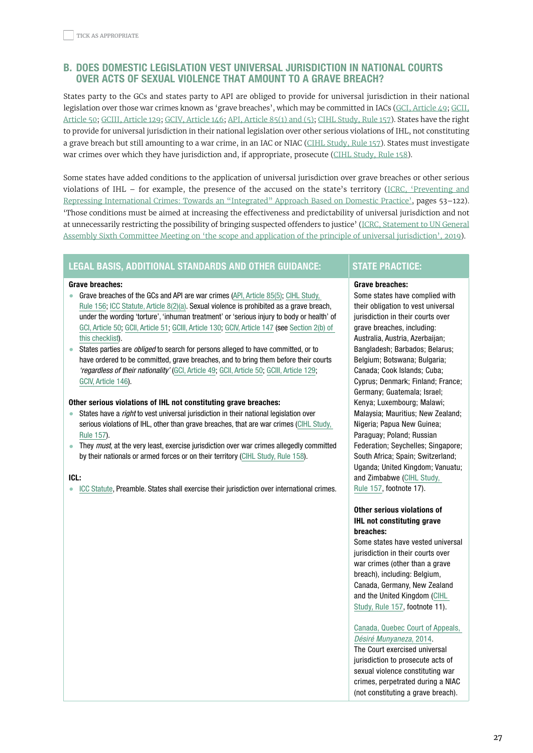# <span id="page-26-0"></span>b. DOES DOMESTIC LEGISLATION VEST UNIVERSAL JURISDICTION IN NATIONAL COURTS OVER ACTS OF SEXUAL VIOLENCE THAT AMOUNT TO A GRAVE BREACH?

States party to the GCs and states party to API are obliged to provide for universal jurisdiction in their national legislation over those war crimes known as 'grave breaches', which may be committed in IACs (GCI, [Article](https://ihl-databases.icrc.org/applic/ihl/ihl.nsf/Article.xsp?action=openDocument&documentId=3F6C2B8B20272F58C12563CD0051A2BB) 49; [GCII,](https://ihl-databases.icrc.org/applic/ihl/ihl.nsf/Article.xsp?action=openDocument&documentId=58854E245CB34B82C12563CD0051A8E4) [Article 50](https://ihl-databases.icrc.org/applic/ihl/ihl.nsf/Article.xsp?action=openDocument&documentId=58854E245CB34B82C12563CD0051A8E4); GCIII, [Article](https://ihl-databases.icrc.org/applic/ihl/ihl.nsf/Article.xsp?action=openDocument&documentId=C083F579BD003884C12563CD0051B5D3) 129; GCIV, [Article](https://ihl-databases.icrc.org/applic/ihl/ihl.nsf/ART/380-600168?OpenDocument) 146; API, [Article](https://ihl-databases.icrc.org/applic/ihl/ihl.nsf/Article.xsp?action=openDocument&documentId=73D05A98B6CEB566C12563CD0051E1A0) 85(1) and (5); CIHL [Study,](https://ihl-databases.icrc.org/customary-ihl/eng/docs/v1_rul_rule157) Rule 157). States have the right to provide for universal jurisdiction in their national legislation over other serious violations of IHL, not constituting a grave breach but still amounting to a war crime, in an IAC or NIAC (CIHL [Study,](https://ihl-databases.icrc.org/customary-ihl/eng/docs/v1_rul_rule157) Rule 157). States must investigate war crimes over which they have jurisdiction and, if appropriate, prosecute (CIHL [Study,](https://ihl-databases.icrc.org/customary-ihl/eng/docs/v1_rul_rule158) Rule 158).

Some states have added conditions to the application of universal jurisdiction over grave breaches or other serious violations of IHL – for example, the presence of the accused on the state's territory (ICRC, ['Preventing](https://www.icrc.org/en/doc/assets/files/publications/icrc-002-4138-2.pdf) and Repressing [International](https://www.icrc.org/en/doc/assets/files/publications/icrc-002-4138-2.pdf) Crimes: Towards an "Integrated" Approach Based on Domestic Practice', pages 53–122). 'Those conditions must be aimed at increasing the effectiveness and predictability of universal jurisdiction and not at unnecessarily restricting the possibility of bringing suspected offenders to justice' (ICRC, [Statement](https://www.icrc.org/en/document/universal-jurisdiction-key-tool-ensuring-serious-violations-ihl-are-prevented-investigated) to UN General Assembly Sixth Committee Meeting on 'the scope and application of the principle of universal [jurisdiction',](https://www.icrc.org/en/document/universal-jurisdiction-key-tool-ensuring-serious-violations-ihl-are-prevented-investigated) 2019).

## LEGAL BASIS, ADDITIONAL STANDARDS AND OTHER GUIDANCE: STATE PRACTICE:

#### Grave breaches:

- Grave breaches of the GCs and API are war crimes ([API, Article 85\(5\)](https://ihl-databases.icrc.org/applic/ihl/ihl.nsf/Article.xsp?action=openDocument&documentId=73D05A98B6CEB566C12563CD0051E1A0); [CIHL Study,](https://ihl-databases.icrc.org/customary-ihl/eng/docs/v1_rul_rule156)  [Rule 156;](https://ihl-databases.icrc.org/customary-ihl/eng/docs/v1_rul_rule156) [ICC Statute, Article 8\(2\)\(a\).](https://www.icc-cpi.int/resource-library/documents/rs-eng.pdf) Sexual violence is prohibited as a grave breach, under the wording 'torture', 'inhuman treatment' or 'serious injury to body or health' of [GCI, Article 50](https://ihl-databases.icrc.org/applic/ihl/ihl.nsf/ART/365-570061?OpenDocument); [GCII, Article 51](https://ihl-databases.icrc.org/applic/ihl/ihl.nsf/Article.xsp?action=openDocument&documentId=14F60F779A9C29F2C12563CD0051A8FF); [GCIII, Article 130](https://ihl-databases.icrc.org/ihl/WebART/375-590156); [GCIV, Article 147](https://ihl-databases.icrc.org/ihl/WebART/380-600169) (see [Section 2\(b\) of](#page-5-0)  [this checklist](#page-5-0)).
- States parties are *obliged* to search for persons alleged to have committed, or to have ordered to be committed, grave breaches, and to bring them before their courts 'regardless of their nationality' [\(GCI, Article 49;](https://ihl-databases.icrc.org/applic/ihl/ihl.nsf/Article.xsp?action=openDocument&documentId=3F6C2B8B20272F58C12563CD0051A2BB) [GCII, Article 50;](https://ihl-databases.icrc.org/applic/ihl/ihl.nsf/Article.xsp?action=openDocument&documentId=58854E245CB34B82C12563CD0051A8E4) [GCIII, Article 129;](https://ihl-databases.icrc.org/applic/ihl/ihl.nsf/Article.xsp?action=openDocument&documentId=C083F579BD003884C12563CD0051B5D3) [GCIV, Article 146](https://ihl-databases.icrc.org/applic/ihl/ihl.nsf/ART/380-600168?OpenDocument)).

#### Other serious violations of IHL not constituting grave breaches:

- States have a *right* to vest universal jurisdiction in their national legislation over serious violations of IHL, other than grave breaches, that are war crimes (CIHL Study, [Rule](https://ihl-databases.icrc.org/customary-ihl/eng/docs/v1_rul_rule157) 157).
- They *must*, at the very least, exercise jurisdiction over war crimes allegedly committed by their nationals or armed forces or on their territory [\(CIHL Study, Rule 158\)](https://ihl-databases.icrc.org/customary-ihl/eng/docs/v1_rul_rule158).

#### ICL:

• [ICC Statute,](https://www.icc-cpi.int/resource-library/documents/rs-eng.pdf) Preamble. States shall exercise their jurisdiction over international crimes.

#### Grave breaches:

Some states have complied with their obligation to vest universal jurisdiction in their courts over grave breaches, including: Australia, Austria, Azerbaijan; Bangladesh; Barbados; Belarus; Belgium; Botswana; Bulgaria; Canada; Cook Islands; Cuba; Cyprus; Denmark; Finland; France; Germany; Guatemala; Israel; Kenya; Luxembourg; Malawi; Malaysia; Mauritius; New Zealand; Nigeria; Papua New Guinea; Paraguay; Poland; Russian Federation; Seychelles; Singapore; South Africa; Spain; Switzerland; Uganda; United Kingdom; Vanuatu; and Zimbabwe ([CIHL Study,](https://ihl-databases.icrc.org/customary-ihl/eng/docs/v1_rul_rule157#refFn_71D8634_00011)  [Rule 157,](https://ihl-databases.icrc.org/customary-ihl/eng/docs/v1_rul_rule157#refFn_71D8634_00011) footnote 17).

### Other serious violations of IHL not constituting grave breaches:

Some states have vested universal jurisdiction in their courts over war crimes (other than a grave breach), including: Belgium, Canada, Germany, New Zealand and the United Kingdom ([CIHL](https://ihl-databases.icrc.org/customary-ihl/eng/docs/v1_rul_rule157#refFn_71D8634_00011)  [Study, Rule 157,](https://ihl-databases.icrc.org/customary-ihl/eng/docs/v1_rul_rule157#refFn_71D8634_00011) footnote 11).

#### [Canada, Quebec Court of Appeals,](https://ihl-databases.icrc.org/applic/ihl/ihl-nat.nsf/caseLaw.xsp?documentId=5E1064A2DC047A3BC1257E6C003377DA&action=OpenDocument)  [Désiré Munyaneza](https://ihl-databases.icrc.org/applic/ihl/ihl-nat.nsf/caseLaw.xsp?documentId=5E1064A2DC047A3BC1257E6C003377DA&action=OpenDocument), 2014.

The Court exercised universal jurisdiction to prosecute acts of sexual violence constituting war crimes, perpetrated during a NIAC (not constituting a grave breach).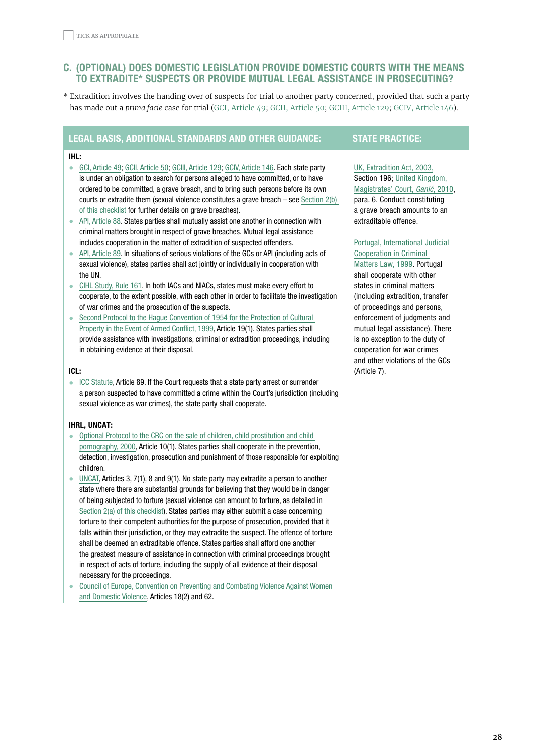# <span id="page-27-0"></span>C. (OPTIONAL) DOES DOMESTIC LEGISLATION PROVIDE DOMESTIC COURTS WITH THE MEANS TO EXTRADITE\* SUSPECTS OR PROVIDE MUTUAL LEGAL ASSISTANCE IN PROSECUTING?

\* Extradition involves the handing over of suspects for trial to another party concerned, provided that such a party has made out a *prima facie* case for trial (GCI, [Article](https://ihl-databases.icrc.org/applic/ihl/ihl.nsf/Article.xsp?action=openDocument&documentId=3F6C2B8B20272F58C12563CD0051A2BB) 49; GCII, [Article](https://ihl-databases.icrc.org/applic/ihl/ihl.nsf/ART/370-580059?OpenDocument) 50; GCIII, [Article](https://ihl-databases.icrc.org/applic/ihl/ihl.nsf/Article.xsp?action=openDocument&documentId=C083F579BD003884C12563CD0051B5D3) 129; GCIV, [Article](https://ihl-databases.icrc.org/applic/ihl/ihl.nsf/ART/380-600168?OpenDocument) 146).

# LEGAL BASIS, ADDITIONAL STANDARDS AND OTHER GUIDANCE: STATE PRACTICE:

#### IHL:

- [GCI, Article 49](https://ihl-databases.icrc.org/applic/ihl/ihl.nsf/Article.xsp?action=openDocument&documentId=3F6C2B8B20272F58C12563CD0051A2BB); [GCII, Article 50](https://ihl-databases.icrc.org/applic/ihl/ihl.nsf/ART/370-580059?OpenDocument); [GCIII, Article 129](https://ihl-databases.icrc.org/applic/ihl/ihl.nsf/Article.xsp?action=openDocument&documentId=C083F579BD003884C12563CD0051B5D3); [GCIV, Article 146.](https://ihl-databases.icrc.org/applic/ihl/ihl.nsf/ART/380-600168?OpenDocument) Each state party is under an obligation to search for persons alleged to have committed, or to have ordered to be committed, a grave breach, and to bring such persons before its own courts or extradite them (sexual violence constitutes a grave breach – see [Section 2\(b\)](#page-5-0)  [of this checklist](#page-5-0) for further details on grave breaches).
- [API, Article 88.](https://ihl-databases.icrc.org/applic/ihl/ihl.nsf/Article.xsp?action=openDocument&documentId=6B675161E7AE614EC12563CD0051E21A) States parties shall mutually assist one another in connection with criminal matters brought in respect of grave breaches. Mutual legal assistance includes cooperation in the matter of extradition of suspected offenders.
- [API, Article 89.](https://ihl-databases.icrc.org/applic/ihl/ihl.nsf/ART/470-750115?OpenDocument) In situations of serious violations of the GCs or API (including acts of sexual violence), states parties shall act jointly or individually in cooperation with the UN.
- [CIHL Study, Rule 161](https://ihl-databases.icrc.org/customary-ihl/eng/docs/v1_rul_rule161). In both IACs and NIACs, states must make every effort to cooperate, to the extent possible, with each other in order to facilitate the investigation of war crimes and the prosecution of the suspects.
- [Second Protocol to the Hague Convention of 1954 for the Protection of Cultural](https://ihl-databases.icrc.org/applic/ihl/ihl.nsf/Article.xsp?action=openDocument&documentId=4959BBFE64FA4152412567BB005746E0)  [Property in the Event of Armed Conflict, 1999](https://ihl-databases.icrc.org/applic/ihl/ihl.nsf/Article.xsp?action=openDocument&documentId=4959BBFE64FA4152412567BB005746E0), Article 19(1). States parties shall provide assistance with investigations, criminal or extradition proceedings, including in obtaining evidence at their disposal.

### ICL:

• [ICC Statute,](https://www.icc-cpi.int/resource-library/documents/rs-eng.pdf) Article 89. If the Court requests that a state party arrest or surrender a person suspected to have committed a crime within the Court's jurisdiction (including sexual violence as war crimes), the state party shall cooperate.

### IHRL, UNCAT:

- [Optional Protocol to the CRC on the sale of children, child prostitution and child](https://www.ohchr.org/EN/ProfessionalInterest/Pages/OPSCCRC.aspx)  [pornography, 2000](https://www.ohchr.org/EN/ProfessionalInterest/Pages/OPSCCRC.aspx), Article 10(1). States parties shall cooperate in the prevention, detection, investigation, prosecution and punishment of those responsible for exploiting children.
- [UNCAT](https://www.ohchr.org/EN/ProfessionalInterest/Pages/CAT.aspx), Articles 3, 7(1), 8 and 9(1). No state party may extradite a person to another state where there are substantial grounds for believing that they would be in danger of being subjected to torture (sexual violence can amount to torture, as detailed in [Section 2\(a\) of this checklist\)](#page-4-0). States parties may either submit a case concerning torture to their competent authorities for the purpose of prosecution, provided that it falls within their jurisdiction, or they may extradite the suspect. The offence of torture shall be deemed an extraditable offence. States parties shall afford one another the greatest measure of assistance in connection with criminal proceedings brought in respect of acts of torture, including the supply of all evidence at their disposal necessary for the proceedings.
- [Council of Europe, Convention on Preventing and Combating Violence Against Women](https://www.coe.int/en/web/conventions/full-list/-/conventions/rms/090000168008482e)  [and Domestic Violence](https://www.coe.int/en/web/conventions/full-list/-/conventions/rms/090000168008482e), Articles 18(2) and 62.

### [UK, Extradition Act, 2003](http://www.legislation.gov.uk/ukpga/2003/41/section/196), Section 196; [United Kingdom,](https://www.asser.nl/upload/documents/DomCLIC/Docs/NLP/UK/Ganic_Extradition_27-07-2010.pdf)  [Magistrates' Court,](https://www.asser.nl/upload/documents/DomCLIC/Docs/NLP/UK/Ganic_Extradition_27-07-2010.pdf) Ganić, 2010, para. 6. Conduct constituting a grave breach amounts to an extraditable offence.

## [Portugal, International Judicial](https://ihl-databases.icrc.org/applic/ihl/ihl-nat.nsf/implementingLaws.xsp?documentId=FCE3E9FFDCEAACAAC1256DC10031DF10&action=OpenDocument)  [Cooperation in Criminal](https://ihl-databases.icrc.org/applic/ihl/ihl-nat.nsf/implementingLaws.xsp?documentId=FCE3E9FFDCEAACAAC1256DC10031DF10&action=OpenDocument)

[Matters Law, 1999](https://ihl-databases.icrc.org/applic/ihl/ihl-nat.nsf/implementingLaws.xsp?documentId=FCE3E9FFDCEAACAAC1256DC10031DF10&action=OpenDocument). Portugal shall cooperate with other states in criminal matters (including extradition, transfer of proceedings and persons, enforcement of judgments and mutual legal assistance). There is no exception to the duty of cooperation for war crimes and other violations of the GCs (Article 7).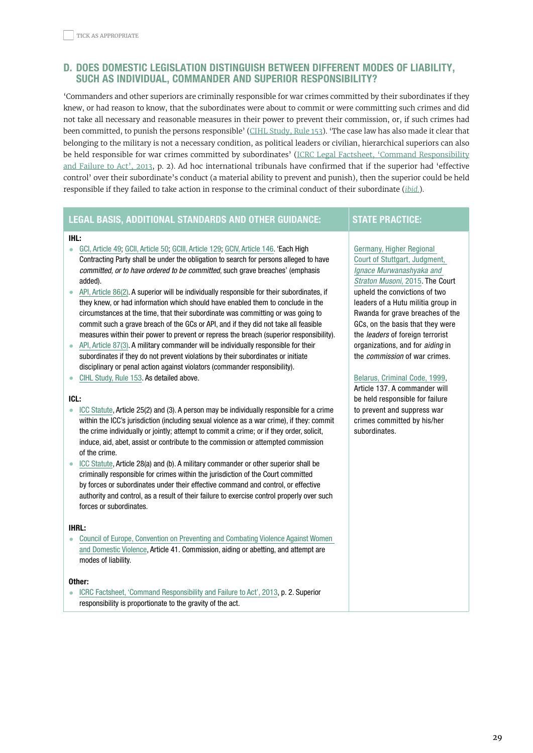# <span id="page-28-0"></span>D. DOES DOMESTIC LEGISLATION DISTINGUISH BETWEEN DIFFERENT MODES OF LIABILITY, SUCH AS INDIVIDUAL, COMMANDER AND SUPERIOR RESPONSIBILITY?

'Commanders and other superiors are criminally responsible for war crimes committed by their subordinates if they knew, or had reason to know, that the subordinates were about to commit or were committing such crimes and did not take all necessary and reasonable measures in their power to prevent their commission, or, if such crimes had been committed, to punish the persons responsible' (CIHL [Study,](https://ihl-databases.icrc.org/customary-ihl/eng/docs/v1_rul_rule153) Rule 153). 'The case law has also made it clear that belonging to the military is not a necessary condition, as political leaders or civilian, hierarchical superiors can also be held responsible for war crimes committed by subordinates' (ICRC Legal Factsheet, 'Command [Responsibility](https://www.icrc.org/en/document/command-responsibility-and-failure-act-factsheet) and [Failure](https://www.icrc.org/en/document/command-responsibility-and-failure-act-factsheet) to Act', 2013, p. 2). Ad hoc international tribunals have confirmed that if the superior had 'effective control' over their subordinate's conduct (a material ability to prevent and punish), then the superior could be held responsible if they failed to take action in response to the criminal conduct of their subordinate (*[ibid.](https://www.icrc.org/en/document/command-responsibility-and-failure-act-factsheet)*).

# LEGAL BASIS, ADDITIONAL STANDARDS AND OTHER GUIDANCE: STATE PRACTICE:

#### IHL:

- [GCI, Article 49](https://ihl-databases.icrc.org/applic/ihl/ihl.nsf/Article.xsp?action=openDocument&documentId=3F6C2B8B20272F58C12563CD0051A2BB); [GCII, Article 50](https://ihl-databases.icrc.org/applic/ihl/ihl.nsf/Article.xsp?action=openDocument&documentId=58854E245CB34B82C12563CD0051A8E4); [GCIII, Article 129](https://ihl-databases.icrc.org/applic/ihl/ihl.nsf/Article.xsp?action=openDocument&documentId=C083F579BD003884C12563CD0051B5D3); [GCIV, Article 146.](https://ihl-databases.icrc.org/applic/ihl/ihl.nsf/Article.xsp?action=openDocument&documentId=6F96EE4C7D1E72CAC12563CD0051C63A) 'Each High Contracting Party shall be under the obligation to search for persons alleged to have committed, or to have ordered to be committed, such grave breaches' (emphasis added).
- [API, Article 86\(2\)](https://ihl-databases.icrc.org/applic/ihl/ihl.nsf/Article.xsp?action=openDocument&documentId=043A5B6666FA92E6C12563CD0051E1E7). A superior will be individually responsible for their subordinates, if they knew, or had information which should have enabled them to conclude in the circumstances at the time, that their subordinate was committing or was going to commit such a grave breach of the GCs or API, and if they did not take all feasible measures within their power to prevent or repress the breach (superior responsibility).
- [API, Article 87\(3\)](https://ihl-databases.icrc.org/applic/ihl/ihl.nsf/ART/470-750113?OpenDocument). A military commander will be individually responsible for their subordinates if they do not prevent violations by their subordinates or initiate disciplinary or penal action against violators (commander responsibility).
- [CIHL Study, Rule 153](https://ihl-databases.icrc.org/customary-ihl/eng/docs/v1_rul_rule153). As detailed above.

#### ICL:

- [ICC Statute,](https://www.icc-cpi.int/resource-library/documents/rs-eng.pdf) Article 25(2) and (3). A person may be individually responsible for a crime within the ICC's jurisdiction (including sexual violence as a war crime), if they: commit the crime individually or jointly; attempt to commit a crime; or if they order, solicit, induce, aid, abet, assist or contribute to the commission or attempted commission of the crime.
- [ICC Statute,](https://www.icc-cpi.int/resource-library/documents/rs-eng.pdf) Article 28(a) and (b). A military commander or other superior shall be criminally responsible for crimes within the jurisdiction of the Court committed by forces or subordinates under their effective command and control, or effective authority and control, as a result of their failure to exercise control properly over such forces or subordinates.

#### IHRL:

• [Council of Europe, Convention on Preventing and Combating Violence Against Women](https://www.coe.int/en/web/conventions/full-list/-/conventions/rms/090000168008482e)  [and Domestic Violence](https://www.coe.int/en/web/conventions/full-list/-/conventions/rms/090000168008482e), Article 41. Commission, aiding or abetting, and attempt are modes of liability.

#### Other:

• [ICRC Factsheet, 'Command Responsibility and Failure to Act', 2013](https://www.icrc.org/en/document/command-responsibility-and-failure-act-factsheet), p. 2. Superior responsibility is proportionate to the gravity of the act.

## [Germany, Higher Regional](https://ihl-databases.icrc.org/applic/ihl/ihl-nat.nsf/caseLaw.xsp?documentId=164AF809E4181E47C12582E20036E84E&action=OpenDocument)

[Court of Stuttgart, Judgment,](https://ihl-databases.icrc.org/applic/ihl/ihl-nat.nsf/caseLaw.xsp?documentId=164AF809E4181E47C12582E20036E84E&action=OpenDocument)  [Ignace Murwanashyaka and](https://ihl-databases.icrc.org/applic/ihl/ihl-nat.nsf/caseLaw.xsp?documentId=164AF809E4181E47C12582E20036E84E&action=OpenDocument)  [Straton Musoni](https://ihl-databases.icrc.org/applic/ihl/ihl-nat.nsf/caseLaw.xsp?documentId=164AF809E4181E47C12582E20036E84E&action=OpenDocument), 2015. The Court upheld the convictions of two leaders of a Hutu militia group in Rwanda for grave breaches of the GCs, on the basis that they were the *leaders* of foreign terrorist organizations, and for aiding in the commission of war crimes.

#### [Belarus, Criminal Code, 1999](http://pravo.by/document/?guid=3871&p0=Hk9900275),

Article 137. A commander will be held responsible for failure to prevent and suppress war crimes committed by his/her subordinates.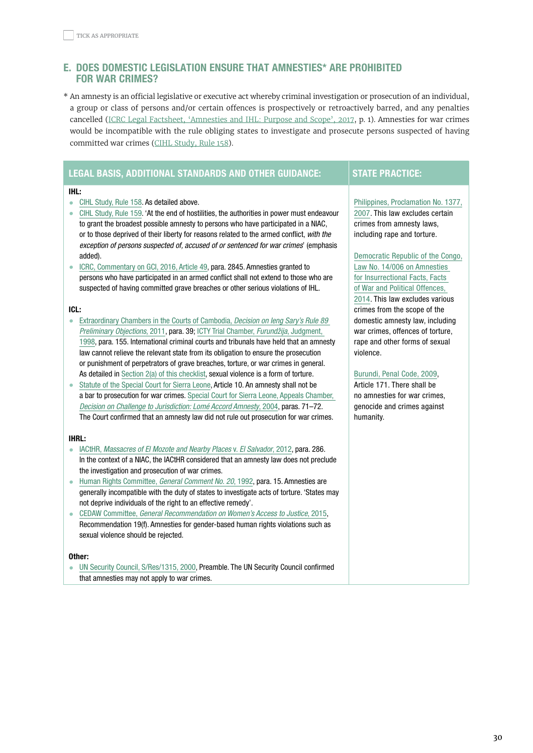# <span id="page-29-0"></span>e. DOES DOMESTIC LEGISLATION ENSURE THAT AMNESTIES\* ARE PROHIBITED FOR WAR CRIMES?

\* An amnesty is an official legislative or executive act whereby criminal investigation or prosecution of an individual, a group or class of persons and/or certain offences is prospectively or retroactively barred, and any penalties cancelled (ICRC Legal Factsheet, ['Amnesties](https://www.icrc.org/en/document/amnesties-and-ihl-purpose-and-scope) and IHL: Purpose and Scope', 2017, p. 1). Amnesties for war crimes would be incompatible with the rule obliging states to investigate and prosecute persons suspected of having committed war crimes (CIHL [Study,](https://ihl-databases.icrc.org/customary-ihl/eng/docs/v1_rul_rule158) Rule 158).

# LEGAL BASIS, ADDITIONAL STANDARDS AND OTHER GUIDANCE: STATE PRACTICE:

#### IHL:

- [CIHL Study, Rule 158](https://ihl-databases.icrc.org/customary-ihl/eng/docs/v1_rul_rule158). As detailed above.
- [CIHL Study, Rule 159](https://ihl-databases.icrc.org/customary-ihl/eng/docs/v1_rul_rule159). 'At the end of hostilities, the authorities in power must endeavour to grant the broadest possible amnesty to persons who have participated in a NIAC, or to those deprived of their liberty for reasons related to the armed conflict, with the exception of persons suspected of, accused of or sentenced for war crimes' (emphasis added).
- [ICRC, Commentary on GCI, 2016, Article 49,](https://ihl-databases.icrc.org/applic/ihl/ihl.nsf/Comment.xsp?action=openDocument&documentId=3ED0B7D33BF425F3C1257F7D00589C84#66_B) para. 2845. Amnesties granted to persons who have participated in an armed conflict shall not extend to those who are suspected of having committed grave breaches or other serious violations of IHL.

#### ICL:

- [Extraordinary Chambers in the Courts of Cambodia,](https://www.eccc.gov.kh/sites/default/files/documents/courtdoc/E51_15_EN.PDF) Decision on leng Sary's Rule 89 [Preliminary Objections](https://www.eccc.gov.kh/sites/default/files/documents/courtdoc/E51_15_EN.PDF), 2011, para. 39; [ICTY Trial Chamber,](https://www.icty.org/x/cases/furundzija/tjug/en/fur-tj981210e.pdf) Furundžija, Judgment, [1998](https://www.icty.org/x/cases/furundzija/tjug/en/fur-tj981210e.pdf), para. 155. International criminal courts and tribunals have held that an amnesty law cannot relieve the relevant state from its obligation to ensure the prosecution or punishment of perpetrators of grave breaches, torture, or war crimes in general. As detailed in [Section 2\(a\) of this checklist,](#page-4-0) sexual violence is a form of torture.
- [Statute of the Special Court for Sierra Leone](http://www.rscsl.org/Documents/scsl-statute.pdf), Article 10. An amnesty shall not be a bar to prosecution for war crimes. [Special Court for Sierra Leone, Appeals Chamber,](http://www.rscsl.org/Documents/Decisions/AFRC/Appeal/033/SCSL-04-16-PT-033.pdf)  [Decision on Challenge to Jurisdiction: Lomé Accord Amnesty](http://www.rscsl.org/Documents/Decisions/AFRC/Appeal/033/SCSL-04-16-PT-033.pdf), 2004, paras. 71–72. The Court confirmed that an amnesty law did not rule out prosecution for war crimes.

#### IHRL:

- IACtHR, [Massacres of El Mozote and Nearby Places](https://www.refworld.org/cases,IACRTHR,564ecfee4.html) v. El Salvador, 2012, para, 286. In the context of a NIAC, the IACtHR considered that an amnesty law does not preclude the investigation and prosecution of war crimes.
- [Human Rights Committee,](https://www.refworld.org/docid/453883fb0.html) General Comment No. 20, 1992, para. 15. Amnesties are generally incompatible with the duty of states to investigate acts of torture. 'States may not deprive individuals of the right to an effective remedy'.
- CEDAW Committee, [General Recommendation on Women's Access to Justice](https://tbinternet.ohchr.org/Treaties/CEDAW/Shared%20Documents/1_Global/CEDAW_C_GC_33_7767_E.pdf), 2015, Recommendation 19(f). Amnesties for gender-based human rights violations such as sexual violence should be rejected.

#### Other:

[UN Security Council, S/Res/1315, 2000,](https://www.securitycouncilreport.org/atf/cf/%7B65BFCF9B-6D27-4E9C-8CD3-CF6E4FF96FF9%7D/IJ%20SRES1315.pdf) Preamble. The UN Security Council confirmed that amnesties may not apply to war crimes.

### [Philippines, Proclamation No. 1377,](https://ihl-databases.icrc.org/customary-ihl/eng/docs/v2_cou_ph_rule159_sectionb)  [2007.](https://ihl-databases.icrc.org/customary-ihl/eng/docs/v2_cou_ph_rule159_sectionb) This law excludes certain crimes from amnesty laws, including rape and torture.

[Democratic Republic of the Congo,](https://ihl-databases.icrc.org/applic/ihl/ihl-nat.nsf/implementingLaws.xsp?documentId=6FB98CB972E433EEC1257E6200547ACF&action=OpenDocument)  [Law No. 14/006 on Amnesties](https://ihl-databases.icrc.org/applic/ihl/ihl-nat.nsf/implementingLaws.xsp?documentId=6FB98CB972E433EEC1257E6200547ACF&action=OpenDocument)  [for Insurrectional Facts, Facts](https://ihl-databases.icrc.org/applic/ihl/ihl-nat.nsf/implementingLaws.xsp?documentId=6FB98CB972E433EEC1257E6200547ACF&action=OpenDocument)  [of War and Political Offences,](https://ihl-databases.icrc.org/applic/ihl/ihl-nat.nsf/implementingLaws.xsp?documentId=6FB98CB972E433EEC1257E6200547ACF&action=OpenDocument)  [2014.](https://ihl-databases.icrc.org/applic/ihl/ihl-nat.nsf/implementingLaws.xsp?documentId=6FB98CB972E433EEC1257E6200547ACF&action=OpenDocument) This law excludes various crimes from the scope of the domestic amnesty law, including war crimes, offences of torture, rape and other forms of sexual violence.

#### [Burundi, Penal Code, 2009](https://webcache.googleusercontent.com/search?q=cache:200KfiFfASgJ:https://www.wipo.int/edocs/lexdocs/laws/fr/bi/bi009fr.pdf+&cd=1&hl=en&ct=clnk&gl=fr),

Article 171. There shall be no amnesties for war crimes, genocide and crimes against humanity.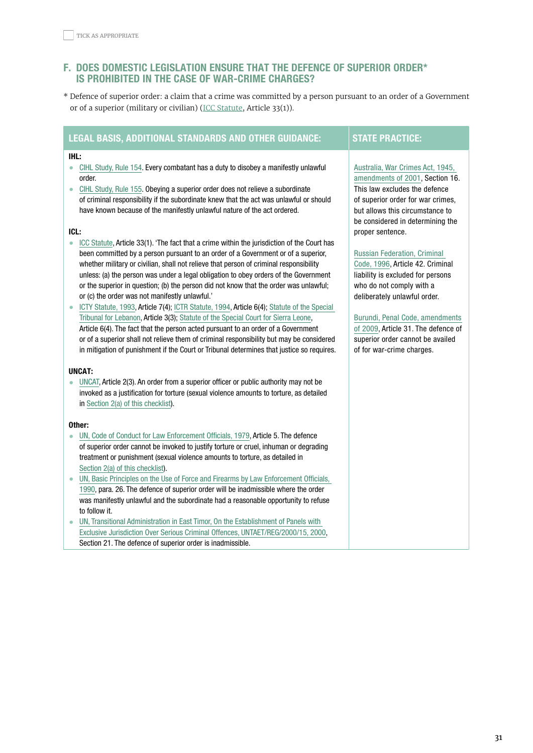# <span id="page-30-0"></span>F. DOES DOMESTIC LEGISLATION ENSURE THAT THE DEFENCE OF SUPERIOR ORDER\* IS PROHIBITED IN THE CASE OF WAR-CRIME CHARGES?

\* Defence of superior order: a claim that a crime was committed by a person pursuant to an order of a Government or of a superior (military or civilian) ([ICC Statute](https://www.icc-cpi.int/resource-library/documents/rs-eng.pdf), Article 33(1)).

# LEGAL BASIS, ADDITIONAL STANDARDS AND OTHER GUIDANCE: STATE PRACTICE:

#### IHL:

- [CIHL Study, Rule 154](https://ihl-databases.icrc.org/customary-ihl/eng/docs/v1_rul_rule154). Every combatant has a duty to disobey a manifestly unlawful order.
- [CIHL Study, Rule 155](https://ihl-databases.icrc.org/customary-ihl/eng/docs/v1_rul_rule155). Obeying a superior order does not relieve a subordinate of criminal responsibility if the subordinate knew that the act was unlawful or should have known because of the manifestly unlawful nature of the act ordered.

### ICL:

- [ICC Statute,](https://www.icc-cpi.int/resource-library/documents/rs-eng.pdf) Article 33(1). 'The fact that a crime within the jurisdiction of the Court has been committed by a person pursuant to an order of a Government or of a superior, whether military or civilian, shall not relieve that person of criminal responsibility unless: (a) the person was under a legal obligation to obey orders of the Government or the superior in question; (b) the person did not know that the order was unlawful; or (c) the order was not manifestly unlawful.'
- [ICTY Statute, 1993,](https://www.icty.org/x/file/Legal%20Library/Statute/statute_sept09_en.pdf) Article 7(4); [ICTR Statute, 1994](http://www.icls.de/dokumente/ictr_statute.pdf), Article 6(4); [Statute of the Special](https://www.legal-tools.org/doc/da0bbb/pdf)  [Tribunal for Lebanon,](https://www.legal-tools.org/doc/da0bbb/pdf) Article 3(3); [Statute of the Special Court for Sierra Leone](http://www.rscsl.org/Documents/scsl-statute.pdf), Article 6(4). The fact that the person acted pursuant to an order of a Government or of a superior shall not relieve them of criminal responsibility but may be considered in mitigation of punishment if the Court or Tribunal determines that justice so requires.

### UNCAT:

• [UNCAT](https://www.ohchr.org/EN/ProfessionalInterest/Pages/CAT.aspx), Article 2(3). An order from a superior officer or public authority may not be invoked as a justification for torture (sexual violence amounts to torture, as detailed in [Section 2\(a\) of this checklist\)](#page-4-0).

#### Other:

- [UN, Code of Conduct for Law Enforcement Officials, 1979,](https://www.ohchr.org/EN/ProfessionalInterest/Pages/LawEnforcementOfficials.aspx) Article 5. The defence of superior order cannot be invoked to justify torture or cruel, inhuman or degrading treatment or punishment (sexual violence amounts to torture, as detailed in [Section 2\(a\) of this checklist\)](#page-4-0).
- UN, Basic Principles on the Use of Force and Firearms by Law Enforcement Officials, [1990](https://www.un.org/ruleoflaw/files/BASICP~3.PDF), para. 26. The defence of superior order will be inadmissible where the order was manifestly unlawful and the subordinate had a reasonable opportunity to refuse to follow it.
- [UN, Transitional Administration in East Timor, On the Establishment of Panels with](http://mj.gov.tl/jornal/lawsTL/UNTAET-Law/Regulations%20English/Reg2000-15.pdf)  [Exclusive Jurisdiction Over Serious Criminal Offences, UNTAET/REG/2000/15, 2000](http://mj.gov.tl/jornal/lawsTL/UNTAET-Law/Regulations%20English/Reg2000-15.pdf), Section 21. The defence of superior order is inadmissible.

# [Australia, War Crimes Act, 1945,](https://ihl-databases.icrc.org/ihl-nat/0/76FBCA6033A0C2B9C12563F100545835)

[amendments of 2001](https://ihl-databases.icrc.org/ihl-nat/0/76FBCA6033A0C2B9C12563F100545835), Section 16. This law excludes the defence of superior order for war crimes, but allows this circumstance to be considered in determining the proper sentence.

### [Russian Federation, Criminal](http://www.consultant.ru/document/cons_doc_LAW_10699/)

[Code, 1996,](http://www.consultant.ru/document/cons_doc_LAW_10699/) Article 42. Criminal liability is excluded for persons who do not comply with a deliberately unlawful order.

### [Burundi, Penal Code, amendments](https://webcache.googleusercontent.com/search?q=cache:200KfiFfASgJ:https://www.wipo.int/edocs/lexdocs/laws/fr/bi/bi009fr.pdf+&cd=1&hl=en&ct=clnk&gl=fr)

[of 2009,](https://webcache.googleusercontent.com/search?q=cache:200KfiFfASgJ:https://www.wipo.int/edocs/lexdocs/laws/fr/bi/bi009fr.pdf+&cd=1&hl=en&ct=clnk&gl=fr) Article 31. The defence of superior order cannot be availed of for war-crime charges.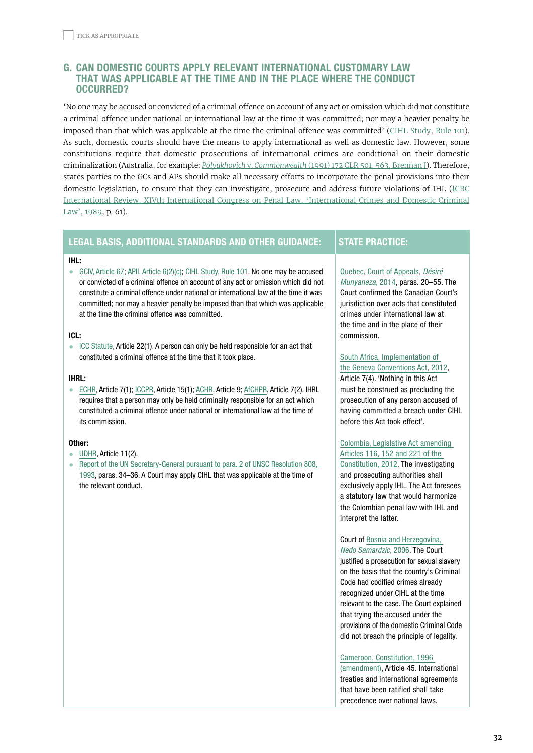# <span id="page-31-0"></span>g. CAN DOMESTIC COURTS APPLY RELEVANT INTERNATIONAL CUSTOMARY LAW THAT WAS APPLICABLE AT THE TIME AND IN THE PLACE WHERE THE CONDUCT OCCURRED?

'No one may be accused or convicted of a criminal offence on account of any act or omission which did not constitute a criminal offence under national or international law at the time it was committed; nor may a heavier penalty be imposed than that which was applicable at the time the criminal offence was committed' (CIHL [Study,](https://ihl-databases.icrc.org/customary-ihl/eng/docs/v1_rul_rule101) Rule 101). As such, domestic courts should have the means to apply international as well as domestic law. However, some constitutions require that domestic prosecutions of international crimes are conditional on their domestic criminalization (Australia, for example: *Polyukhovich* v. *[Commonwealth](http://www.haguejusticeportal.net/Docs/NLP/Australia/Polyukhovich_High_Court_Decision_14-8-1991.pdf)* (1991) 172 CLR 501, 563, Brennan J). Therefore, states parties to the GCs and APs should make all necessary efforts to incorporate the penal provisions into their domestic legislation, to ensure that they can investigate, prosecute and address future violations of IHL [\(ICRC](https://international-review.icrc.org/sites/default/files/S0020860400075197a.pdf) International Review, XIVth International Congress on Penal Law, ['International](https://international-review.icrc.org/sites/default/files/S0020860400075197a.pdf) Crimes and Domestic Criminal [Law',](https://international-review.icrc.org/sites/default/files/S0020860400075197a.pdf) 1989, p. 61).

## LEGAL BASIS, ADDITIONAL STANDARDS AND OTHER GUIDANCE: STATE PRACTICE:

#### IHL:

• [GCIV, Article 67;](https://ihl-databases.icrc.org/applic/ihl/ihl.nsf/ART/380-600074?OpenDocument) [APII, Article 6\(2\)\(c\);](https://ihl-databases.icrc.org/applic/ihl/ihl.nsf/Article.xsp?action=openDocument&documentId=DDA40E6D88861483C12563CD0051E7F2) [CIHL Study, Rule 101.](https://ihl-databases.icrc.org/customary-ihl/eng/docs/v2_rul_rule101) No one may be accused or convicted of a criminal offence on account of any act or omission which did not constitute a criminal offence under national or international law at the time it was committed; nor may a heavier penalty be imposed than that which was applicable at the time the criminal offence was committed.

#### ICL:

• [ICC Statute,](https://www.icc-cpi.int/resource-library/documents/rs-eng.pdf) Article 22(1). A person can only be held responsible for an act that constituted a criminal offence at the time that it took place.

#### IHRL:

• [ECHR](https://www.echr.coe.int/Documents/Convention_ENG.pdf), Article 7(1); [ICCPR](https://www.ohchr.org/EN/ProfessionalInterest/Pages/CCPR.aspx), Article 15(1); [ACHR,](http://www.oas.org/dil/treaties_B-32_American_Convention_on_Human_Rights.pdf) Article 9; [AfCHPR](https://www.achpr.org/legalinstruments/detail?id=49), Article 7(2). IHRL requires that a person may only be held criminally responsible for an act which constituted a criminal offence under national or international law at the time of its commission.

## Other:

- [UDHR,](https://www.un.org/en/universal-declaration-human-rights/) Article 11(2).
- [Report of the UN Secretary-General pursuant to para. 2 of UNSC Resolution 808,](https://www.securitycouncilreport.org/atf/cf/%7B65BFCF9B-6D27-4E9C-8CD3-CF6E4FF96FF9%7D/ICTY%20S%2025704%20statute_re808_1993_en.pdf)  [1993](https://www.securitycouncilreport.org/atf/cf/%7B65BFCF9B-6D27-4E9C-8CD3-CF6E4FF96FF9%7D/ICTY%20S%2025704%20statute_re808_1993_en.pdf), paras. 34–36. A Court may apply CIHL that was applicable at the time of the relevant conduct.

### [Quebec, Court of Appeals,](https://ihl-databases.icrc.org/applic/ihl/ihl-nat.nsf/caseLaw.xsp?documentId=5E1064A2DC047A3BC1257E6C003377DA&action=OpenDocument) Désiré [Munyaneza](https://ihl-databases.icrc.org/applic/ihl/ihl-nat.nsf/caseLaw.xsp?documentId=5E1064A2DC047A3BC1257E6C003377DA&action=OpenDocument), 2014, paras. 20–55. The Court confirmed the Canadian Court's jurisdiction over acts that constituted crimes under international law at the time and in the place of their commission.

## [South Africa, Implementation of](https://ihl-databases.icrc.org/applic/ihl/ihl-nat.nsf/implementingLaws.xsp?documentId=B5EFE573DB35A7CAC1257B4E0041E237&action=OpenDocument)  [the Geneva Conventions Act, 2012,](https://ihl-databases.icrc.org/applic/ihl/ihl-nat.nsf/implementingLaws.xsp?documentId=B5EFE573DB35A7CAC1257B4E0041E237&action=OpenDocument)

Article 7(4). 'Nothing in this Act must be construed as precluding the prosecution of any person accused of having committed a breach under CIHL before this Act took effect'.

# [Colombia, Legislative Act amending](https://ihl-databases.icrc.org/applic/ihl/ihl-nat.nsf/implementingLaws.xsp?documentId=7FFEE84F9DDD0CD1C1257C430038BEA2&action=OpenDocument)  [Articles 116, 152 and 221 of the](https://ihl-databases.icrc.org/applic/ihl/ihl-nat.nsf/implementingLaws.xsp?documentId=7FFEE84F9DDD0CD1C1257C430038BEA2&action=OpenDocument)

[Constitution, 2012](https://ihl-databases.icrc.org/applic/ihl/ihl-nat.nsf/implementingLaws.xsp?documentId=7FFEE84F9DDD0CD1C1257C430038BEA2&action=OpenDocument). The investigating and prosecuting authorities shall exclusively apply IHL. The Act foresees a statutory law that would harmonize the Colombian penal law with IHL and interpret the latter.

Court of [Bosnia and Herzegovina,](https://ihl-databases.icrc.org/applic/ihl/ihl-nat.nsf/caseLaw.xsp?documentId=BAED881C87C9C6E2C12572D8004193AC&action=OpenDocument)  [Nedo Samardzic](https://ihl-databases.icrc.org/applic/ihl/ihl-nat.nsf/caseLaw.xsp?documentId=BAED881C87C9C6E2C12572D8004193AC&action=OpenDocument), 2006. The Court justified a prosecution for sexual slavery on the basis that the country's Criminal Code had codified crimes already recognized under CIHL at the time relevant to the case. The Court explained that trying the accused under the provisions of the domestic Criminal Code did not breach the principle of legality.

#### [Cameroon, Constitution, 1996](http://webcache.googleusercontent.com/search?q=cache:DsGdY1-lXi4J:www.assnat.cm/images/The_constitution.pdf+&cd=1&hl=en&ct=clnk&gl=fr)

[\(amendment\)](http://webcache.googleusercontent.com/search?q=cache:DsGdY1-lXi4J:www.assnat.cm/images/The_constitution.pdf+&cd=1&hl=en&ct=clnk&gl=fr), Article 45. International treaties and international agreements that have been ratified shall take precedence over national laws.